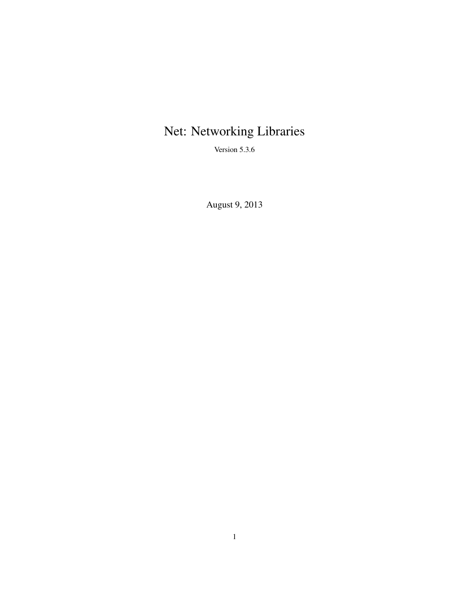# Net: Networking Libraries

Version 5.3.6

August 9, 2013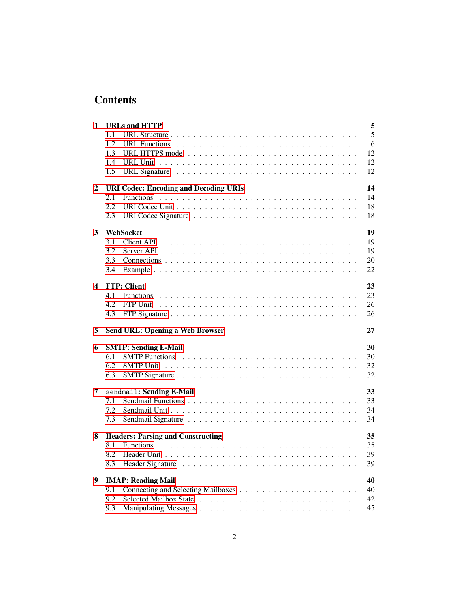## **Contents**

| 1 | <b>URLs and HTTP</b>                                                                                | 5        |
|---|-----------------------------------------------------------------------------------------------------|----------|
|   | 1.1                                                                                                 | 5        |
|   | 1.2<br>URL Functions                                                                                | 6        |
|   | 1.3<br>URL HTTPS mode $\ldots \ldots \ldots \ldots \ldots \ldots \ldots \ldots \ldots$              | 12       |
|   | 1.4                                                                                                 | 12       |
|   | 1.5                                                                                                 | 12       |
| 2 | <b>URI Codec: Encoding and Decoding URIs</b>                                                        | 14       |
|   | 2.1                                                                                                 | 14       |
|   | 2.2                                                                                                 | 18       |
|   | 2.3                                                                                                 | 18       |
| 3 | WebSocket                                                                                           | 19       |
|   | 3.1                                                                                                 | 19       |
|   | 3.2                                                                                                 | 19       |
|   | 3.3                                                                                                 | 20       |
|   | 3.4                                                                                                 | 22       |
| 4 | <b>FTP: Client</b>                                                                                  | 23       |
|   | 4.1                                                                                                 | 23       |
|   | 4.2<br><b>FTP</b> Unit                                                                              | 26       |
|   | 4.3<br>FTP Signature $\ldots \ldots \ldots \ldots \ldots \ldots \ldots \ldots \ldots \ldots \ldots$ | 26       |
| 5 | <b>Send URL: Opening a Web Browser</b>                                                              | 27       |
| 6 | <b>SMTP: Sending E-Mail</b>                                                                         | 30       |
|   | 6.1<br><b>SMTP</b> Functions                                                                        | 30       |
|   |                                                                                                     |          |
|   | 6.2                                                                                                 | 32       |
|   | 6.3                                                                                                 | 32       |
| 7 |                                                                                                     | 33       |
|   | sendmail: Sending E-Mail<br>7.1                                                                     | 33       |
|   |                                                                                                     | 34       |
|   | 7.2<br>7.3                                                                                          | 34       |
| 8 |                                                                                                     |          |
|   | <b>Headers: Parsing and Constructing</b><br>8.1                                                     | 35       |
|   | 8.2                                                                                                 | 35<br>39 |
|   | 8.3                                                                                                 | 39       |
|   |                                                                                                     | 40       |
| 9 | <b>IMAP: Reading Mail</b>                                                                           | 40       |
|   | 9.1<br>9.2                                                                                          |          |
|   | 9.3                                                                                                 | 42<br>45 |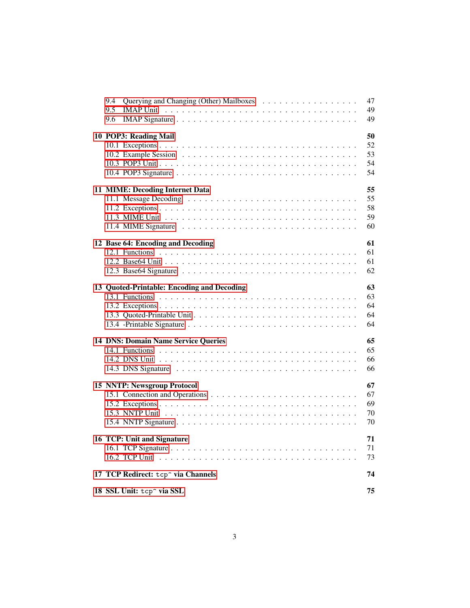| 9.4 |                                                |  |  |  |  |  |  |  | 47 |
|-----|------------------------------------------------|--|--|--|--|--|--|--|----|
| 9.5 | <b>IMAP Unit</b>                               |  |  |  |  |  |  |  | 49 |
| 9.6 |                                                |  |  |  |  |  |  |  | 49 |
|     | 10 POP3: Reading Mail                          |  |  |  |  |  |  |  | 50 |
|     |                                                |  |  |  |  |  |  |  | 52 |
|     |                                                |  |  |  |  |  |  |  | 53 |
|     |                                                |  |  |  |  |  |  |  | 54 |
|     |                                                |  |  |  |  |  |  |  | 54 |
|     |                                                |  |  |  |  |  |  |  |    |
|     | 11 MIME: Decoding Internet Data                |  |  |  |  |  |  |  | 55 |
|     |                                                |  |  |  |  |  |  |  | 55 |
|     |                                                |  |  |  |  |  |  |  | 58 |
|     |                                                |  |  |  |  |  |  |  | 59 |
|     |                                                |  |  |  |  |  |  |  | 60 |
|     | 12 Base 64: Encoding and Decoding              |  |  |  |  |  |  |  | 61 |
|     |                                                |  |  |  |  |  |  |  | 61 |
|     |                                                |  |  |  |  |  |  |  | 61 |
|     |                                                |  |  |  |  |  |  |  | 62 |
|     |                                                |  |  |  |  |  |  |  |    |
|     | 13 Quoted-Printable: Encoding and Decoding     |  |  |  |  |  |  |  | 63 |
|     |                                                |  |  |  |  |  |  |  | 63 |
|     |                                                |  |  |  |  |  |  |  | 64 |
|     |                                                |  |  |  |  |  |  |  | 64 |
|     |                                                |  |  |  |  |  |  |  | 64 |
|     | <b>14 DNS: Domain Name Service Queries</b>     |  |  |  |  |  |  |  | 65 |
|     |                                                |  |  |  |  |  |  |  | 65 |
|     |                                                |  |  |  |  |  |  |  | 66 |
|     |                                                |  |  |  |  |  |  |  | 66 |
|     |                                                |  |  |  |  |  |  |  |    |
|     | <b>15 NNTP: Newsgroup Protocol</b>             |  |  |  |  |  |  |  | 67 |
|     |                                                |  |  |  |  |  |  |  | 67 |
|     |                                                |  |  |  |  |  |  |  | 69 |
|     |                                                |  |  |  |  |  |  |  | 70 |
|     |                                                |  |  |  |  |  |  |  | 70 |
|     | 16 TCP: Unit and Signature                     |  |  |  |  |  |  |  | 71 |
|     |                                                |  |  |  |  |  |  |  | 71 |
|     |                                                |  |  |  |  |  |  |  | 73 |
|     | 17 TCP Redirect: tcp <sup>~</sup> via Channels |  |  |  |  |  |  |  | 74 |
|     |                                                |  |  |  |  |  |  |  |    |
|     | 18 SSL Unit: tcp <sup>o</sup> via SSL          |  |  |  |  |  |  |  | 75 |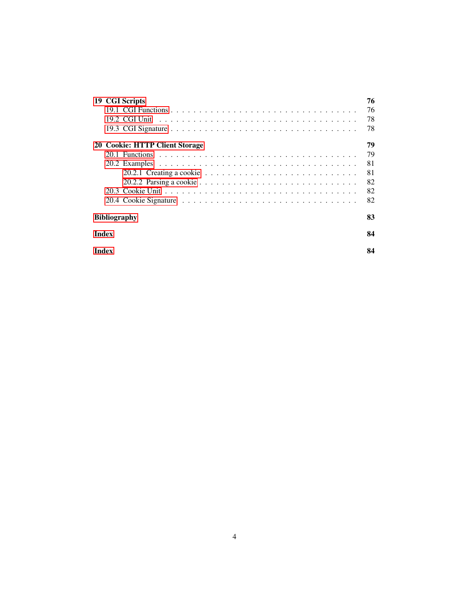| 19 CGI Scripts                                                                                   | 76 |  |  |  |  |
|--------------------------------------------------------------------------------------------------|----|--|--|--|--|
|                                                                                                  | 76 |  |  |  |  |
|                                                                                                  | 78 |  |  |  |  |
|                                                                                                  | 78 |  |  |  |  |
| 20 Cookie: HTTP Client Storage                                                                   | 79 |  |  |  |  |
|                                                                                                  | 79 |  |  |  |  |
|                                                                                                  | 81 |  |  |  |  |
| 20.2.1 Creating a cookie $\ldots \ldots \ldots \ldots \ldots \ldots \ldots \ldots \ldots \ldots$ | 81 |  |  |  |  |
|                                                                                                  | 82 |  |  |  |  |
|                                                                                                  | 82 |  |  |  |  |
|                                                                                                  | 82 |  |  |  |  |
| <b>Bibliography</b>                                                                              |    |  |  |  |  |
| <b>Index</b>                                                                                     | 84 |  |  |  |  |
| Index                                                                                            | 84 |  |  |  |  |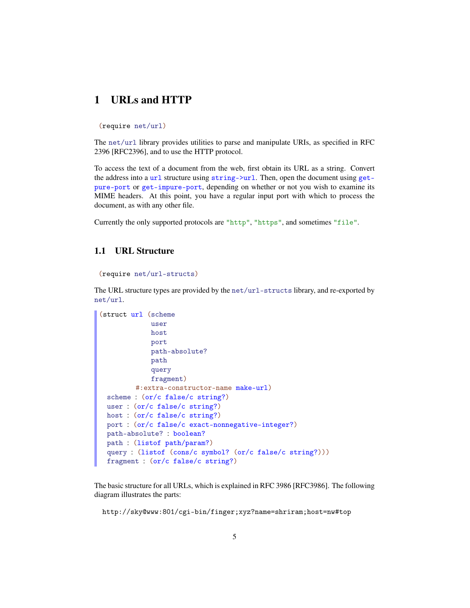## <span id="page-4-0"></span>1 URLs and HTTP

(require net/url)

The net/url library provides utilities to parse and manipulate URIs, as specified in RFC 2396 [RFC2396], and to use the HTTP protocol.

To access the text of a document from the web, first obtain its URL as a string. Convert the address into a url structure using string->url. Then, open the document using getpure-port or get-impure-port, depending on whether or not you wish to examine its MIME headers. At this point, you have a regular input port with which to process the document, as with any other file.

Currently the only supported protocols are "http", "https", and sometimes "file".

#### <span id="page-4-1"></span>1.1 URL Structure

```
(require net/url-structs)
```
The URL structure types are provided by the net/url-structs library, and re-exported by net/url.

```
(struct url (scheme
             user
             host
             port
             path-absolute?
             path
             query
             fragment)
         #:extra-constructor-name make-url)
 scheme : (or/c false/c string?)
 user : (or/c false/c string?)
 host : (or/c false/c string?)
 port : (or/c false/c exact-nonnegative-integer?)
 path-absolute? : boolean?
 path : (listof path/param?)
 query : (listof (cons/c symbol? (or/c false/c string?)))
 fragment : (or/c false/c string?)
```
The basic structure for all URLs, which is explained in RFC 3986 [RFC3986]. The following diagram illustrates the parts:

http://sky@www:801/cgi-bin/finger;xyz?name=shriram;host=nw#top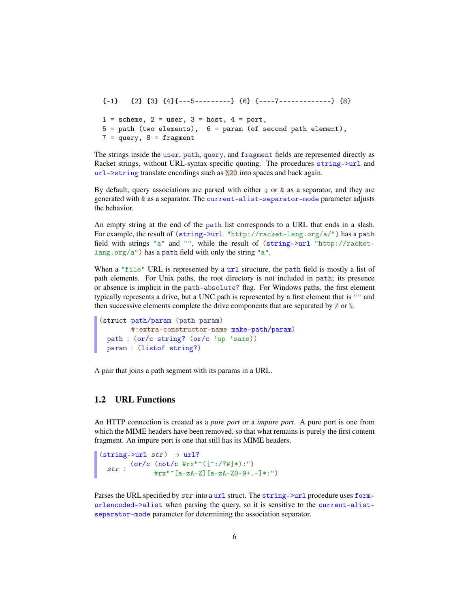${-1}$   ${2}$   ${3}$   ${4}$   ${-5}$ ----------}  ${6}$   ${-2}$ ---7-------------}  ${8}$  $1 = \text{scheme}, 2 = \text{user}, 3 = \text{host}, 4 = \text{port},$  $5 = path$  (two elements),  $6 = param$  (of second path element),  $7 = query, 8 = fragment$ 

The strings inside the user, path, query, and fragment fields are represented directly as Racket strings, without URL-syntax-specific quoting. The procedures string->url and url->string translate encodings such as %20 into spaces and back again.

By default, query associations are parsed with either ; or  $\&$  as a separator, and they are generated with & as a separator. The current-alist-separator-mode parameter adjusts the behavior.

An empty string at the end of the path list corresponds to a URL that ends in a slash. For example, the result of  $(\text{string-}\nu\text{rl}\ \text{http://racket-lang.org/a/")}$  has a path field with strings "a" and "", while the result of (string->url "http://racketlang.org/a") has a path field with only the string "a".

When a "file" URL is represented by a  $\text{url}$  structure, the path field is mostly a list of path elements. For Unix paths, the root directory is not included in path; its presence or absence is implicit in the path-absolute? flag. For Windows paths, the first element typically represents a drive, but a UNC path is represented by a first element that is "" and then successive elements complete the drive components that are separated by  $\alpha \in \mathbb{R}$ 

```
(struct path/param (path param)
       #:extra-constructor-name make-path/param)
 path : (or/c string? (or/c 'up 'same))
 param : (listof string?)
```
A pair that joins a path segment with its params in a URL.

#### <span id="page-5-0"></span>1.2 URL Functions

An HTTP connection is created as a *pure port* or a *impure port*. A pure port is one from which the MIME headers have been removed, so that what remains is purely the first content fragment. An impure port is one that still has its MIME headers.

```
(string~|~str) \rightarrow url?str: ( or/c (not/c #rx" ([^{\circ}:?7#] *):")<br>str: #rw": [_0 _0 _0 _1 _0 _1 _0 _0 _0 _1#rx"^[a-zA-Z][a-zA-Z0-9+.-]*:")
```
Parses the URL specified by  $str$  into a url struct. The string->url procedure uses formurlencoded->alist when parsing the query, so it is sensitive to the current-alistseparator-mode parameter for determining the association separator.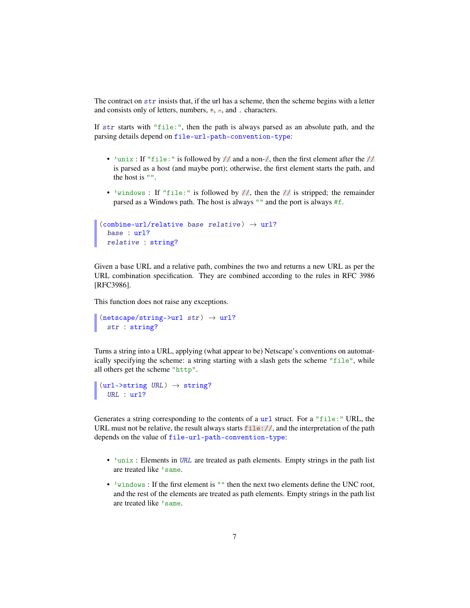The contract on  $str$  insists that, if the url has a scheme, then the scheme begins with a letter and consists only of letters, numbers,  $\pm$ ,  $\pm$ , and  $\pm$  characters.

If str starts with "file:", then the path is always parsed as an absolute path, and the parsing details depend on file-url-path-convention-type:

- 'unix : If "file:" is followed by  $//$  and a non- $/$ , then the first element after the  $//$ is parsed as a host (and maybe port); otherwise, the first element starts the path, and the host is "".
- 'windows : If "file:" is followed by  $//$ , then the  $//$  is stripped; the remainder parsed as a Windows path. The host is always "" and the port is always #f.

```
(combine-url/relative base relative) \rightarrow url?base : url?
 relative : string?
```
Given a base URL and a relative path, combines the two and returns a new URL as per the URL combination specification. They are combined according to the rules in RFC 3986 [RFC3986].

This function does not raise any exceptions.

```
(netscape/string-\\sqrt{1 str}) \rightarrow url?str : string?
```
Turns a string into a URL, applying (what appear to be) Netscape's conventions on automatically specifying the scheme: a string starting with a slash gets the scheme "file", while all others get the scheme "http".

```
\vert (url->string URL) \rightarrow string?
   URL : url?
```
Generates a string corresponding to the contents of a  $ur1$  struct. For a "file:" URL, the URL must not be relative, the result always starts  $file://$ , and the interpretation of the path depends on the value of file-url-path-convention-type:

- 'unix : Elements in URL are treated as path elements. Empty strings in the path list are treated like 'same.
- 'windows : If the first element is "" then the next two elements define the UNC root, and the rest of the elements are treated as path elements. Empty strings in the path list are treated like 'same.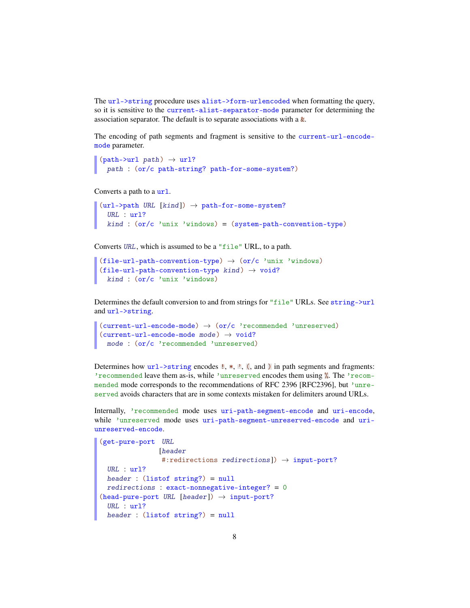The url->string procedure uses alist->form-urlencoded when formatting the query, so it is sensitive to the current-alist-separator-mode parameter for determining the association separator. The default is to separate associations with a &.

The encoding of path segments and fragment is sensitive to the current-url-encodemode parameter.

```
(path->url path) \rightarrow url?path : (or/c path-string? path-for-some-system?)
```
Converts a path to a url.

```
(url->path URL [kind]) \rightarrow path-for-some-system?URL : url?
  kind : (or/c 'unix 'windows) = (system-path-convention-type)
```
Converts URL, which is assumed to be a "file" URL, to a path.

```
(file-url-path-convention-type) \rightarrow (or/c 'unix 'windows)
(file-url-path-convention-type kind) \rightarrow void?kind : (or/c 'unix 'windows)
```
Determines the default conversion to and from strings for "file" URLs. See string->url and url->string.

```
(current-url-encode-mode) \rightarrow (or/c 'reconnected' unreserved)(current-url-encode-mode mode) \rightarrow void?mode : (or/c 'recommended 'unreserved)
```
Determines how  $url->string$  encodes !, \*,  $\cdot$ , (, and ) in path segments and fragments: 'recommended leave them as-is, while 'unreserved encodes them using %. The 'recommended mode corresponds to the recommendations of RFC 2396 [RFC2396], but 'unreserved avoids characters that are in some contexts mistaken for delimiters around URLs.

Internally, 'recommended mode uses uri-path-segment-encode and uri-encode, while 'unreserved mode uses uri-path-segment-unreserved-encode and uriunreserved-encode.

```
(get-pure-port URL
                [header
                #:redirections redirections]) \rightarrow input-port?
 URL : url?
 header : (listof string?) = null
 redirections : exact-nonnegative-integer? = 0
(head-pure-port URL [header]) \rightarrow input-port?URL : url?
 header : (listof string?) = null
```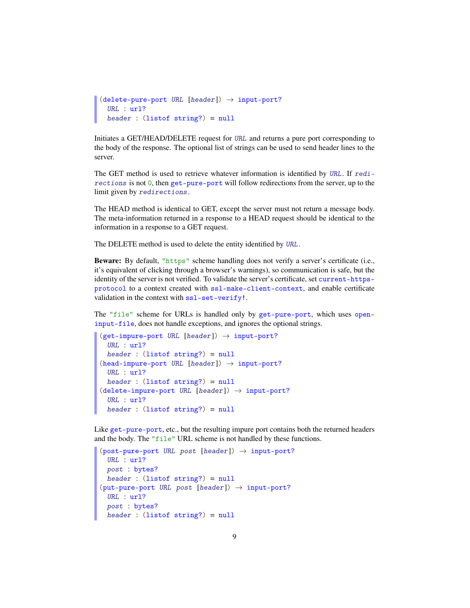```
(delete-pure-port~URL~[header]) \rightarrow input-port?URL : url?
  header : (listof string?) = null
```
Initiates a GET/HEAD/DELETE request for URL and returns a pure port corresponding to the body of the response. The optional list of strings can be used to send header lines to the server.

The GET method is used to retrieve whatever information is identified by URL. If redirections is not 0, then get-pure-port will follow redirections from the server, up to the limit given by redirections.

The HEAD method is identical to GET, except the server must not return a message body. The meta-information returned in a response to a HEAD request should be identical to the information in a response to a GET request.

The DELETE method is used to delete the entity identified by URL.

Beware: By default, "https" scheme handling does not verify a server's certificate (i.e., it's equivalent of clicking through a browser's warnings), so communication is safe, but the identity of the server is not verified. To validate the server's certificate, set current-httpsprotocol to a context created with ssl-make-client-context, and enable certificate validation in the context with ssl-set-verify!.

The "file" scheme for URLs is handled only by get-pure-port, which uses openinput-file, does not handle exceptions, and ignores the optional strings.

```
(get-impure-port~URL~[header]) \rightarrow input-port?URL : url?
 header : (listof string?) = null
(head-impure-port \textit{URL} [header]) \rightarrow input-port?URL : url?
 header : (listof string?) = null
(delete-impure-port~URL [header]) \rightarrow input-port?URL : url?
 header : (listof string?) = null
```
Like get-pure-port, etc., but the resulting impure port contains both the returned headers and the body. The "file" URL scheme is not handled by these functions.

```
(post-pure-port \text{ URL } post \text{ [header]} ) \rightarrow input-port?URL : url?
  post : bytes?
  header : (listof string?) = null
(\text{put-pure-port} \ \text{URL} \ \text{post} \ \text{[header]}) \rightarrow \text{input-port?}URL : url?
  post : bytes?
  header : (listof string?) = null
```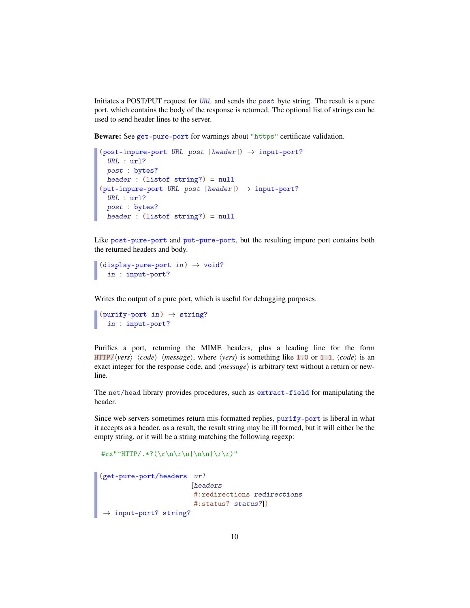Initiates a POST/PUT request for URL and sends the post byte string. The result is a pure port, which contains the body of the response is returned. The optional list of strings can be used to send header lines to the server.

Beware: See get-pure-port for warnings about "https" certificate validation.

```
(post-impure-port \textit{URL} \textit{post } [header]) \rightarrow input-port?URL : url?
  post : bytes?
  header : (listof string?) = null
(\text{put-impure-port} \;\; \text{URL} \;\; \text{post} \;\; \text{[header]}) \rightarrow \text{input-port?}URL : url?
  post : bytes?
  header : (listof string?) = null
```
Like post-pure-port and put-pure-port, but the resulting impure port contains both the returned headers and body.

```
(display-pure-port in) \rightarrow void?
   in : input-port?
```
Writes the output of a pure port, which is useful for debugging purposes.

```
(purity-port in) \rightarrow string?in : input-port?
```
Purifies a port, returning the MIME headers, plus a leading line for the form HTTP/ $\langle vers \rangle$   $\langle code \rangle$   $\langle message \rangle$ , where  $\langle vers \rangle$  is something like 1.0 or 1.1,  $\langle code \rangle$  is an exact integer for the response code, and  $\langle message \rangle$  is arbitrary text without a return or newline.

The net/head library provides procedures, such as extract-field for manipulating the header.

Since web servers sometimes return mis-formatted replies, purify-port is liberal in what it accepts as a header. as a result, the result string may be ill formed, but it will either be the empty string, or it will be a string matching the following regexp:

```
\frac{\|r\|}{r}\| \cdot \frac{2}{\r}\|r\| \cdot \frac{2}{\r}\|r\| \cdot \frac{2}{\r}\|r\|
```

```
(get-pure-port/headers url
                    [headers
                         #:redirections redirections
                         #:status? status?])
\rightarrow input-port? string?
```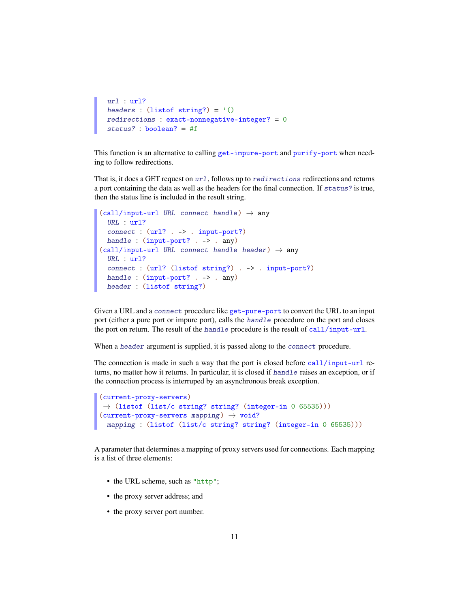```
url : url?
headers : (listof string?) = '()
redirections : exact-nonnegative-integer? = 0
status? : boolean? = #f
```
This function is an alternative to calling get-impure-port and purify-port when needing to follow redirections.

That is, it does a GET request on  $url$ , follows up to redirections redirections and returns a port containing the data as well as the headers for the final connection. If status? is true, then the status line is included in the result string.

```
(call/input-url \textit{URL connect handle}) \rightarrow anyURL : url?
  connect : (url? . -> . input-port?)
 handle : (input-port? . -> . any)
(call/input-url \textit{URL connect handle header}) \rightarrow anyURL : url?
  connect : (url? (listof string?) . -> . input-port?)
 handle : (input-port? . -> . any)
 header : (listof string?)
```
Given a URL and a connect procedure like get-pure-port to convert the URL to an input port (either a pure port or impure port), calls the handle procedure on the port and closes the port on return. The result of the handle procedure is the result of call/input-url.

When a header argument is supplied, it is passed along to the connect procedure.

The connection is made in such a way that the port is closed before call/input-url returns, no matter how it returns. In particular, it is closed if handle raises an exception, or if the connection process is interruped by an asynchronous break exception.

```
(current-proxy-servers)
\rightarrow (listof (list/c string? string? (integer-in 0 65535)))
(current-proxy-servers mapping) \rightarrow void?mapping : (listof (list/c string? string? (integer-in 0 65535)))
```
A parameter that determines a mapping of proxy servers used for connections. Each mapping is a list of three elements:

- the URL scheme, such as "http";
- the proxy server address; and
- the proxy server port number.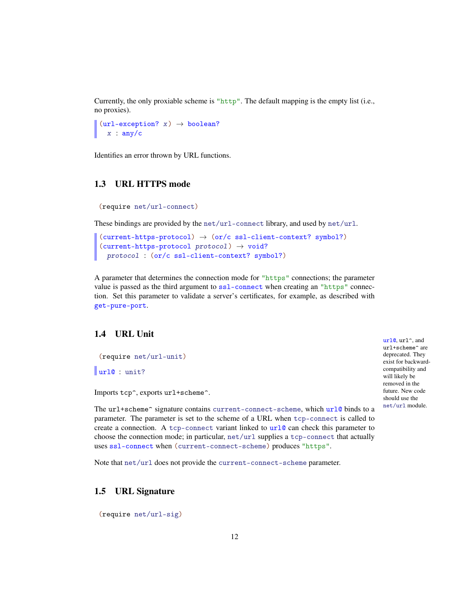Currently, the only proxiable scheme is "http". The default mapping is the empty list (i.e., no proxies).

 $(\text{url-exception? } x) \rightarrow boolean?$  $x : any/c$ 

Identifies an error thrown by URL functions.

#### <span id="page-11-0"></span>1.3 URL HTTPS mode

```
(require net/url-connect)
```
These bindings are provided by the net/url-connect library, and used by net/url.

```
(current-https-protocol) \rightarrow (or/c ss1-client-context? symbol?)(current-https-protocol protocol) \rightarrow void?protocol : (or/c ssl-client-context? symbol?)
```
A parameter that determines the connection mode for "https" connections; the parameter value is passed as the third argument to ssl-connect when creating an "https" connection. Set this parameter to validate a server's certificates, for example, as described with get-pure-port.

#### <span id="page-11-1"></span>1.4 URL Unit

```
(require net/url-unit)
```
url@ : unit?

Imports tcp^, exports url+scheme^.

The url+scheme<sup> $\sim$ </sup> signature contains current-connect-scheme, which url@ binds to a parameter. The parameter is set to the scheme of a URL when tcp-connect is called to create a connection. A tcp-connect variant linked to  $url@$  can check this parameter to choose the connection mode; in particular, net/url supplies a tcp-connect that actually uses ssl-connect when (current-connect-scheme) produces "https".

Note that net/url does not provide the current-connect-scheme parameter.

#### <span id="page-11-2"></span>1.5 URL Signature

(require net/url-sig)

url@, url^, and url+scheme^ are deprecated. They exist for backwardcompatibility and will likely be removed in the future. New code should use the net/url module.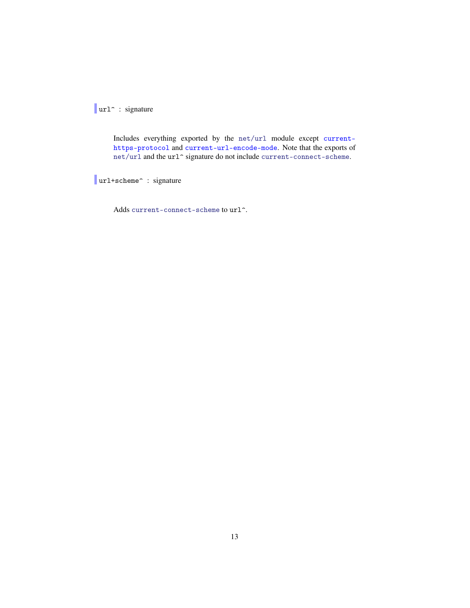url^ : signature

Includes everything exported by the net/url module except currenthttps-protocol and current-url-encode-mode. Note that the exports of  ${\tt net}/{\tt url}$  and the  ${\tt url}$  signature do not include current-connect-scheme.

url+scheme^ : signature

Adds current-connect-scheme to url<sup>^</sup>.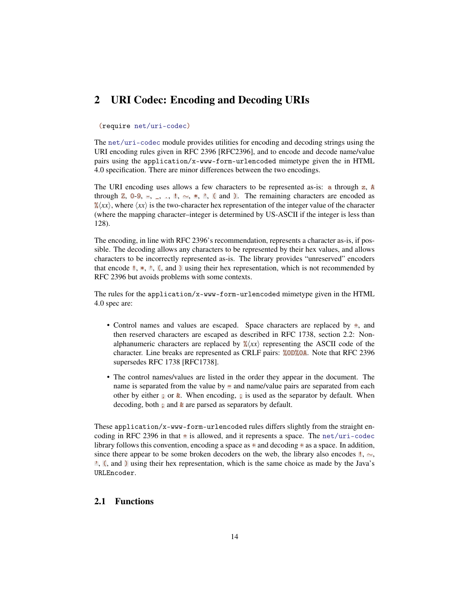### <span id="page-13-0"></span>2 URI Codec: Encoding and Decoding URIs

#### (require net/uri-codec)

The net/uri-codec module provides utilities for encoding and decoding strings using the URI encoding rules given in RFC 2396 [RFC2396], and to encode and decode name/value pairs using the application/x-www-form-urlencoded mimetype given the in HTML 4.0 specification. There are minor differences between the two encodings.

The URI encoding uses allows a few characters to be represented as-is: a through  $z$ , A through Z, 0-9,  $=$ ,  $=$ ,  $\ldots$ ,  $\ldots$ ,  $\star$ ,  $\ldots$ ,  $\star$ ,  $\ldots$ ,  $\star$ ,  $\star$ ,  $\star$ ,  $\star$ ,  $\star$ ,  $\star$ ,  $\star$ ,  $\star$ ,  $\star$ ,  $\star$ ,  $\star$ ,  $\star$ ,  $\star$ ,  $\star$ ,  $\star$ ,  $\star$ ,  $\star$ ,  $\star$ ,  $\star$ ,  $\star$ ,  $\star$ ,  $\star$ ,  $\star$ ,  $\star$ ,  $\star$ ,  $\star$ ,  $\mathscr{K}(xx)$ , where  $\langle xx \rangle$  is the two-character hex representation of the integer value of the character (where the mapping character–integer is determined by US-ASCII if the integer is less than 128).

The encoding, in line with RFC 2396's recommendation, represents a character as-is, if possible. The decoding allows any characters to be represented by their hex values, and allows characters to be incorrectly represented as-is. The library provides "unreserved" encoders that encode  $\mathbb{I}, *$ ,  $\mathbb{I}, (\mathbf{,} \text{ and } \mathbf{)}$  using their hex representation, which is not recommended by RFC 2396 but avoids problems with some contexts.

The rules for the application/x-www-form-urlencoded mimetype given in the HTML 4.0 spec are:

- Control names and values are escaped. Space characters are replaced by  $\pm$ , and then reserved characters are escaped as described in RFC 1738, section 2.2: Nonalphanumeric characters are replaced by  $\frac{\partial}{\partial x} \langle x \rangle$  representing the ASCII code of the character. Line breaks are represented as CRLF pairs: %0D%0A. Note that RFC 2396 supersedes RFC 1738 [RFC1738].
- The control names/values are listed in the order they appear in the document. The name is separated from the value by  $\equiv$  and name/value pairs are separated from each other by either ; or  $\&$ . When encoding, ; is used as the separator by default. When decoding, both ; and & are parsed as separators by default.

These application/x-www-form-urlencoded rules differs slightly from the straight encoding in RFC 2396 in that  $\pm$  is allowed, and it represents a space. The net/uri-codec library follows this convention, encoding a space as  $\pm$  and decoding  $\pm$  as a space. In addition, since there appear to be some broken decoders on the web, the library also encodes !,  $~\sim$ , ', (, and ) using their hex representation, which is the same choice as made by the Java's URLEncoder.

#### <span id="page-13-1"></span>2.1 Functions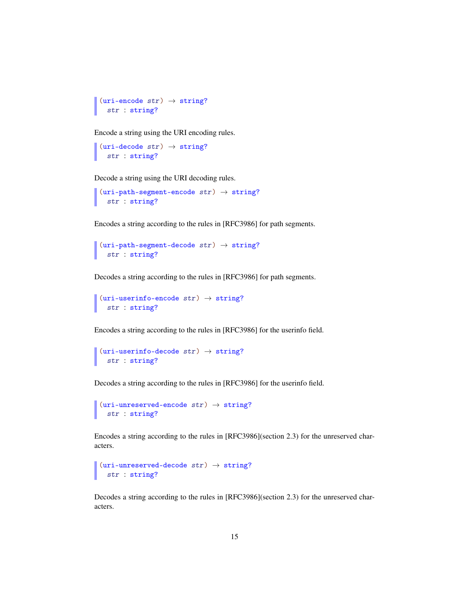```
(uri\text{-encode str}) \rightarrow \text{string?}str : string?
```
Encode a string using the URI encoding rules.

```
(uri-decode str) \rightarrow string?str : string?
```
Decode a string using the URI decoding rules.

```
(uri-path-segment-encode str) \rightarrow string?str : string?
```
Encodes a string according to the rules in [RFC3986] for path segments.

```
\vert (uri-path-segment-decode str) \rightarrow string?
   str : string?
```
Decodes a string according to the rules in [RFC3986] for path segments.

```
(uri-userinfo-encode str) \rightarrow string?str : string?
```
Encodes a string according to the rules in [RFC3986] for the userinfo field.

```
\vert (uri-userinfo-decode str) \rightarrow string?
   str : string?
```
Decodes a string according to the rules in [RFC3986] for the userinfo field.

```
\vert (uri-unreserved-encode str) \rightarrow string?
   str : string?
```
Encodes a string according to the rules in [RFC3986](section 2.3) for the unreserved characters.

```
\vert (uri-unreserved-decode str) \rightarrow string?
   str : string?
```
Decodes a string according to the rules in [RFC3986](section 2.3) for the unreserved characters.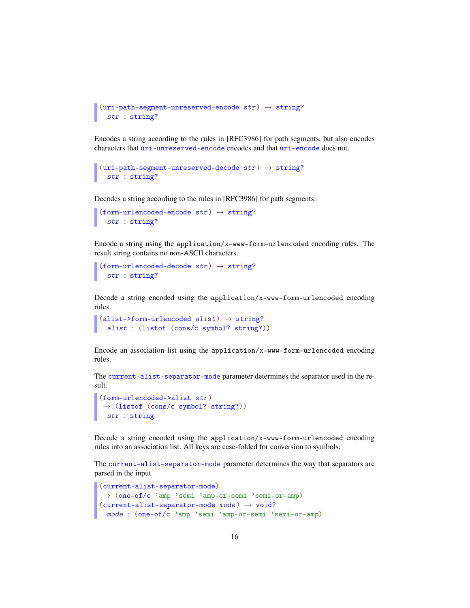```
(uri-path-segment-unreserved-encode str) \rightarrow string?str : string?
```
Encodes a string according to the rules in [RFC3986] for path segments, but also encodes characters that uri-unreserved-encode encodes and that uri-encode does not.

```
(uri-path-segment-unreserved-decode str) \rightarrow string?
  str : string?
```
Decodes a string according to the rules in [RFC3986] for path segments.

```
(form-urlencoded-encode str) \rightarrow string?
  str : string?
```
Encode a string using the application/x-www-form-urlencoded encoding rules. The result string contains no non-ASCII characters.

```
(from-urlencoded-decode str) \rightarrow string?str : string?
```
Decode a string encoded using the application/x-www-form-urlencoded encoding rules.

```
(alist-5form-urlencoded alist) \rightarrow string?alist : (listof (cons/c symbol? string?))
```
Encode an association list using the application/x-www-form-urlencoded encoding rules.

The current-alist-separator-mode parameter determines the separator used in the result.

```
(form-urlencoded->alist str)
\rightarrow (listof (cons/c symbol? string?))
str : string
```
Decode a string encoded using the application/x-www-form-urlencoded encoding rules into an association list. All keys are case-folded for conversion to symbols.

The current-alist-separator-mode parameter determines the way that separators are parsed in the input.

```
(current-alist-separator-mode)
→ (one-of/c 'amp 'semi 'amp-or-semi 'semi-or-amp)
(current-alist-separator-mode mode) \rightarrow void?mode : (one-of/c 'amp 'semi 'amp-or-semi 'semi-or-amp)
```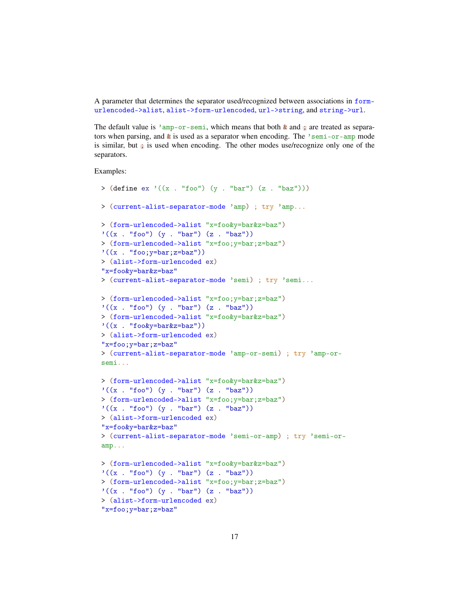A parameter that determines the separator used/recognized between associations in formurlencoded->alist, alist->form-urlencoded, url->string, and string->url.

The default value is 'amp-or-semi, which means that both  $\&$  and ; are treated as separators when parsing, and  $\&$  is used as a separator when encoding. The 'semi-or-amp mode is similar, but ; is used when encoding. The other modes use/recognize only one of the separators.

Examples:

```
> (define ex '((x . "foo") (y . "bar") (z . "baz")))
> (current-alist-separator-mode 'amp) ; try 'amp...
> (form-urlencoded->alist "x=foo&y=bar&z=baz")
'((x . "foo") (y . "bar") (z . "baz"))> (form-urlencoded->alist "x=foo;y=bar;z=baz")
'((x \tcdot "foo; y=bar; z=baz"))> (alist->form-urlencoded ex)
"x=foo&y=bar&z=baz"
> (current-alist-separator-mode 'semi) ; try 'semi...
> (form-urlencoded->alist "x=foo;y=bar;z=baz")
'((x \tcdot "foo") (y \tcdot "bar") (z \tcdot "baz"))> (form-urlencoded->alist "x=foo&y=bar&z=baz")
'((x . "foo&y=bar&z=baz"))
> (alist->form-urlencoded ex)
"x=foo;y=bar;z=baz"
> (current-alist-separator-mode 'amp-or-semi) ; try 'amp-or-
semi...
> (form-urlencoded->alist "x=foo&y=bar&z=baz")
'((x : "foo") (y : "bar") (z : "baz"))> (form-urlencoded->alist "x=foo;y=bar;z=baz")
'((x . "foo") (y . "bar") (z . "baz"))> (alist->form-urlencoded ex)
"x=foo&y=bar&z=baz"
> (current-alist-separator-mode 'semi-or-amp) ; try 'semi-or-
amp...
> (form-urlencoded->alist "x=foo&y=bar&z=baz")
'((x \tcdot "foo") (y \tcdot "bar") (z \tcdot "baz"))> (form-urlencoded->alist "x=foo;y=bar;z=baz")
'((x . "foo") (y . "bar") (z . "baz"))> (alist->form-urlencoded ex)
"x=foo;y=bar;z=baz"
```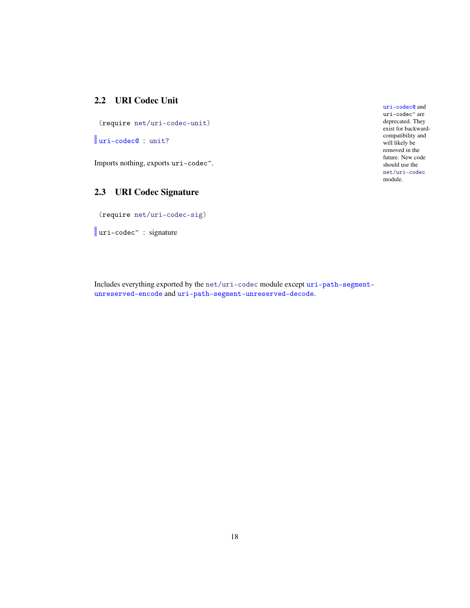#### <span id="page-17-0"></span>2.2 URI Codec Unit

(require net/uri-codec-unit)

uri-codec@ : unit?

Imports nothing, exports uri-codec^.

## <span id="page-17-1"></span>2.3 URI Codec Signature

(require net/uri-codec-sig)

uri-codec<sup>o</sup> : signature

uri-codec@ and uri-codec^ are deprecated. They exist for backwardcompatibility and will likely be removed in the future. New code should use the net/uri-codec module.

Includes everything exported by the net/uri-codec module except uri-path-segmentunreserved-encode and uri-path-segment-unreserved-decode.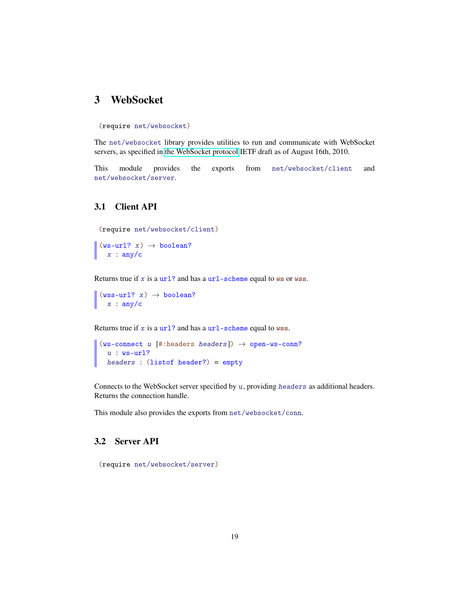## <span id="page-18-0"></span>3 WebSocket

(require net/websocket)

The net/websocket library provides utilities to run and communicate with WebSocket servers, as specified in [the WebSocket protocol](http://www.whatwg.org/specs/web-socket-protocol/) IETF draft as of August 16th, 2010.

This module provides the exports from net/websocket/client and net/websocket/server.

#### <span id="page-18-1"></span>3.1 Client API

```
(require net/websocket/client)
```

```
(ws-url? x) \rightarrow boolean?x : any/c
```
Returns true if  $x$  is a url? and has a url-scheme equal to ws or wss.

 $(wss-url? x) \rightarrow boolean?$  $x : any/c$ 

Returns true if x is a  $ur1$ ? and has a  $ur1$ -scheme equal to wss.

```
(ws-connect u [#:headsrs headers]) \rightarrow open-ws-conn?u : ws-url?
  headers : (listof header?) = empty
```
Connects to the WebSocket server specified by  $u$ , providing headers as additional headers. Returns the connection handle.

This module also provides the exports from net/websocket/conn.

#### <span id="page-18-2"></span>3.2 Server API

(require net/websocket/server)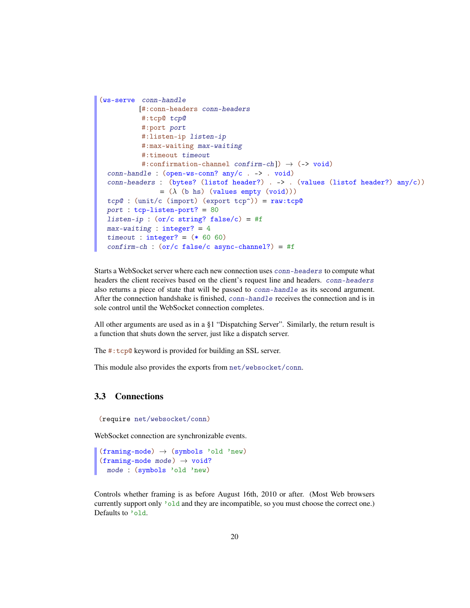```
(ws-serve conn-handle
          [#:conn-headers conn-headers
          #:tcp@ tcp@
           #:port port
           #:listen-ip listen-ip
           #:max-waiting max-waiting
           #:timeout timeout
           #:confirmation-channel confirm-ch]) \rightarrow (-> void)
 conn-handle : (open-ws-conn? any/c . -> . void)
 conn-headers : (bytes? (listof header?) . -> . (values (listof header?) any/c))
                = (\lambda \text{ (b hs) (values empty (void)))}tcp@ : (unit/c (import) (export tcp<sup>\hat{ }</sup>)) = raw:tcp@
 port : tcp-listen-port? = 80
 listen-ip : (or/c string? false/c) = #fmax-waiting : integer? = 4
 timeout: integer? = (* 60 60)confirm-ch : (or/c false/c async-channel?) = #f
```
Starts a WebSocket server where each new connection uses conn-headers to compute what headers the client receives based on the client's request line and headers. conn-headers also returns a piece of state that will be passed to conn-handle as its second argument. After the connection handshake is finished, conn-handle receives the connection and is in sole control until the WebSocket connection completes.

All other arguments are used as in a §1 "Dispatching Server". Similarly, the return result is a function that shuts down the server, just like a dispatch server.

The #:tcp@ keyword is provided for building an SSL server.

This module also provides the exports from net/websocket/conn.

#### <span id="page-19-0"></span>3.3 Connections

```
(require net/websocket/conn)
```
WebSocket connection are synchronizable events.

```
(framing-mode) \rightarrow (symbolS) 'old 'new)
(framing-mode mode) \rightarrow void?
  mode : (symbols 'old 'new)
```
Controls whether framing is as before August 16th, 2010 or after. (Most Web browsers currently support only 'old and they are incompatible, so you must choose the correct one.) Defaults to 'old.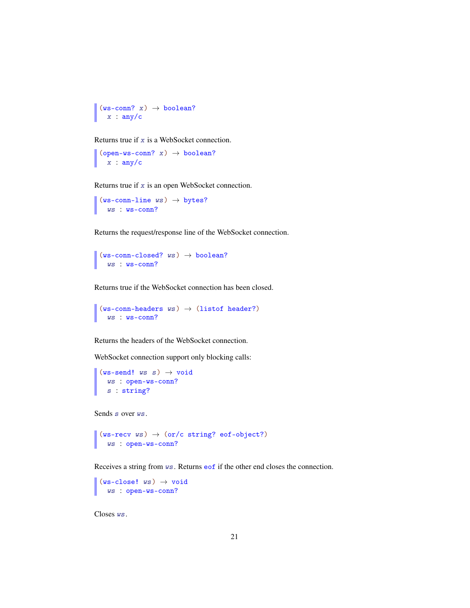```
(ws-conn? x) \rightarrow boolean?x : any/c
```
Returns true if x is a WebSocket connection.

 $(open-ws-conn? x) \rightarrow boolean?$  $x : any/c$ 

Returns true if x is an open WebSocket connection.

 $(ws-conn-line ws) \rightarrow bytes?$ ws : ws-conn?

Returns the request/response line of the WebSocket connection.

 $(ws-conn-closed?$   $ws)$   $\rightarrow$  boolean? ws : ws-conn?

Returns true if the WebSocket connection has been closed.

```
(ws-conn-headers ws) \rightarrow (listof header?)ws : ws-conn?
```
Returns the headers of the WebSocket connection.

WebSocket connection support only blocking calls:

```
(ws-send! ws s) \rightarrow voidws : open-ws-conn?
  s : string?
```
Sends s over  $ws$ .

```
\vert (ws-recv ws) \rightarrow (or/c string? eof-object?)
   ws : open-ws-conn?
```
Receives a string from ws. Returns eof if the other end closes the connection.

```
(ws-close! ws) \rightarrow voidws : open-ws-conn?
```
Closes ws.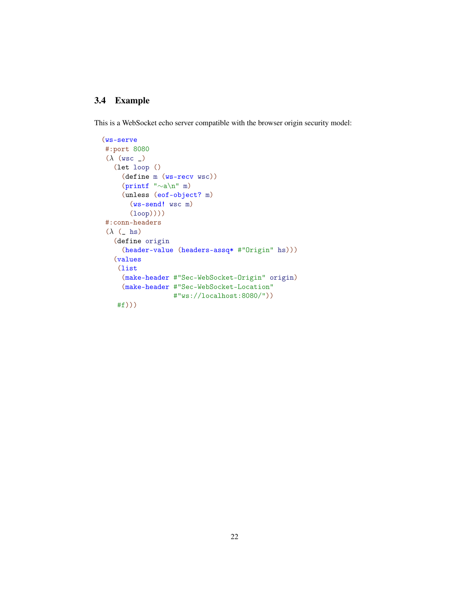#### <span id="page-21-0"></span>3.4 Example

This is a WebSocket echo server compatible with the browser origin security model:

```
(ws-serve
#:port 8080
(\lambda (wsc _{-})(let loop ()
     (define m (ws-recv wsc))
     (printf "∼a\n" m)
     (unless (eof-object? m)
       (ws-send! wsc m)
       (loop))))
#:conn-headers
(\lambda (\Delta hs)
   (define origin
     (header-value (headers-assq* #"Origin" hs)))
   (values
    (list
     (make-header #"Sec-WebSocket-Origin" origin)
     (make-header #"Sec-WebSocket-Location"
                   #"ws://localhost:8080/"))
    #f)))
```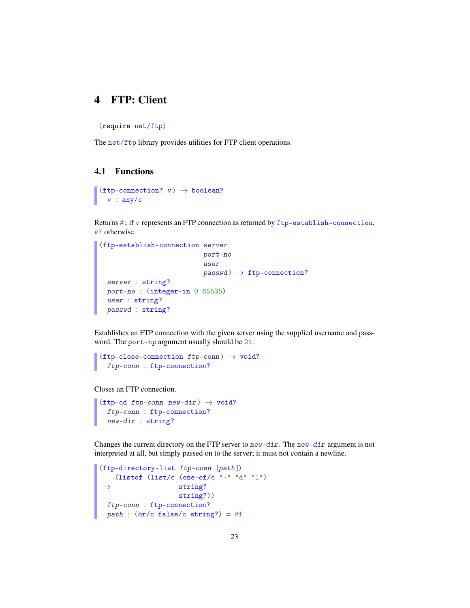## <span id="page-22-0"></span>4 FTP: Client

(require net/ftp)

The net/ftp library provides utilities for FTP client operations.

#### <span id="page-22-1"></span>4.1 Functions

```
(ftp-connection? v) \rightarrow boolean?v : any/c
```
Returns #t if v represents an FTP connection as returned by ftp-establish-connection, #f otherwise.

```
(ftp-establish-connection server
                            port-no
                            user
                            passwd) \rightarrowfty ftp-connection?
 server : string?
  port-no : (integer-in 0 65535)
  user : string?
 passwd : string?
```
Establishes an FTP connection with the given server using the supplied username and password. The port-np argument usually should be 21.

```
(ttp\text{-}close\text{-}connection \hspace{0.1cm}ftp\text{-}conn) \rightarrow void?
   ftp-conn : ftp-connection?
```
Closes an FTP connection.

```
(ftp-cd ftp-conn new-dir) \rightarrow void?
  ftp-conn : ftp-connection?
  new-dir : string?
```
Changes the current directory on the FTP server to new-dir. The new-dir argument is not interpreted at all, but simply passed on to the server; it must not contain a newline.

```
(ftp-directory-list ftp-conn [path])
 \rightarrow(listof (list/c (one-of/c "-" "d" "l")
                   string?
                   string?))
ftp-conn : ftp-connection?
 path : (or/c false/c string?) = #f
```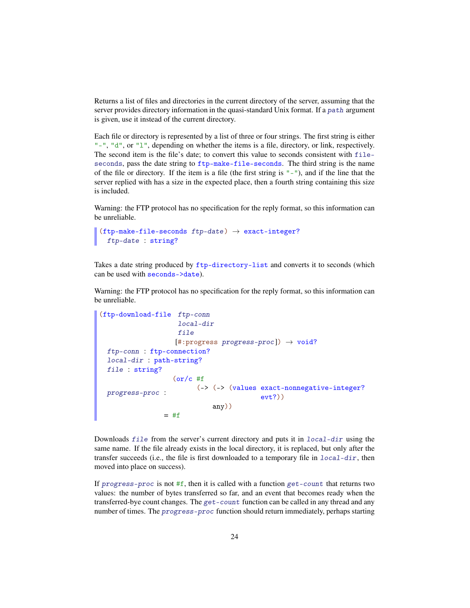Returns a list of files and directories in the current directory of the server, assuming that the server provides directory information in the quasi-standard Unix format. If a path argument is given, use it instead of the current directory.

Each file or directory is represented by a list of three or four strings. The first string is either " $-$ ", "d", or "l", depending on whether the items is a file, directory, or link, respectively. The second item is the file's date; to convert this value to seconds consistent with fileseconds, pass the date string to ftp-make-file-seconds. The third string is the name of the file or directory. If the item is a file (the first string is "-"), and if the line that the server replied with has a size in the expected place, then a fourth string containing this size is included.

Warning: the FTP protocol has no specification for the reply format, so this information can be unreliable.

```
(ttp\text{-make-file}-seconds\ ftp\text{-date}) \rightarrow exact\text{-integer?}ftp-date : string?
```
Takes a date string produced by ftp-directory-list and converts it to seconds (which can be used with seconds->date).

Warning: the FTP protocol has no specification for the reply format, so this information can be unreliable.

```
(ftp-download-file ftp-conn
                   local-dir
                   file
                  [#:progress progress-proc]) \rightarrow void?ftp-conn : ftp-connection?
 local-dir : path-string?
 file : string?
 progress-proc :
                  (or/c #f
                  (-> (-> (values exact-nonnegative-integer?
                                      evt?))
                            any))
                = #f
```
Downloads file from the server's current directory and puts it in local-dir using the same name. If the file already exists in the local directory, it is replaced, but only after the transfer succeeds (i.e., the file is first downloaded to a temporary file in local-dir, then moved into place on success).

If progress-proc is not  $#f$ , then it is called with a function get-count that returns two values: the number of bytes transferred so far, and an event that becomes ready when the transferred-bye count changes. The get-count function can be called in any thread and any number of times. The progress-proc function should return immediately, perhaps starting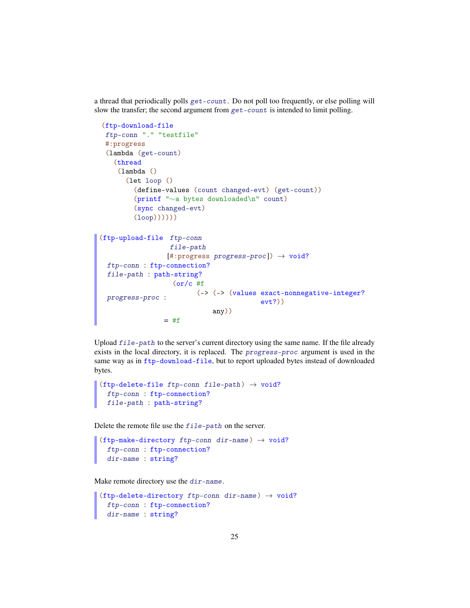a thread that periodically polls get-count. Do not poll too frequently, or else polling will slow the transfer; the second argument from get-count is intended to limit polling.

```
(ftp-download-file
 ftp-conn "." "testfile"
 #:progress
 (lambda (get-count)
   (thread
    (lambda ()
      (let loop ()
        (define-values (count changed-evt) (get-count))
        (printf "∼a bytes downloaded\n" count)
        (sync changed-evt)
        (loop))))))
(ftp-upload-file ftp-conn
                  file-path
                 [#:progress\ progress-proc]) \rightarrow void?ftp-conn : ftp-connection?
 file-path : path-string?
 progress-proc :
                (or/c #f
                       (-> (-> (values exact-nonnegative-integer?
                                         evt?))
                            any))
                = #f
```
Upload file-path to the server's current directory using the same name. If the file already exists in the local directory, it is replaced. The progress-proc argument is used in the same way as in ftp-download-file, but to report uploaded bytes instead of downloaded bytes.

```
(ftp-delete-file ftp-conn file-path) \rightarrow void?
  ftp-conn : ftp-connection?
  file-path : path-string?
```
Delete the remote file use the file-path on the server.

```
(ftp-make-directory ftp-conn dir-name) \rightarrow void?
  ftp-conn : ftp-connection?
  dir-name : string?
```
Make remote directory use the dir-name.

```
(ftp-delete-directory ftp-conn dir-name) \rightarrow void?
  ftp-conn : ftp-connection?
 dir-name : string?
```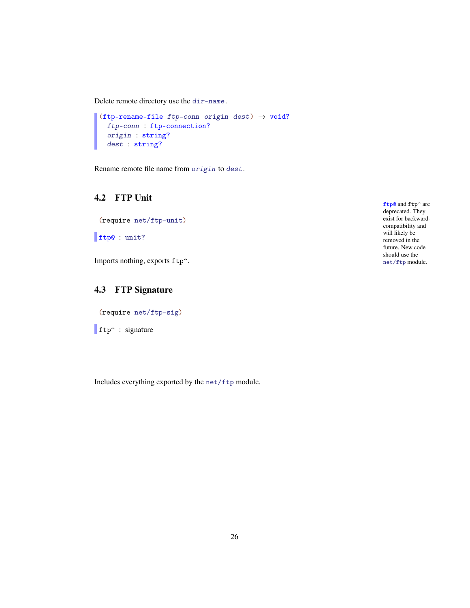Delete remote directory use the dir-name.

```
(ftp-rename-file ftp-conn origin dest) \rightarrow void?
  ftp-conn : ftp-connection?
  origin : string?
  dest : string?
```
Rename remote file name from origin to dest.

#### <span id="page-25-0"></span>4.2 FTP Unit

(require net/ftp-unit)

ftp@ : unit?

Imports nothing, exports ftp<sup>^</sup>.

### <span id="page-25-1"></span>4.3 FTP Signature

(require net/ftp-sig)

 $\int$  ftp<sup> $\sim$ </sup> : signature

Includes everything exported by the net/ftp module.

ftp@ and ftp^ are deprecated. They exist for backwardcompatibility and will likely be removed in the future. New code should use the net/ftp module.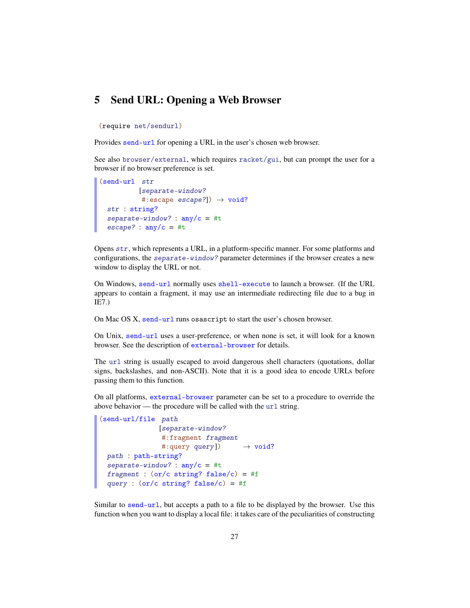#### <span id="page-26-0"></span>5 Send URL: Opening a Web Browser

(require net/sendurl)

Provides send-url for opening a URL in the user's chosen web browser.

See also browser/external, which requires racket/gui, but can prompt the user for a browser if no browser preference is set.

```
(send-url str
          [separate-window?
           #:escape escape?]) \rightarrow void?
 str : string?
 separate-window? : any/c = #tescape? : \text{any/c} = #t
```
Opens str, which represents a URL, in a platform-specific manner. For some platforms and configurations, the separate-window? parameter determines if the browser creates a new window to display the URL or not.

On Windows, send-url normally uses shell-execute to launch a browser. (If the URL appears to contain a fragment, it may use an intermediate redirecting file due to a bug in IE7.)

On Mac OS X, send-url runs osascript to start the user's chosen browser.

On Unix, send-url uses a user-preference, or when none is set, it will look for a known browser. See the description of external-browser for details.

The url string is usually escaped to avoid dangerous shell characters (quotations, dollar signs, backslashes, and non-ASCII). Note that it is a good idea to encode URLs before passing them to this function.

On all platforms, external-browser parameter can be set to a procedure to override the above behavior — the procedure will be called with the url string.

```
(send-url/file path
                [separate-window?
                 #:fragment fragment
                 #: query query]) \rightarrow void?
 path : path-string?
 separate-window? : \text{any/c} = #tfragment : (or/c \text{ string? false}/c) = #fquery : (or/c \text{ string? false}/c) = #f
```
Similar to send-url, but accepts a path to a file to be displayed by the browser. Use this function when you want to display a local file: it takes care of the peculiarities of constructing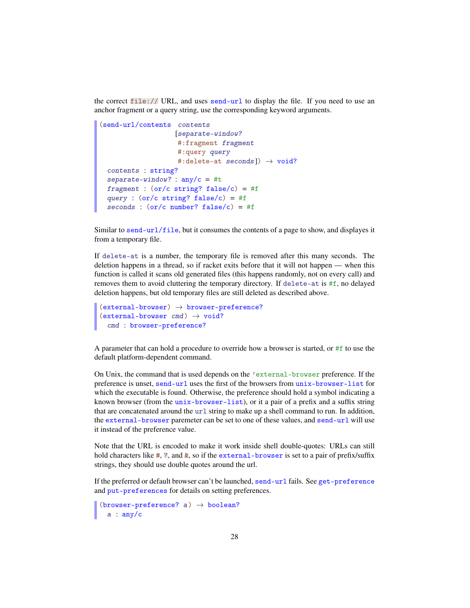the correct  $file://URL, and uses send-url to display the file. If you need to use an$ anchor fragment or a query string, use the corresponding keyword arguments.

```
(send-url/contents contents
                     [separate-window?
                     #:fragment fragment
                      #:query query
                      #:delete-at seconds]) \rightarrow void?
 contents : string?
 separate-window? : \text{any}/\text{c} = #tfragment : (or/c \text{ string? false}/c) = #fquery : (or/c \text{ string? false}/c) = #fseconds : (or/c number? false/c) = #f
```
Similar to send-url/file, but it consumes the contents of a page to show, and displayes it from a temporary file.

If delete-at is a number, the temporary file is removed after this many seconds. The deletion happens in a thread, so if racket exits before that it will not happen — when this function is called it scans old generated files (this happens randomly, not on every call) and removes them to avoid cluttering the temporary directory. If delete-at is #f, no delayed deletion happens, but old temporary files are still deleted as described above.

```
(external-brouser) \rightarrow browser-preference?(\text{external-brouser} \text{cmd}) \rightarrow \text{void?}cmd : browser-preference?
```
A parameter that can hold a procedure to override how a browser is started, or  $#f$  to use the default platform-dependent command.

On Unix, the command that is used depends on the 'external-browser preference. If the preference is unset, send-url uses the first of the browsers from unix-browser-list for which the executable is found. Otherwise, the preference should hold a symbol indicating a known browser (from the unix-browser-list), or it a pair of a prefix and a suffix string that are concatenated around the url string to make up a shell command to run. In addition, the external-browser paremeter can be set to one of these values, and send-url will use it instead of the preference value.

Note that the URL is encoded to make it work inside shell double-quotes: URLs can still hold characters like  $\#$ ,  $\mathbb{R}$ , and  $\&$ , so if the external-browser is set to a pair of prefix/suffix strings, they should use double quotes around the url.

If the preferred or default browser can't be launched, send-url fails. See get-preference and put-preferences for details on setting preferences.

```
(browser-preference? a) \rightarrow boolean?
  a : any/c
```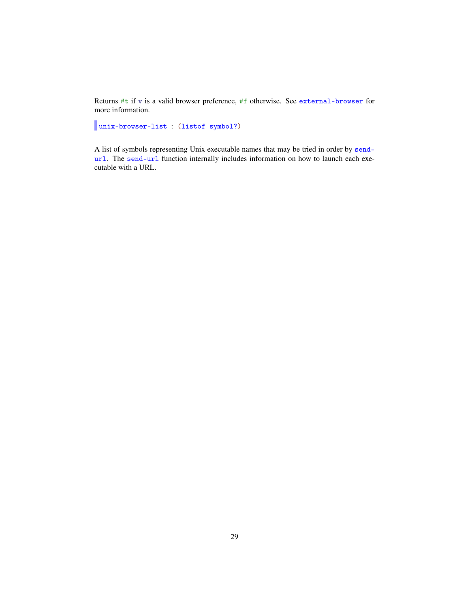Returns #t if v is a valid browser preference, #f otherwise. See external-browser for more information.

unix-browser-list : (listof symbol?)

A list of symbols representing Unix executable names that may be tried in order by sendurl. The send-url function internally includes information on how to launch each executable with a URL.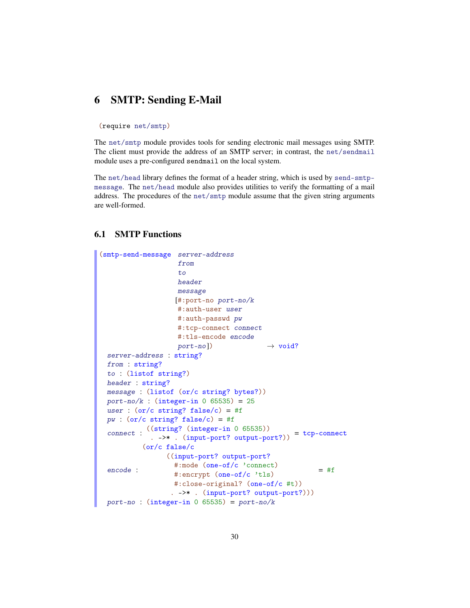## <span id="page-29-0"></span>6 SMTP: Sending E-Mail

#### (require net/smtp)

The net/smtp module provides tools for sending electronic mail messages using SMTP. The client must provide the address of an SMTP server; in contrast, the net/sendmail module uses a pre-configured sendmail on the local system.

The net/head library defines the format of a header string, which is used by send-smtpmessage. The net/head module also provides utilities to verify the formatting of a mail address. The procedures of the net/smtp module assume that the given string arguments are well-formed.

#### <span id="page-29-1"></span>6.1 SMTP Functions

```
(smtp-send-message server-address
                    from
                    to
                   header
                   message
                   [#:port-no port-no/k
                   #:auth-user user
                   #:auth-passwd pw
                   #:tcp-connect connect
                   #:tls-encode encode
                   port-no]) \rightarrow void?server-address : string?
 from : string?
 to : (listof string?)
 header : string?
 message : (listof (or/c string? bytes?))
 port-no/k : (integer-in 0 65535) = 25
 user : (or/c \text{ string? false}/c) = #fpw : (or/c string? false/c) = #f
  connect :
((string? (integer-in 0 65535))
             . -> * . (input-port? output-port?)) = tcp-connect
 encode :
           (or/c false/c
                ((input-port? output-port?
                  #:mode (one-of/c 'connect)
                  #:encrypt (one-of/c 'tls)
                  #:close-original? (one-of/c #t))
                  . ->* . (input-port? output-port?)))
                                                        = #f
 port-no : (integer-in 0 65535) = port-no/k
```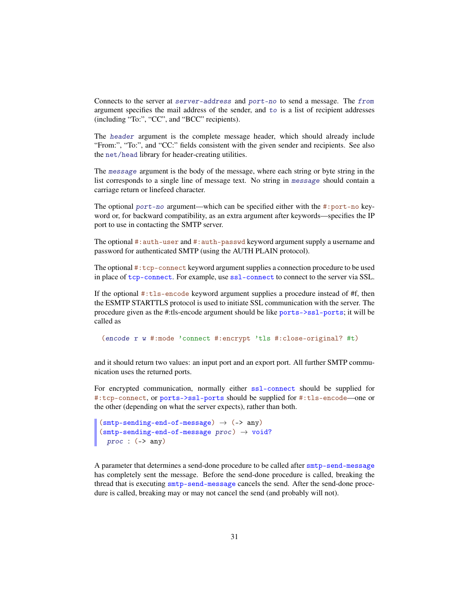Connects to the server at server-address and port-no to send a message. The from argument specifies the mail address of the sender, and to is a list of recipient addresses (including "To:", "CC", and "BCC" recipients).

The header argument is the complete message header, which should already include "From:", "To:", and "CC:" fields consistent with the given sender and recipients. See also the net/head library for header-creating utilities.

The message argument is the body of the message, where each string or byte string in the list corresponds to a single line of message text. No string in message should contain a carriage return or linefeed character.

The optional  $port-no$  argument—which can be specified either with the #:port-no keyword or, for backward compatibility, as an extra argument after keywords—specifies the IP port to use in contacting the SMTP server.

The optional #:auth-user and #:auth-passwd keyword argument supply a username and password for authenticated SMTP (using the AUTH PLAIN protocol).

The optional #:tcp-connect keyword argument supplies a connection procedure to be used in place of tcp-connect. For example, use ssl-connect to connect to the server via SSL.

If the optional  $\#$ : tls-encode keyword argument supplies a procedure instead of  $\#$ f, then the ESMTP STARTTLS protocol is used to initiate SSL communication with the server. The procedure given as the #:tls-encode argument should be like ports->ssl-ports; it will be called as

(encode r w #:mode 'connect #:encrypt 'tls #:close-original? #t)

and it should return two values: an input port and an export port. All further SMTP communication uses the returned ports.

For encrypted communication, normally either ssl-connect should be supplied for #:tcp-connect, or ports->ssl-ports should be supplied for #:tls-encode—one or the other (depending on what the server expects), rather than both.

```
(smtp-sending-end-of-message) \rightarrow (->any)(smtp-sending-end-of-message proc) \rightarrow void?proc : (->any)
```
A parameter that determines a send-done procedure to be called after smtp-send-message has completely sent the message. Before the send-done procedure is called, breaking the thread that is executing smtp-send-message cancels the send. After the send-done procedure is called, breaking may or may not cancel the send (and probably will not).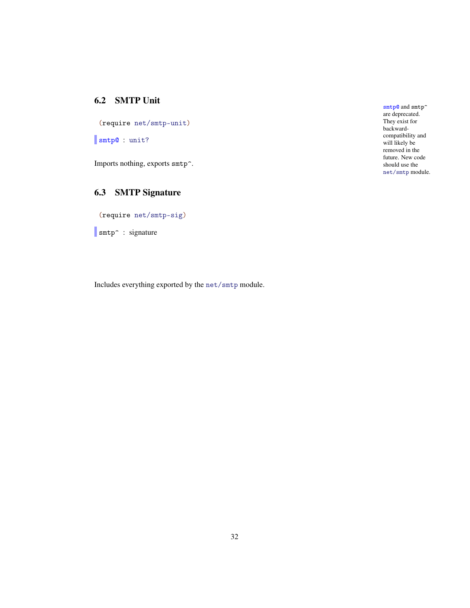#### <span id="page-31-0"></span>6.2 SMTP Unit

(require net/smtp-unit)

smtp@ : unit?

Imports nothing, exports smtp^.

## <span id="page-31-1"></span>6.3 SMTP Signature

(require net/smtp-sig)

smtp<sup>2</sup> : signature

Includes everything exported by the net/smtp module.

smtp@ and smtp^ are deprecated. They exist for backwardcompatibility and will likely be removed in the future. New code should use the net/smtp module.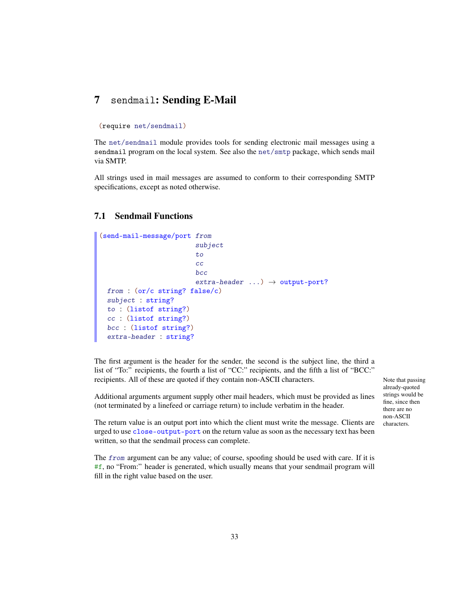## <span id="page-32-0"></span>7 sendmail: Sending E-Mail

#### (require net/sendmail)

The net/sendmail module provides tools for sending electronic mail messages using a sendmail program on the local system. See also the net/smtp package, which sends mail via SMTP.

All strings used in mail messages are assumed to conform to their corresponding SMTP specifications, except as noted otherwise.

#### <span id="page-32-1"></span>7.1 Sendmail Functions

```
(send-mail-message/port from
                         subject
                          to
                         cc
                         bcc
                          extra-header \dots) \rightarrow output-port?
 from : (or/c string? false/c)
 subject : string?
 to : (listof string?)
 cc : (listof string?)
 bcc : (listof string?)
 extra-header : string?
```
The first argument is the header for the sender, the second is the subject line, the third a list of "To:" recipients, the fourth a list of "CC:" recipients, and the fifth a list of "BCC:" recipients. All of these are quoted if they contain non-ASCII characters. Note that passing

Additional arguments argument supply other mail headers, which must be provided as lines (not terminated by a linefeed or carriage return) to include verbatim in the header.

already-quoted strings would be fine, since then there are no non-ASCII characters.

The return value is an output port into which the client must write the message. Clients are urged to use close-output-port on the return value as soon as the necessary text has been written, so that the sendmail process can complete.

The *from* argument can be any value; of course, spoofing should be used with care. If it is #f, no "From:" header is generated, which usually means that your sendmail program will fill in the right value based on the user.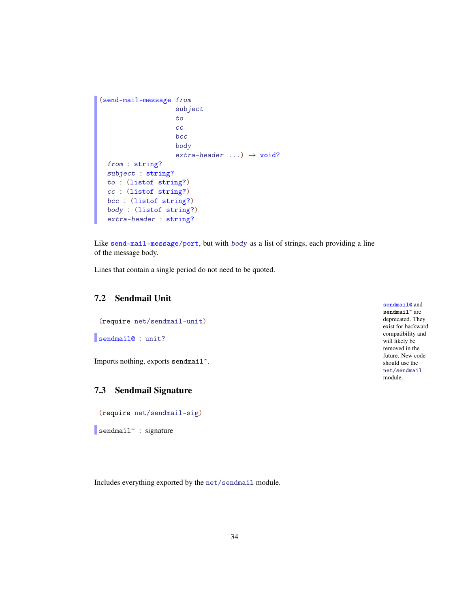```
(send-mail-message from
                    subject
                    to
                    cc
                    bcc
                    body
                    extra-header \ldots) \rightarrow void?
 from : string?
 subject : string?
 to : (listof string?)
 cc : (listof string?)
 bcc : (listof string?)
 body : (listof string?)
  extra-header : string?
```
Like send-mail-message/port, but with body as a list of strings, each providing a line of the message body.

Lines that contain a single period do not need to be quoted.

#### <span id="page-33-0"></span>7.2 Sendmail Unit

(require net/sendmail-unit)

```
sendmail@ : unit?
```
Imports nothing, exports sendmail^.

#### <span id="page-33-1"></span>7.3 Sendmail Signature

(require net/sendmail-sig)

sendmail<sup>^</sup> : signature

Includes everything exported by the net/sendmail module.

sendmail@ and  $\texttt{sendmail}$  are deprecated. They exist for backwardcompatibility and will likely be removed in the future. New code should use the net/sendmail module.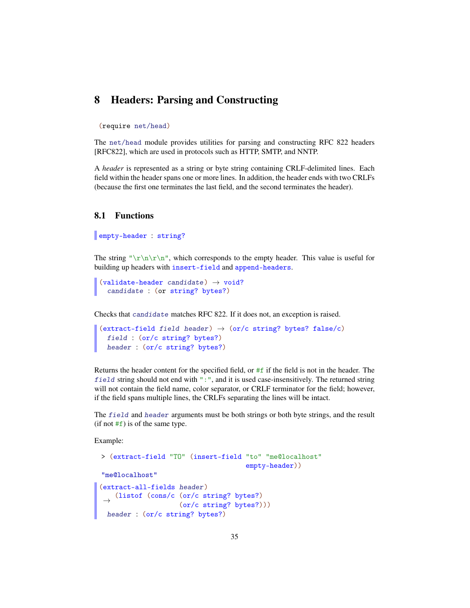#### <span id="page-34-0"></span>8 Headers: Parsing and Constructing

#### (require net/head)

The net/head module provides utilities for parsing and constructing RFC 822 headers [RFC822], which are used in protocols such as HTTP, SMTP, and NNTP.

A *header* is represented as a string or byte string containing CRLF-delimited lines. Each field within the header spans one or more lines. In addition, the header ends with two CRLFs (because the first one terminates the last field, and the second terminates the header).

#### <span id="page-34-1"></span>8.1 Functions

#### empty-header : string?

The string " $\rm\Im\,$   $\rm\Im\,$   $\rm\Im\,$   $\rm\Im\,$   $\rm\Im\,$   $\rm\Im\,$   $\rm\Im\,$   $\rm\Im\,$   $\rm\Im\,$   $\rm\Im\,$   $\rm\Im\,$   $\rm\Im\,$   $\rm\Im\,$   $\rm\Im\,$   $\rm\Im\,$   $\rm\Im\,$   $\rm\Im\,$   $\rm\Im\,$   $\rm\Im\,$   $\rm\Im\,$   $\rm\Im\,$   $\rm\Im\,$   $\rm\Im\,$   $\$ building up headers with insert-field and append-headers.

```
(validate-header candidate) \rightarrow void?candidate : (or string? bytes?)
```
Checks that candidate matches RFC 822. If it does not, an exception is raised.

```
(extract-field field header) \rightarrow (or/c string? bytes? false/c)
  field : (or/c string? bytes?)
 header : (or/c string? bytes?)
```
Returns the header content for the specified field, or #f if the field is not in the header. The field string should not end with ":", and it is used case-insensitively. The returned string will not contain the field name, color separator, or CRLF terminator for the field; however, if the field spans multiple lines, the CRLFs separating the lines will be intact.

The field and header arguments must be both strings or both byte strings, and the result  $(if not #f)$  is of the same type.

Example:

```
> (extract-field "TO" (insert-field "to" "me@localhost"
                                     empty-header))
"me@localhost"
(extract-all-fields header)
 →
(listof (cons/c (or/c string? bytes?)
                   (or/c string? bytes?)))
 header : (or/c string? bytes?)
```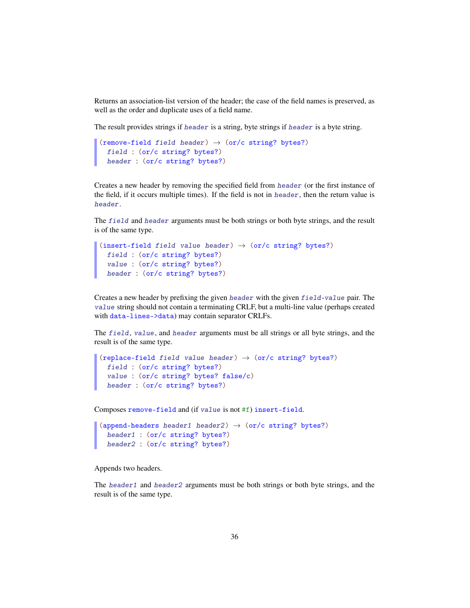Returns an association-list version of the header; the case of the field names is preserved, as well as the order and duplicate uses of a field name.

The result provides strings if header is a string, byte strings if header is a byte string.

```
(remove-field field header) \rightarrow (or/c string? bytes?)
  field : (or/c string? bytes?)
  header : (or/c string? bytes?)
```
Creates a new header by removing the specified field from header (or the first instance of the field, if it occurs multiple times). If the field is not in header, then the return value is header.

The field and header arguments must be both strings or both byte strings, and the result is of the same type.

```
(insert-field field value header) \rightarrow (or/c string? bytes?)
  field : (or/c string? bytes?)
  value : (or/c string? bytes?)
 header : (or/c string? bytes?)
```
Creates a new header by prefixing the given header with the given field-value pair. The value string should not contain a terminating CRLF, but a multi-line value (perhaps created with data-lines->data) may contain separator CRLFs.

The field, value, and header arguments must be all strings or all byte strings, and the result is of the same type.

```
(replace-field field value header) \rightarrow (or/c string? bytes?)
  field : (or/c string? bytes?)
  value : (or/c string? bytes? false/c)
 header : (or/c string? bytes?)
```
Composes remove-field and (if value is not #f) insert-field.

```
(append-headers header1 header2) \rightarrow (or/c string? bytes?)
  header1 : (or/c string? bytes?)
  header2 : (or/c string? bytes?)
```
Appends two headers.

The header1 and header2 arguments must be both strings or both byte strings, and the result is of the same type.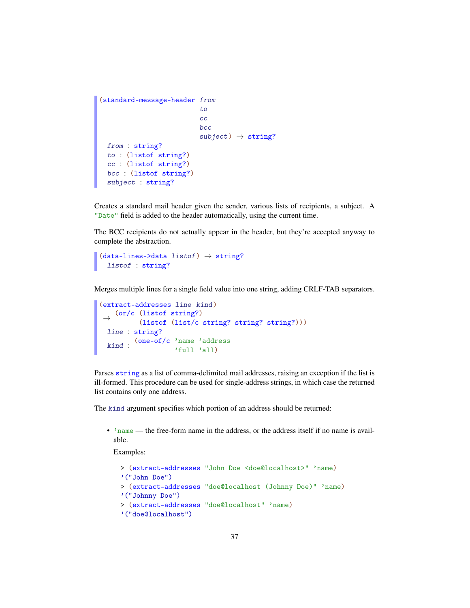```
(standard-message-header from
                          to
                          cc
                          bcc
                          subject) \rightarrow string?from : string?
 to : (listof string?)
 cc : (listof string?)
 bcc : (listof string?)
 subject : string?
```
Creates a standard mail header given the sender, various lists of recipients, a subject. A "Date" field is added to the header automatically, using the current time.

The BCC recipients do not actually appear in the header, but they're accepted anyway to complete the abstraction.

```
(data-Ines-\lambda data listof) \rightarrow string?listof : string?
```
Merges multiple lines for a single field value into one string, adding CRLF-TAB separators.

```
(extract-addresses line kind)
 \rightarrow (or/c (listof string?)
     (listof (list/c string? string? string?)))
 line : string?
  kind :
(one-of/c 'name 'address
                  'full 'all)
```
Parses string as a list of comma-delimited mail addresses, raising an exception if the list is ill-formed. This procedure can be used for single-address strings, in which case the returned list contains only one address.

The kind argument specifies which portion of an address should be returned:

• 'name — the free-form name in the address, or the address itself if no name is available.

Examples:

```
> (extract-addresses "John Doe <doe@localhost>" 'name)
'("John Doe")
> (extract-addresses "doe@localhost (Johnny Doe)" 'name)
'("Johnny Doe")
> (extract-addresses "doe@localhost" 'name)
'("doe@localhost")
```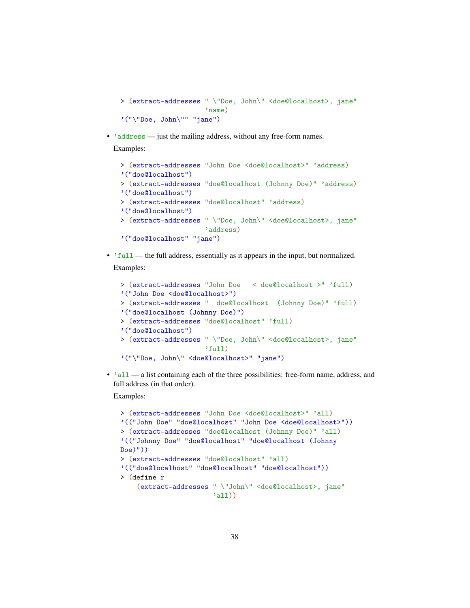```
> (extract-addresses " \"Doe, John\" <doe@localhost>, jane"
                     'name)
'("\"Doe, John\"" "jane")
```
• 'address — just the mailing address, without any free-form names. Examples:

```
> (extract-addresses "John Doe <doe@localhost>" 'address)
'("doe@localhost")
> (extract-addresses "doe@localhost (Johnny Doe)" 'address)
'("doe@localhost")
> (extract-addresses "doe@localhost" 'address)
'("doe@localhost")
> (extract-addresses " \"Doe, John\" <doe@localhost>, jane"
                     'address)
'("doe@localhost" "jane")
```
• 'full — the full address, essentially as it appears in the input, but normalized. Examples:

```
> (extract-addresses "John Doe < doe@localhost >" 'full)
'("John Doe <doe@localhost>")
> (extract-addresses " doe@localhost (Johnny Doe)" 'full)
'("doe@localhost (Johnny Doe)")
> (extract-addresses "doe@localhost" 'full)
'("doe@localhost")
> (extract-addresses " \"Doe, John\" <doe@localhost>, jane"
                     'full)
'("\"Doe, John\" <doe@localhost>" "jane")
```
• 'all — a list containing each of the three possibilities: free-form name, address, and full address (in that order).

Examples:

```
> (extract-addresses "John Doe <doe@localhost>" 'all)
'(("John Doe" "doe@localhost" "John Doe <doe@localhost>"))
> (extract-addresses "doe@localhost (Johnny Doe)" 'all)
'(("Johnny Doe" "doe@localhost" "doe@localhost (Johnny
Doe)"))
> (extract-addresses "doe@localhost" 'all)
'(("doe@localhost" "doe@localhost" "doe@localhost"))
> (define r
    (extract-addresses " \"John\" <doe@localhost>, jane"
                       'all))
```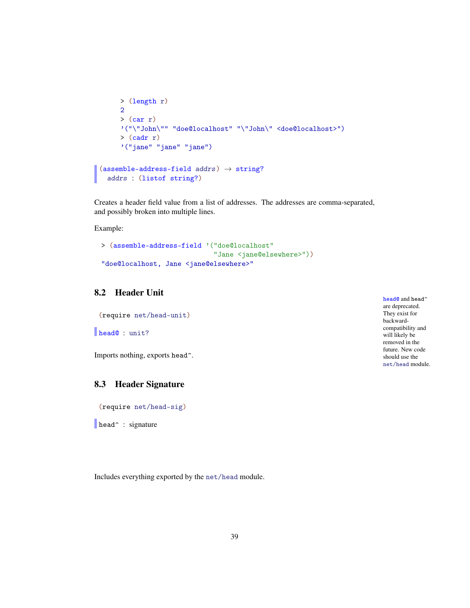```
> (length r)
     2
     >(car r)'("\"John\"" "doe@localhost" "\"John\" <doe@localhost>")
     >(cadr r)'("jane" "jane" "jane")
(\text{assume-address-field } address) \rightarrow string?addrs : (listof string?)
```
Creates a header field value from a list of addresses. The addresses are comma-separated, and possibly broken into multiple lines.

Example:

```
> (assemble-address-field '("doe@localhost"
                            "Jane <jane@elsewhere>"))
"doe@localhost, Jane <jane@elsewhere>"
```
## 8.2 Header Unit

(require net/head-unit)

```
head@ : unit?
```
Imports nothing, exports head^.

### 8.3 Header Signature

(require net/head-sig)

head<sup>^</sup> : signature

Includes everything exported by the net/head module.

| head@ and head^   |
|-------------------|
| are deprecated.   |
| They exist for    |
| backward-         |
| compatibility and |
| will likely be    |
| removed in the    |
| future. New code  |
| should use the    |
| net/head module.  |
|                   |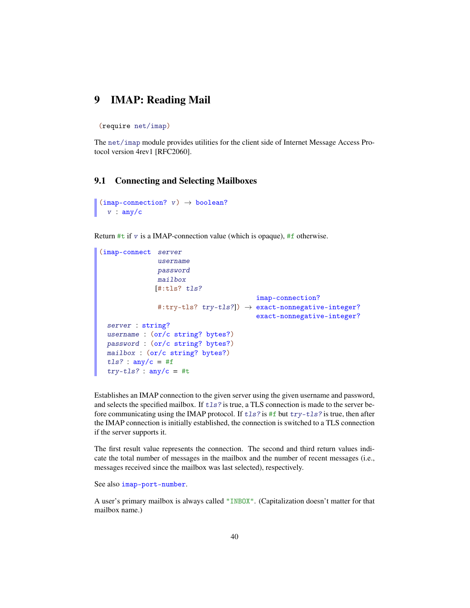## 9 IMAP: Reading Mail

(require net/imap)

The net/imap module provides utilities for the client side of Internet Message Access Protocol version 4rev1 [RFC2060].

#### 9.1 Connecting and Selecting Mailboxes

```
(imap-connection? v) \rightarrow boolean?v : any/c
```
Return #t if v is a IMAP-connection value (which is opaque), #f otherwise.

```
(imap-connect server
              username
              password
              mailbox
              [#:tls? tls?
               #:try-tls? try-tls?]) →
exact-nonnegative-integer?
                                       imap-connection?
                                       exact-nonnegative-integer?
 server : string?
 username : (or/c string? bytes?)
 password : (or/c string? bytes?)
 mailbox : (or/c string? bytes?)
 tls? : any/c = #f
 try-tls? : any/c = #t
```
Establishes an IMAP connection to the given server using the given username and password, and selects the specified mailbox. If  $tls$ ? is true, a TLS connection is made to the server before communicating using the IMAP protocol. If  $tls$ ? is #f but  $try-tls$ ? is true, then after the IMAP connection is initially established, the connection is switched to a TLS connection if the server supports it.

The first result value represents the connection. The second and third return values indicate the total number of messages in the mailbox and the number of recent messages (i.e., messages received since the mailbox was last selected), respectively.

See also imap-port-number.

A user's primary mailbox is always called "INBOX". (Capitalization doesn't matter for that mailbox name.)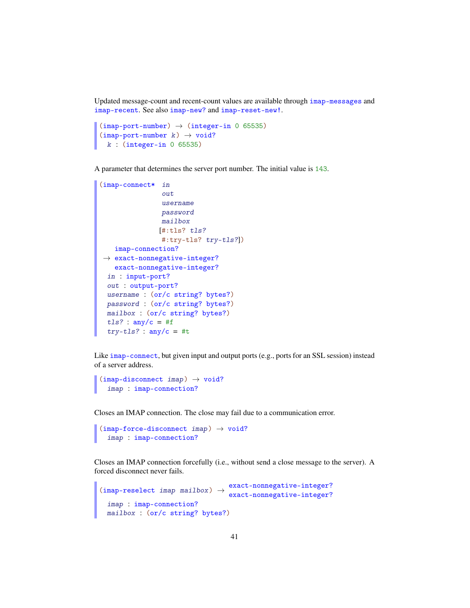Updated message-count and recent-count values are available through imap-messages and imap-recent. See also imap-new? and imap-reset-new!.

```
(imap-port-number) \rightarrow (integer-in 0 65535)
(imap-port-number k) \rightarrow void?k : (integer-in 0 65535)
```
A parameter that determines the server port number. The initial value is 143.

```
(imap-connect* in
               out
               username
               password
               mailbox
               [#:tls? tls?
               #:try-tls? try-tls?])
 →
exact-nonnegative-integer?
   imap-connection?
   exact-nonnegative-integer?
 in : input-port?
 out : output-port?
 username : (or/c string? bytes?)
 password : (or/c string? bytes?)
 mailbox : (or/c string? bytes?)
 tls? : any/c = #f
 try-tls? : any/c = #t
```
Like imap-connect, but given input and output ports (e.g., ports for an SSL session) instead of a server address.

```
(imap-disconnect\ imp) \rightarrow void?
  imap : imap-connection?
```
Closes an IMAP connection. The close may fail due to a communication error.

```
(imap-force-disconnect\;imap) \rightarrow void?imap : imap-connection?
```
Closes an IMAP connection forcefully (i.e., without send a close message to the server). A forced disconnect never fails.

```
(\text{imap-reselect image main}) \rightarrow \text{exact-nomnegative-integers?}exact-nonnegative-integer?
 imap : imap-connection?
 mailbox : (or/c string? bytes?)
```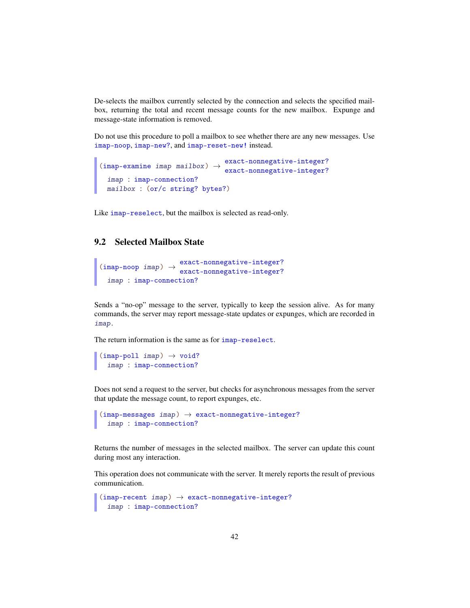De-selects the mailbox currently selected by the connection and selects the specified mailbox, returning the total and recent message counts for the new mailbox. Expunge and message-state information is removed.

Do not use this procedure to poll a mailbox to see whether there are any new messages. Use imap-noop, imap-new?, and imap-reset-new! instead.

```
(\text{imap-examine } \text{imap } \text{main}) \rightarrow exact-nonnegative-integer?
                                      exact-nonnegative-integer?
 imap : imap-connection?
 mailbox : (or/c string? bytes?)
```
Like imap-reselect, but the mailbox is selected as read-only.

### 9.2 Selected Mailbox State

```
(\text{imap-noop } \text{imap}) \rightarrow \text{exact-nomnegative-integers?}exact-nonnegative-integer?
  imap : imap-connection?
```
Sends a "no-op" message to the server, typically to keep the session alive. As for many commands, the server may report message-state updates or expunges, which are recorded in imap.

The return information is the same as for  $\mathbf{image}\text{-}\mathbf{respect}$ .

```
(imap-poll imap) → void?
  imap : imap-connection?
```
Does not send a request to the server, but checks for asynchronous messages from the server that update the message count, to report expunges, etc.

```
(imap-messages imp) \rightarrow exact-nonnegative-integer?imap : imap-connection?
```
Returns the number of messages in the selected mailbox. The server can update this count during most any interaction.

This operation does not communicate with the server. It merely reports the result of previous communication.

```
(imap-recent <i>imap</i>) \rightarrow exact-nonnegative-integer?imap : imap-connection?
```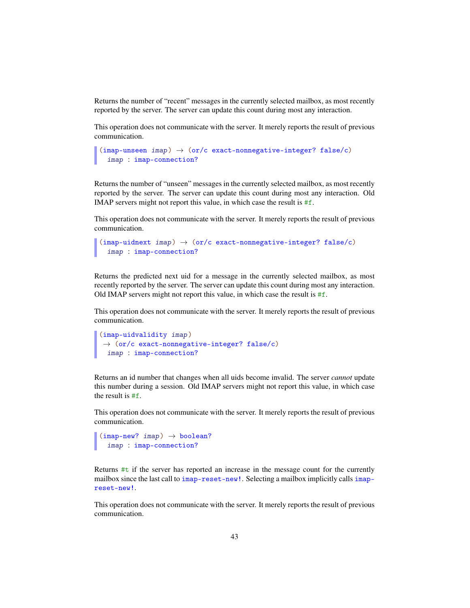Returns the number of "recent" messages in the currently selected mailbox, as most recently reported by the server. The server can update this count during most any interaction.

This operation does not communicate with the server. It merely reports the result of previous communication.

```
(imap-unseen \, \text{imap}) \rightarrow (or/c \, \text{exact-nonnegative-integer? } \, \text{false}/c)imap : imap-connection?
```
Returns the number of "unseen" messages in the currently selected mailbox, as most recently reported by the server. The server can update this count during most any interaction. Old IMAP servers might not report this value, in which case the result is #f.

This operation does not communicate with the server. It merely reports the result of previous communication.

```
(imap-uidnext imap) → (or/c exact-nonnegative-integer? false/c)
 imap : imap-connection?
```
Returns the predicted next uid for a message in the currently selected mailbox, as most recently reported by the server. The server can update this count during most any interaction. Old IMAP servers might not report this value, in which case the result is #f.

This operation does not communicate with the server. It merely reports the result of previous communication.

```
(imap-uidvalidity imap)
\rightarrow (or/c exact-nonnegative-integer? false/c)
 imap : imap-connection?
```
Returns an id number that changes when all uids become invalid. The server *cannot* update this number during a session. Old IMAP servers might not report this value, in which case the result is #f.

This operation does not communicate with the server. It merely reports the result of previous communication.

```
(imap-new? <i>imap</i> \rightarrow boolean?
  imap : imap-connection?
```
Returns  $#t$  if the server has reported an increase in the message count for the currently mailbox since the last call to imap-reset-new!. Selecting a mailbox implicitly calls imapreset-new!.

This operation does not communicate with the server. It merely reports the result of previous communication.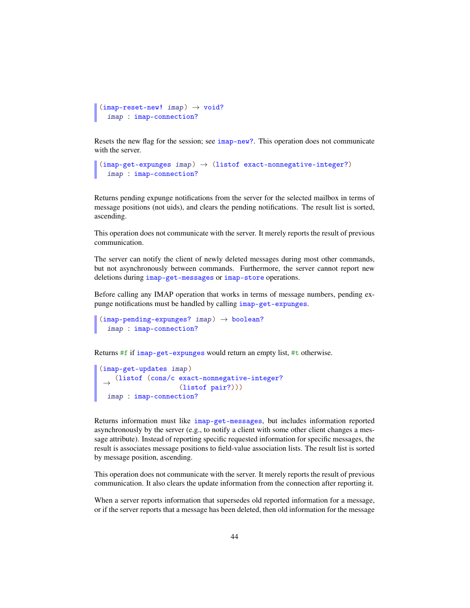```
(imap-reset-new! <i>imap</i> \rightarrow void?
  imap : imap-connection?
```
Resets the new flag for the session; see imap-new?. This operation does not communicate with the server.

```
(imap\text{-}get\text{-}expunges\text{-}map) \rightarrow (listof\text{-}exact\text{-}nonnegative\text{-}integer?)imap : imap-connection?
```
Returns pending expunge notifications from the server for the selected mailbox in terms of message positions (not uids), and clears the pending notifications. The result list is sorted, ascending.

This operation does not communicate with the server. It merely reports the result of previous communication.

The server can notify the client of newly deleted messages during most other commands, but not asynchronously between commands. Furthermore, the server cannot report new deletions during imap-get-messages or imap-store operations.

Before calling any IMAP operation that works in terms of message numbers, pending expunge notifications must be handled by calling imap-get-expunges.

```
(imap-pending-expunges? <i>imap</i> > <math>\rightarrow</math> boolean?imap : imap-connection?
```
Returns #f if imap-get-expunges would return an empty list, #t otherwise.

```
(imap-get-updates imap)
 →
(listof (cons/c exact-nonnegative-integer?
                   (listof pair?)))
 imap : imap-connection?
```
Returns information must like imap-get-messages, but includes information reported asynchronously by the server (e.g., to notify a client with some other client changes a message attribute). Instead of reporting specific requested information for specific messages, the result is associates message positions to field-value association lists. The result list is sorted by message position, ascending.

This operation does not communicate with the server. It merely reports the result of previous communication. It also clears the update information from the connection after reporting it.

When a server reports information that supersedes old reported information for a message, or if the server reports that a message has been deleted, then old information for the message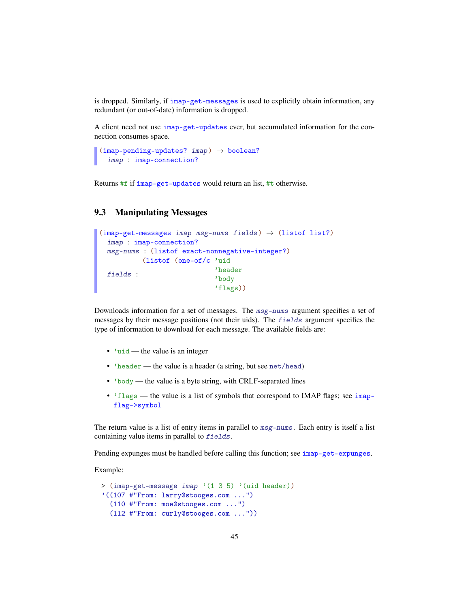is dropped. Similarly, if imap-get-messages is used to explicitly obtain information, any redundant (or out-of-date) information is dropped.

A client need not use imap-get-updates ever, but accumulated information for the connection consumes space.

```
(imap-pending-updates? <i>imap</i> \rightarrow boolean?
  imap : imap-connection?
```
Returns #f if imap-get-updates would return an list, #t otherwise.

#### 9.3 Manipulating Messages

```
(imap-get-messages imp msg-nums fields) \rightarrow (listof list?)
  imap : imap-connection?
 msg-nums : (listof exact-nonnegative-integer?)
 fields :
        (listof (one-of/c 'uid
                             'header
                              'body
                              'flags))
```
Downloads information for a set of messages. The msg-nums argument specifies a set of messages by their message positions (not their uids). The fields argument specifies the type of information to download for each message. The available fields are:

- $\cdot$  'uid the value is an integer
- 'header the value is a header (a string, but see net/head)
- 'body the value is a byte string, with CRLF-separated lines
- 'flags the value is a list of symbols that correspond to IMAP flags; see imapflag->symbol

The return value is a list of entry items in parallel to  $msg$ -nums. Each entry is itself a list containing value items in parallel to fields.

Pending expunges must be handled before calling this function; see imap-get-expunges.

Example:

```
> (imap-get-message imap '(1 3 5) '(uid header))
'((107 #"From: larry@stooges.com ...")
  (110 #"From: moe@stooges.com ...")
  (112 #"From: curly@stooges.com ..."))
```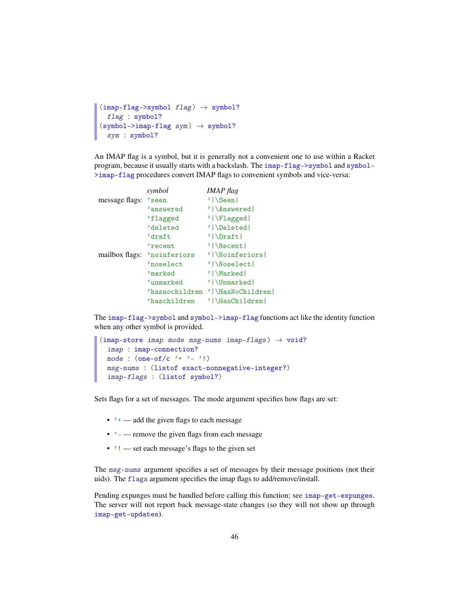```
(imap-flag->symbol 1 flag) \rightarrow symbol?flag : symbol?
(symbol->imap-flag sym) \rightarrow symbol?sym : symbol?
```
An IMAP flag is a symbol, but it is generally not a convenient one to use within a Racket program, because it usually starts with a backslash. The imap-flag->symbol and symbol- >imap-flag procedures convert IMAP flags to convenient symbols and vice-versa:

|                | symbol         | <b>IMAP</b> flag   |
|----------------|----------------|--------------------|
| message flags: | 'seen          | '   \Seen          |
|                | 'answered      | ' \Answered        |
|                | 'flagged       | '   \Flagged       |
|                | deleted        | ' \Deleted         |
|                | 'draft         | ' \Draft           |
|                | 'recent        | $'$   \Recent      |
| mailbox flags: | 'noinferiors   | ' \Noinferiors     |
|                | 'noselect      | ' \Noselect        |
|                | 'marked        | ' \Marked          |
|                | 'unmarked      | ' \Unmarked        |
|                | 'hasnochildren | '   \HasNoChildren |
|                | 'haschildren   | ' \HasChildren     |

The imap-flag->symbol and symbol->imap-flag functions act like the identity function when any other symbol is provided.

```
(imap-store imap mode msg-nums imap-flags) \rightarrow void?
  imap : imap-connection?
 mode : (one-off/c '+ '- '!)
 msg-nums : (listof exact-nonnegative-integer?)
 imap-flags : (listof symbol?)
```
Sets flags for a set of messages. The mode argument specifies how flags are set:

- $\cdot$   $\cdot$  + add the given flags to each message
- $\cdot$  — remove the given flags from each message
- '! set each message's flags to the given set

The msg-nums argument specifies a set of messages by their message positions (not their uids). The flags argument specifies the imap flags to add/remove/install.

Pending expunges must be handled before calling this function; see imap-get-expunges. The server will not report back message-state changes (so they will not show up through imap-get-updates).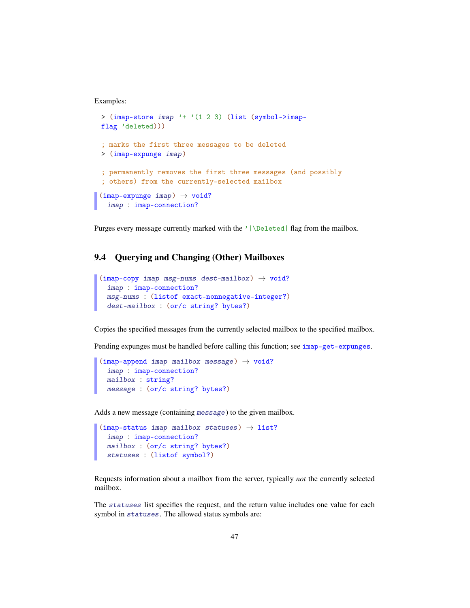Examples:

```
> (imap-store imap '+ '(1 2 3) (list (symbol->imap-
flag 'deleted)))
; marks the first three messages to be deleted
> (imap-expunge imap)
; permanently removes the first three messages (and possibly
; others) from the currently-selected mailbox
(imap-expunge imp) \rightarrow void?imap : imap-connection?
```
Purges every message currently marked with the '|\Deleted| flag from the mailbox.

### 9.4 Querying and Changing (Other) Mailboxes

```
(imap-copy imap msg-nums dest-mailbox) \rightarrow void?
  imap : imap-connection?
 msg-nums : (listof exact-nonnegative-integer?)
  dest-mailbox : (or/c string? bytes?)
```
Copies the specified messages from the currently selected mailbox to the specified mailbox.

Pending expunges must be handled before calling this function; see imap-get-expunges.

```
(imap-append\ imp\ mailbox\ new\ message) \rightarrow void?imap : imap-connection?
  mailbox : string?
  message : (or/c string? bytes?)
```
Adds a new message (containing message) to the given mailbox.

```
(imap-status imap mailbox statuses) \rightarrow list?
  imap : imap-connection?
  mailbox : (or/c string? bytes?)
  statuses : (listof symbol?)
```
Requests information about a mailbox from the server, typically *not* the currently selected mailbox.

The statuses list specifies the request, and the return value includes one value for each symbol in statuses. The allowed status symbols are: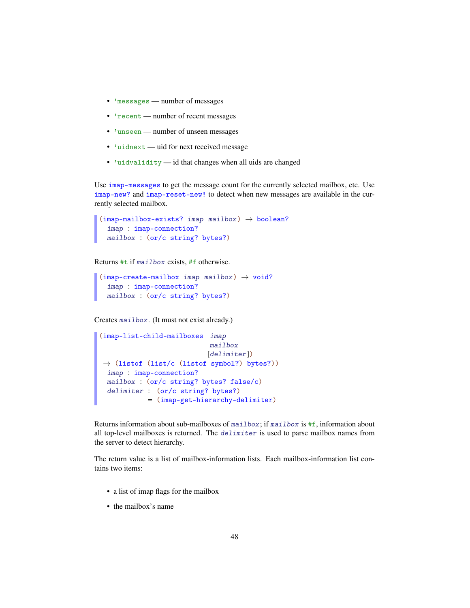- 'messages number of messages
- 'recent number of recent messages
- 'unseen number of unseen messages
- 'uidnext uid for next received message
- 'uidvalidity id that changes when all uids are changed

Use imap-messages to get the message count for the currently selected mailbox, etc. Use imap-new? and imap-reset-new! to detect when new messages are available in the currently selected mailbox.

```
(imap-mailbox-exists? image mailbox) \rightarrow boolean?imap : imap-connection?
  mailbox : (or/c string? bytes?)
```
Returns #t if mailbox exists, #f otherwise.

```
(imap-create-mailbox <i>imap</i> mailbox) <math>\rightarrow</math> void?imap : imap-connection?
  mailbox : (or/c string? bytes?)
```
Creates mailbox. (It must not exist already.)

```
(imap-list-child-mailboxes imap
                            mailbox
                            [delimiter])
\rightarrow (listof (list/c (listof symbol?) bytes?))
 imap : imap-connection?
 mailbox : (or/c string? bytes? false/c)
 delimiter : (or/c string? bytes?)
            = (imap-get-hierarchy-delimiter)
```
Returns information about sub-mailboxes of mailbox; if mailbox is  $#f$ , information about all top-level mailboxes is returned. The delimiter is used to parse mailbox names from the server to detect hierarchy.

The return value is a list of mailbox-information lists. Each mailbox-information list contains two items:

- a list of imap flags for the mailbox
- the mailbox's name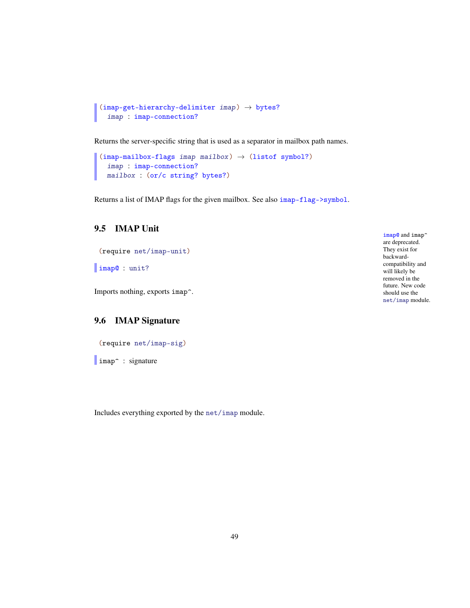```
(imap-get-hierarchy-delimiter \text{ }imp) \rightarrow bytes?
  imap : imap-connection?
```
Returns the server-specific string that is used as a separator in mailbox path names.

```
(imap-mailbox-flags image mailbox) \rightarrow (listof symbol?)
  imap : imap-connection?
  mailbox : (or/c string? bytes?)
```
Returns a list of IMAP flags for the given mailbox. See also imap-flag->symbol.

# 9.5 IMAP Unit

```
(require net/imap-unit)
```
imap@ : unit?

Imports nothing, exports imap^.

### 9.6 IMAP Signature

```
(require net/imap-sig)
```
limap<sup>o</sup> : signature

Includes everything exported by the net/imap module.

imap<sup>o</sup> and imap<sup>o</sup> are deprecated. They exist for backwardcompatibility and will likely be removed in the future. New code should use the net/imap module.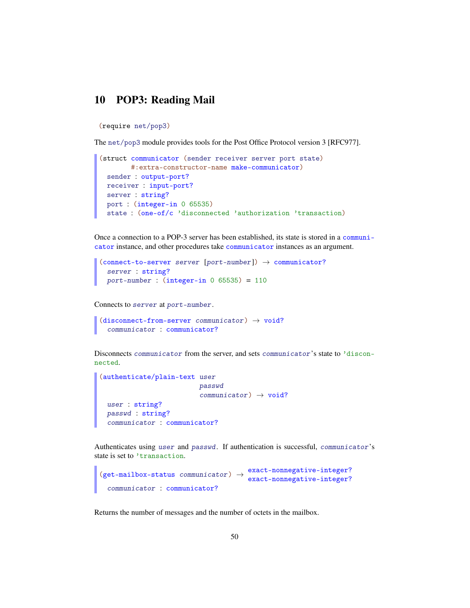# 10 POP3: Reading Mail

(require net/pop3)

The net/pop3 module provides tools for the Post Office Protocol version 3 [RFC977].

```
(struct communicator (sender receiver server port state)
       #:extra-constructor-name make-communicator)
 sender : output-port?
 receiver : input-port?
 server : string?
 port : (integer-in 0 65535)
 state : (one-of/c 'disconnected 'authorization 'transaction)
```
Once a connection to a POP-3 server has been established, its state is stored in a communicator instance, and other procedures take communicator instances as an argument.

```
(connect-to-server server [port-number]) \rightarrow communciator?server : string?
  port-number: (integer-in 0 65535) = 110
```
Connects to server at port-number.

```
(disconnect-from-server communiator) \rightarrow void?communicator : communicator?
```
Disconnects communicator from the server, and sets communicator's state to 'disconnected.

```
(authenticate/plain-text user
                           passwd
                           communication) \rightarrow void?user : string?
  passwd : string?
  communicator : communicator?
```
Authenticates using user and passwd. If authentication is successful, communicator's state is set to 'transaction.

```
(get-mailbox-status communiator) \rightarrow exact-nonnegative-integer?
                                        exact-nonnegative-integer?
 communicator : communicator?
```
Returns the number of messages and the number of octets in the mailbox.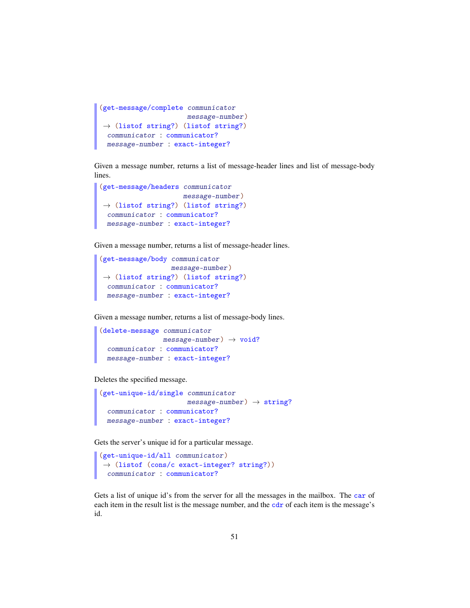```
(get-message/complete communicator
                    message-number)
→ (listof string?) (listof string?)
 communicator : communicator?
 message-number : exact-integer?
```
Given a message number, returns a list of message-header lines and list of message-body lines.

```
(get-message/headers communicator
                   message-number)
 \rightarrow (listof string?) (listof string?)
 communicator : communicator?
 message-number : exact-integer?
```
Given a message number, returns a list of message-header lines.

```
(get-message/body communicator
                  message-number)
\rightarrow (listof string?) (listof string?)
 communicator : communicator?
 message-number : exact-integer?
```
Given a message number, returns a list of message-body lines.

```
(delete-message communicator
               message-number) \rightarrow void?communicator : communicator?
 message-number : exact-integer?
```
Deletes the specified message.

```
(get-unique-id/single communicator
                      message-number) \rightarrow string?communicator : communicator?
 message-number : exact-integer?
```
Gets the server's unique id for a particular message.

```
(get-unique-id/all communicator)
\rightarrow (listof (cons/c exact-integer? string?))
  communicator : communicator?
```
Gets a list of unique id's from the server for all the messages in the mailbox. The car of each item in the result list is the message number, and the cdr of each item is the message's id.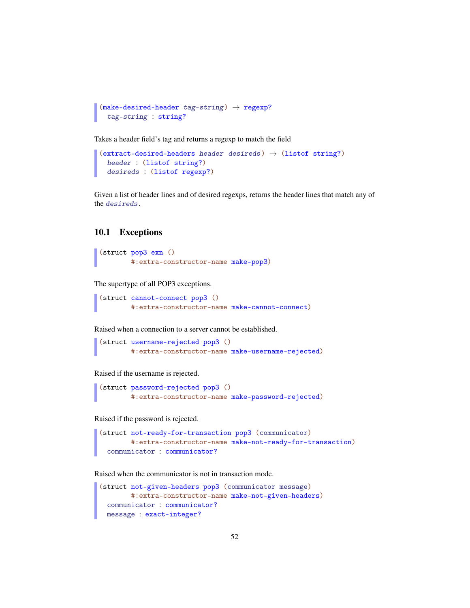```
(make-desired-header tag-string) \rightarrow regexp?tag-string : string?
```
Takes a header field's tag and returns a regexp to match the field

```
(extract-designed-headers header desired) \rightarrow (listof string?)header : (listof string?)
 desireds : (listof regexp?)
```
Given a list of header lines and of desired regexps, returns the header lines that match any of the desireds.

### 10.1 Exceptions

```
(struct pop3 exn ()
        #:extra-constructor-name make-pop3)
```
The supertype of all POP3 exceptions.

```
(struct cannot-connect pop3 ()
        #:extra-constructor-name make-cannot-connect)
```
Raised when a connection to a server cannot be established.

```
(struct username-rejected pop3 ()
        #:extra-constructor-name make-username-rejected)
```
Raised if the username is rejected.

```
(struct password-rejected pop3 ()
        #:extra-constructor-name make-password-rejected)
```
Raised if the password is rejected.

```
(struct not-ready-for-transaction pop3 (communicator)
        #:extra-constructor-name make-not-ready-for-transaction)
  communicator : communicator?
```
Raised when the communicator is not in transaction mode.

```
(struct not-given-headers pop3 (communicator message)
       #:extra-constructor-name make-not-given-headers)
 communicator : communicator?
 message : exact-integer?
```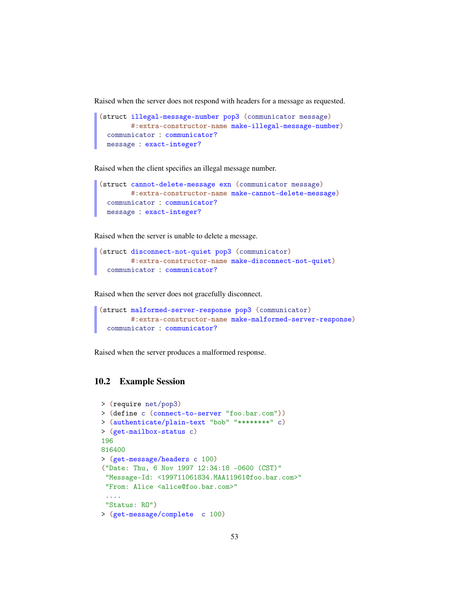Raised when the server does not respond with headers for a message as requested.

```
(struct illegal-message-number pop3 (communicator message)
        #:extra-constructor-name make-illegal-message-number)
  communicator : communicator?
 message : exact-integer?
```
Raised when the client specifies an illegal message number.

```
(struct cannot-delete-message exn (communicator message)
       #:extra-constructor-name make-cannot-delete-message)
  communicator : communicator?
 message : exact-integer?
```
Raised when the server is unable to delete a message.

```
(struct disconnect-not-quiet pop3 (communicator)
       #:extra-constructor-name make-disconnect-not-quiet)
 communicator : communicator?
```
Raised when the server does not gracefully disconnect.

```
(struct malformed-server-response pop3 (communicator)
        #:extra-constructor-name make-malformed-server-response)
  communicator : communicator?
```
Raised when the server produces a malformed response.

### 10.2 Example Session

```
> (require net/pop3)
> (define c (connect-to-server "foo.bar.com"))
> (authenticate/plain-text "bob" "********" c)
> (get-mailbox-status c)
196
816400
> (get-message/headers c 100)
("Date: Thu, 6 Nov 1997 12:34:18 -0600 (CST)"
 "Message-Id: <199711061834.MAA11961@foo.bar.com>"
"From: Alice <alice@foo.bar.com>"
 ....
 "Status: RO")
> (get-message/complete c 100)
```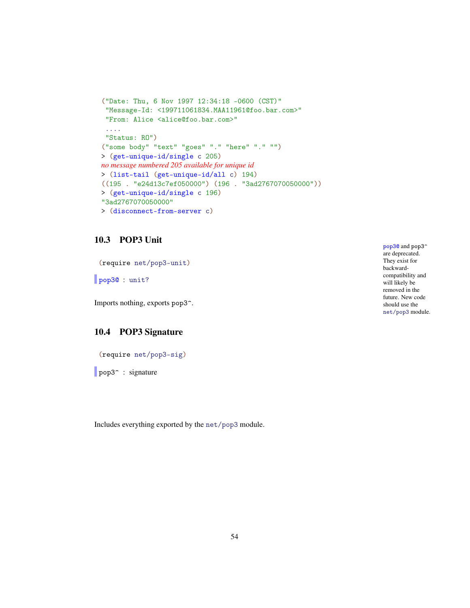```
("Date: Thu, 6 Nov 1997 12:34:18 -0600 (CST)"
 "Message-Id: <199711061834.MAA11961@foo.bar.com>"
 "From: Alice <alice@foo.bar.com>"
 ....
 "Status: RO")
("some body" "text" "goes" "." "here" "." "")
> (get-unique-id/single c 205)
no message numbered 205 available for unique id
> (list-tail (get-unique-id/all c) 194)
((195 . "e24d13c7ef050000") (196 . "3ad2767070050000"))
> (get-unique-id/single c 196)
"3ad2767070050000"
> (disconnect-from-server c)
```
#### 10.3 POP3 Unit

(require net/pop3-unit)

pop30 : unit?

Imports nothing, exports pop3^.

### 10.4 POP3 Signature

(require net/pop3-sig)

pop3<sup>^</sup> : signature

Includes everything exported by the net/pop3 module.

pop3<sup>o</sup> and pop3<sup>^</sup> are deprecated. They exist for backwardcompatibility and will likely be removed in the future. New code should use the net/pop3 module.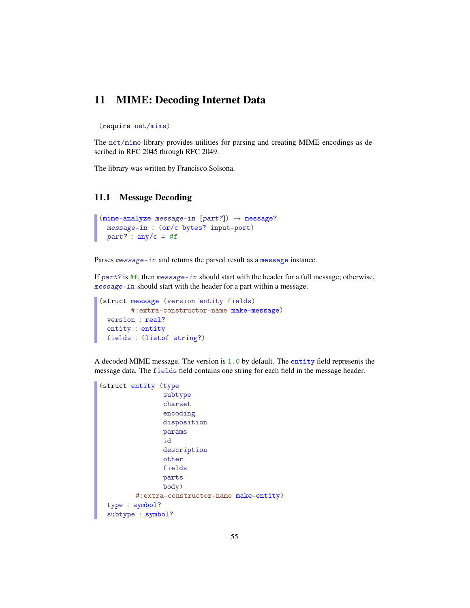# 11 MIME: Decoding Internet Data

```
(require net/mime)
```
The net/mime library provides utilities for parsing and creating MIME encodings as described in RFC 2045 through RFC 2049.

The library was written by Francisco Solsona.

#### 11.1 Message Decoding

```
(mime-analyze message-in [part?]) \rightarrow message?
 message-in : (or/c bytes? input-port)
 part? : any/c = #f
```
Parses message-in and returns the parsed result as a message instance.

If part? is #f, then message-in should start with the header for a full message; otherwise, message-in should start with the header for a part within a message.

```
(struct message (version entity fields)
       #:extra-constructor-name make-message)
 version : real?
 entity : entity
 fields : (listof string?)
```
A decoded MIME message. The version is 1.0 by default. The entity field represents the message data. The fields field contains one string for each field in the message header.

```
(struct entity (type
                subtype
                charset
                encoding
                disposition
                params
                id
                description
                other
                fields
                parts
                body)
         #:extra-constructor-name make-entity)
 type : symbol?
 subtype : symbol?
```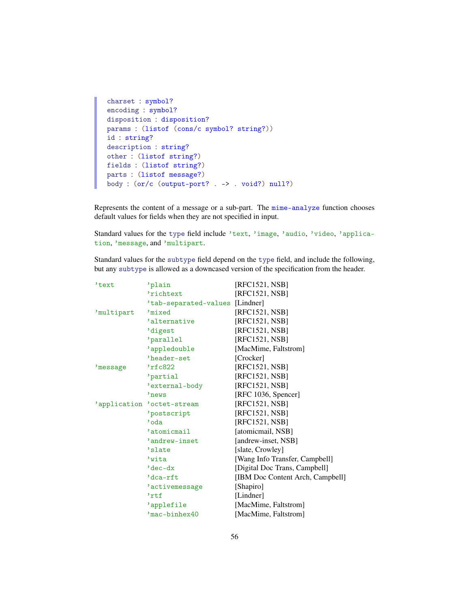```
charset : symbol?
encoding : symbol?
disposition : disposition?
params : (listof (cons/c symbol? string?))
id : string?
description : string?
other : (listof string?)
fields : (listof string?)
parts : (listof message?)
body : (or/c (output-port? . -> . void?) null?)
```
Represents the content of a message or a sub-part. The mime-analyze function chooses default values for fields when they are not specified in input.

Standard values for the type field include 'text, 'image, 'audio, 'video, 'application, 'message, and 'multipart.

Standard values for the subtype field depend on the type field, and include the following, but any subtype is allowed as a downcased version of the specification from the header.

| 'text        | 'plain                          | [RFC1521, NSB]                   |
|--------------|---------------------------------|----------------------------------|
|              | 'richtext                       | [RFC1521, NSB]                   |
|              | 'tab-separated-values [Lindner] |                                  |
| 'multipart   | 'mixed                          | [RFC1521, NSB]                   |
|              | 'alternative                    | [RFC1521, NSB]                   |
|              | digest                          | [RFC1521, NSB]                   |
|              | 'parallel                       | [RFC1521, NSB]                   |
|              | 'appledouble                    | [MacMime, Faltstrom]             |
|              | 'header-set                     | [Crocker]                        |
| 'message     | 'rfc822                         | [RFC1521, NSB]                   |
|              | 'partial                        | [RFC1521, NSB]                   |
|              | 'external-body                  | [RFC1521, NSB]                   |
|              | 'news                           | [RFC 1036, Spencer]              |
| 'application | 'octet-stream                   | [RFC1521,NSB]                    |
|              | 'postscript                     | [RFC1521, NSB]                   |
|              | 'oda                            | [RFC1521, NSB]                   |
|              | 'atomicmail                     | [atomicmail, NSB]                |
|              | 'andrew-inset                   | [andrew-inset, NSB]              |
|              | 'slate                          | [slate, Crowley]                 |
|              | 'wita                           | [Wang Info Transfer, Campbell]   |
|              | 'dec-dx                         | [Digital Doc Trans, Campbell]    |
|              | 'dca-rft                        | [IBM Doc Content Arch, Campbell] |
|              | 'activemessage                  | [Shapiro]                        |
|              | 'rtf                            | [Lindner]                        |
|              | 'applefile                      | [MacMime, Faltstrom]             |
|              | 'mac-binhex40                   | [MacMime, Faltstrom]             |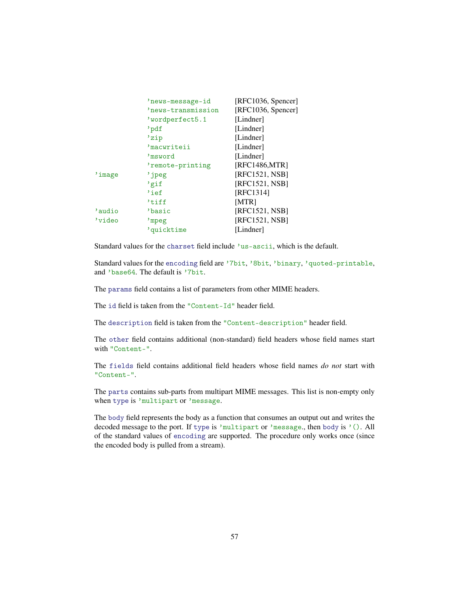|        | 'news-message-id   | [REC1036, Spencer] |
|--------|--------------------|--------------------|
|        | 'news-transmission | [RFC1036, Spencer] |
|        | 'wordperfect5.1    | [Lindner]          |
|        | 'pdf               | [Lindner]          |
|        | 'zip               | [Lindner]          |
|        | 'macwriteii        | [Lindner]          |
|        | 'msword            | [Lindner]          |
|        | 'remote-printing   | [RFC1486,MTR]      |
| 'image | 'jpeg              | [RFC1521, NSB]     |
|        | 'gif               | [RFC1521, NSB]     |
|        | 'ief               | [RFC1314]          |
|        | 'tiff              | [MTR]              |
| 'audio | 'basic             | [RFC1521, NSB]     |
| 'video | 'mpeg              | [RFC1521, NSB]     |
|        | 'quicktime         | [Lindner]          |

Standard values for the charset field include 'us-ascii, which is the default.

Standard values for the encoding field are '7bit, '8bit, 'binary, 'quoted-printable, and 'base64. The default is '7bit.

The params field contains a list of parameters from other MIME headers.

The id field is taken from the "Content-Id" header field.

The description field is taken from the "Content-description" header field.

The other field contains additional (non-standard) field headers whose field names start with "Content-".

The fields field contains additional field headers whose field names *do not* start with "Content-".

The parts contains sub-parts from multipart MIME messages. This list is non-empty only when type is 'multipart or 'message.

The body field represents the body as a function that consumes an output out and writes the decoded message to the port. If type is 'multipart or 'message., then body is '(). All of the standard values of encoding are supported. The procedure only works once (since the encoded body is pulled from a stream).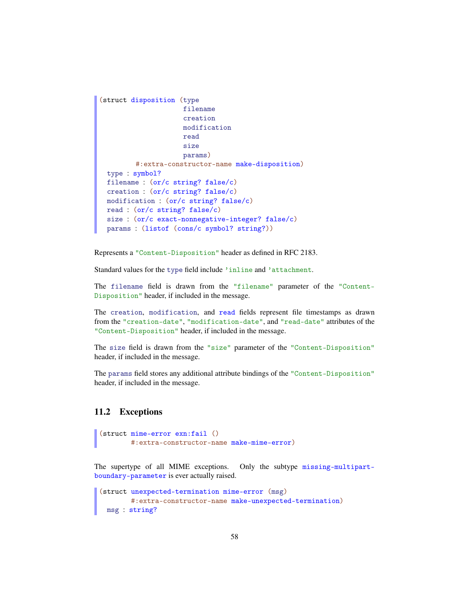```
(struct disposition (type
                     filename
                     creation
                     modification
                     read
                     size
                     params)
         #:extra-constructor-name make-disposition)
 type : symbol?
 filename : (or/c string? false/c)
 creation : (or/c string? false/c)
 modification : (or/c string? false/c)
 read : (or/c string? false/c)
 size : (or/c exact-nonnegative-integer? false/c)
 params : (listof (cons/c symbol? string?))
```
Represents a "Content-Disposition" header as defined in RFC 2183.

Standard values for the type field include 'inline and 'attachment.

The filename field is drawn from the "filename" parameter of the "Content-Disposition" header, if included in the message.

The creation, modification, and read fields represent file timestamps as drawn from the "creation-date", "modification-date", and "read-date" attributes of the "Content-Disposition" header, if included in the message.

The size field is drawn from the "size" parameter of the "Content-Disposition" header, if included in the message.

The params field stores any additional attribute bindings of the "Content-Disposition" header, if included in the message.

#### 11.2 Exceptions

```
(struct mime-error exn:fail ()
        #:extra-constructor-name make-mime-error)
```
The supertype of all MIME exceptions. Only the subtype missing-multipartboundary-parameter is ever actually raised.

```
(struct unexpected-termination mime-error (msg)
       #:extra-constructor-name make-unexpected-termination)
 msg : string?
```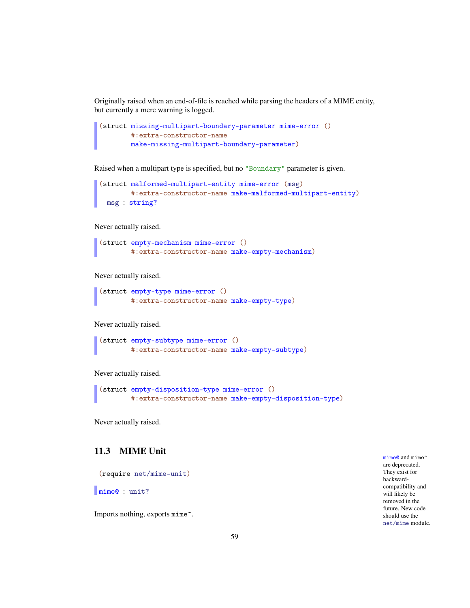Originally raised when an end-of-file is reached while parsing the headers of a MIME entity, but currently a mere warning is logged.

```
(struct missing-multipart-boundary-parameter mime-error ()
       #:extra-constructor-name
       make-missing-multipart-boundary-parameter)
```
Raised when a multipart type is specified, but no "Boundary" parameter is given.

```
(struct malformed-multipart-entity mime-error (msg)
        #:extra-constructor-name make-malformed-multipart-entity)
 msg : string?
```
Never actually raised.

```
(struct empty-mechanism mime-error ()
        #:extra-constructor-name make-empty-mechanism)
```
Never actually raised.

```
(struct empty-type mime-error ()
        #:extra-constructor-name make-empty-type)
```
Never actually raised.

```
(struct empty-subtype mime-error ()
        #:extra-constructor-name make-empty-subtype)
```
Never actually raised.

```
(struct empty-disposition-type mime-error ()
        #:extra-constructor-name make-empty-disposition-type)
```
Never actually raised.

### 11.3 MIME Unit

(require net/mime-unit)

mime@ : unit?

Imports nothing, exports mime^.

mime@ and mime^ are deprecated. They exist for backwardcompatibility and will likely be removed in the future. New code should use the net/mime module.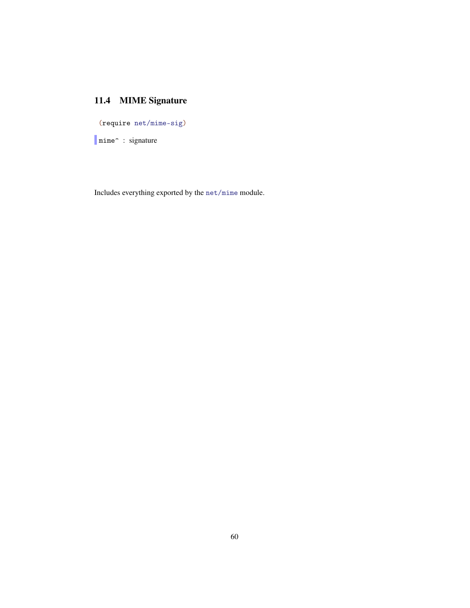# 11.4 MIME Signature

(require net/mime-sig)

Imime<sup>2</sup> : signature

Includes everything exported by the net/mime module.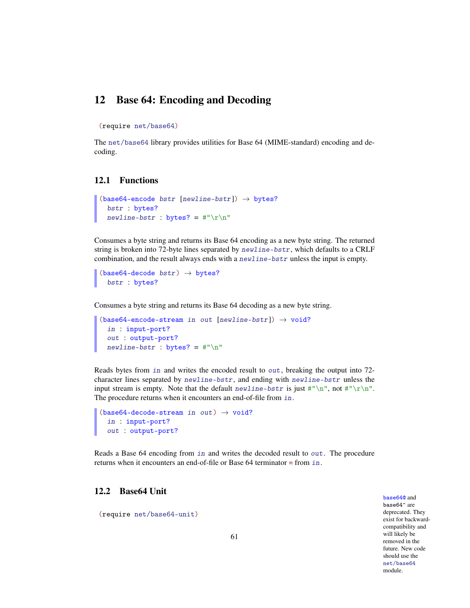# 12 Base 64: Encoding and Decoding

(require net/base64)

The net/base64 library provides utilities for Base 64 (MIME-standard) encoding and decoding.

#### 12.1 Functions

```
(base64-encode bstr [newline-bstr]) \rightarrow bytes?bstr : bytes?
  newline-bstr : bytes? = #"\r\n"
```
Consumes a byte string and returns its Base 64 encoding as a new byte string. The returned string is broken into 72-byte lines separated by newline-bstr, which defaults to a CRLF combination, and the result always ends with a newline-bstr unless the input is empty.

 $(base64-decode bstr) \rightarrow bytes?$ bstr : bytes?

Consumes a byte string and returns its Base 64 decoding as a new byte string.

```
(base64-encode-stream in out [newherebstr]) \rightarrow void?in : input-port?
 out : output-port?
 newline-bstr : bytes? = #"\n"
```
Reads bytes from in and writes the encoded result to  $out$ , breaking the output into 72character lines separated by newline-bstr, and ending with newline-bstr unless the input stream is empty. Note that the default newline-bstr is just  $\#"\n\in \mathbb{N}^n$ , not  $\#"\n\in \mathbb{N}^n$ . The procedure returns when it encounters an end-of-file from in.

```
(base64-decode-stream in out) \rightarrow void?in : input-port?
 out : output-port?
```
Reads a Base 64 encoding from in and writes the decoded result to out. The procedure returns when it encounters an end-of-file or Base 64 terminator  $\equiv$  from in.

#### 12.2 Base64 Unit

(require net/base64-unit)

base64@ and base64<sup> $\hat{ }$ </sup> are deprecated. They exist for backwardcompatibility and will likely be removed in the future. New code should use the net/base64 module.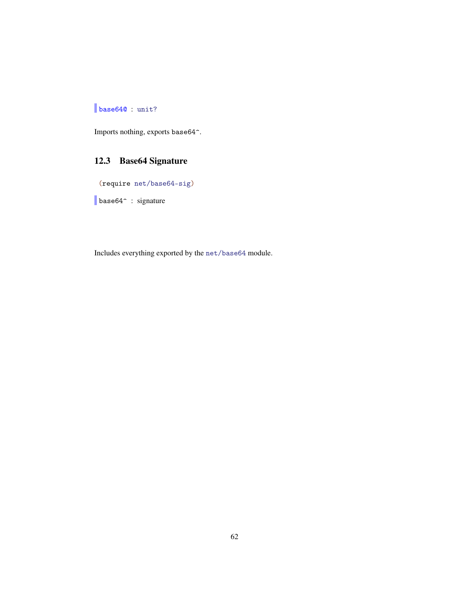# base640 : unit?

Imports nothing, exports base64^.

# 12.3 Base64 Signature

(require net/base64-sig)

base64^ : signature

Includes everything exported by the net/base64 module.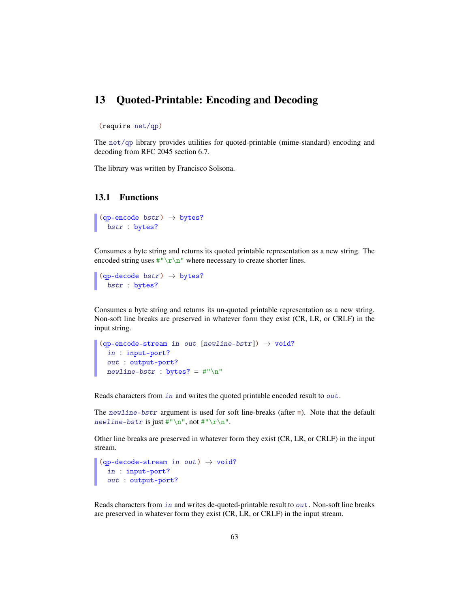## 13 Quoted-Printable: Encoding and Decoding

(require net/qp)

The net/qp library provides utilities for quoted-printable (mime-standard) encoding and decoding from RFC 2045 section 6.7.

The library was written by Francisco Solsona.

#### 13.1 Functions

```
(qp\text{-encode bstr}) \rightarrow bytes?bstr : bytes?
```
Consumes a byte string and returns its quoted printable representation as a new string. The encoded string uses  $\frac{\mu}{\lambda}$ " where necessary to create shorter lines.

 $(qp-decode bstr) \rightarrow bytes?$ bstr : bytes?

Consumes a byte string and returns its un-quoted printable representation as a new string. Non-soft line breaks are preserved in whatever form they exist (CR, LR, or CRLF) in the input string.

```
(qp\text{-encode-stream in out }[newline-bstr]) \rightarrow void?in : input-port?
  out : output-port?
  newline-bstr : bytes? = #"\n"
```
Reads characters from in and writes the quoted printable encoded result to out.

The newline-bstr argument is used for soft line-breaks (after  $\equiv$ ). Note that the default newline-bstr is just  $\#"\n\cdot n$ , not  $\#"\r\cdot n$ .

Other line breaks are preserved in whatever form they exist (CR, LR, or CRLF) in the input stream.

```
(qp-decode-stream in out) \rightarrow void?in : input-port?
 out : output-port?
```
Reads characters from in and writes de-quoted-printable result to out. Non-soft line breaks are preserved in whatever form they exist (CR, LR, or CRLF) in the input stream.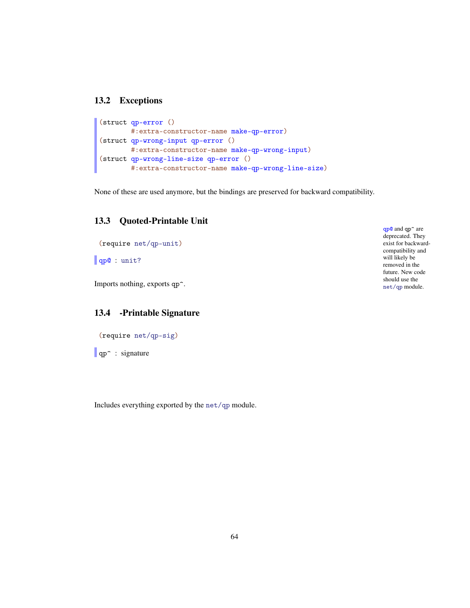#### 13.2 Exceptions

```
(struct qp-error ()
       #:extra-constructor-name make-qp-error)
(struct qp-wrong-input qp-error ()
       #:extra-constructor-name make-qp-wrong-input)
(struct qp-wrong-line-size qp-error ()
       #:extra-constructor-name make-qp-wrong-line-size)
```
None of these are used anymore, but the bindings are preserved for backward compatibility.

### 13.3 Quoted-Printable Unit

```
(require net/qp-unit)
qp@ : unit?
```
Imports nothing, exports qp<sup>o.</sup>

### 13.4 -Printable Signature

```
(require net/qp-sig)
```
**qp**<sup> $\cdot$ </sup> : signature

Includes everything exported by the net/qp module.

qp@ and qp^ are deprecated. They exist for backwardcompatibility and will likely be removed in the future. New code should use the net/qp module.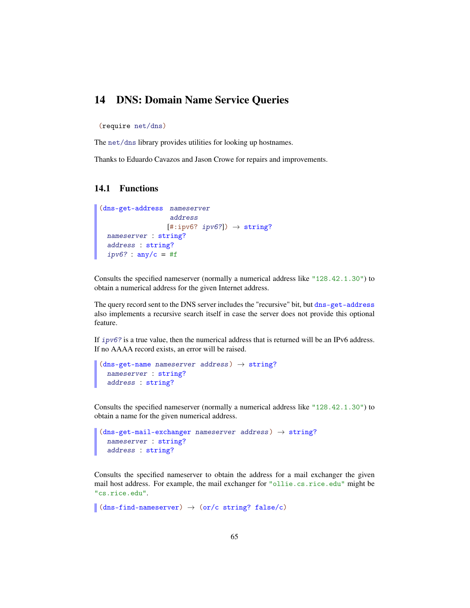## 14 DNS: Domain Name Service Queries

(require net/dns)

The net/dns library provides utilities for looking up hostnames.

Thanks to Eduardo Cavazos and Jason Crowe for repairs and improvements.

### 14.1 Functions

```
(dns-get-address nameserver
                    address
                   [#:ipv6? <i>ipv6?</i>]) \rightarrow string?
 nameserver : string?
  address : string?
  ipv6? : any/c = #f
```
Consults the specified nameserver (normally a numerical address like "128.42.1.30") to obtain a numerical address for the given Internet address.

The query record sent to the DNS server includes the "recursive" bit, but dns-get-address also implements a recursive search itself in case the server does not provide this optional feature.

If  $ipv6$ ? is a true value, then the numerical address that is returned will be an IPv6 address. If no AAAA record exists, an error will be raised.

```
(dns-get-name \text{ }nameserver \text{ } address) \rightarrow string?nameserver : string?
  address : string?
```
Consults the specified nameserver (normally a numerical address like "128.42.1.30") to obtain a name for the given numerical address.

```
(dns-get-mail-exchanger nameserver address) \rightarrow string?
  nameserver : string?
  address : string?
```
Consults the specified nameserver to obtain the address for a mail exchanger the given mail host address. For example, the mail exchanger for "ollie.cs.rice.edu" might be "cs.rice.edu".

 $\vert$  (dns-find-nameserver)  $\rightarrow$  (or/c string? false/c)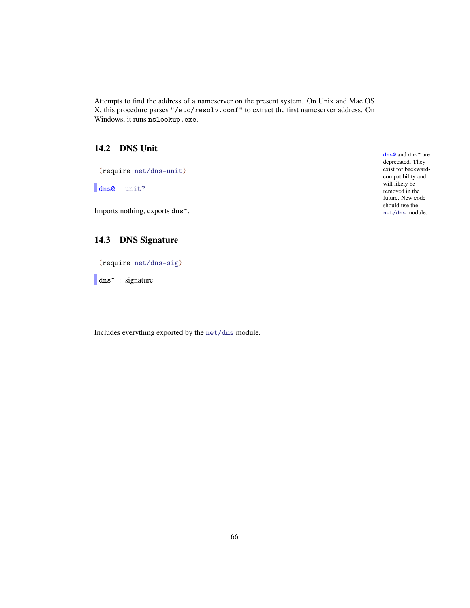Attempts to find the address of a nameserver on the present system. On Unix and Mac OS X, this procedure parses "/etc/resolv.conf" to extract the first nameserver address. On Windows, it runs nslookup.exe.

## 14.2 DNS Unit

(require net/dns-unit)

dns@ : unit?

Imports nothing, exports dns<sup>^</sup>.

### 14.3 DNS Signature

(require net/dns-sig)

dns<sup>2</sup> : signature

Includes everything exported by the net/dns module.

dns<sup>o</sup> and dns<sup>o</sup> are deprecated. They exist for backwardcompatibility and will likely be removed in the future. New code should use the net/dns module.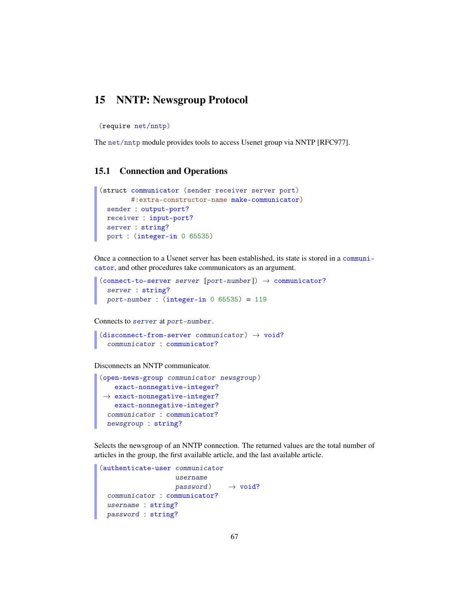## 15 NNTP: Newsgroup Protocol

(require net/nntp)

The net/nntp module provides tools to access Usenet group via NNTP [RFC977].

### 15.1 Connection and Operations

```
(struct communicator (sender receiver server port)
       #:extra-constructor-name make-communicator)
 sender : output-port?
 receiver : input-port?
 server : string?
 port : (integer-in 0 65535)
```
Once a connection to a Usenet server has been established, its state is stored in a communicator, and other procedures take communicators as an argument.

```
(connect-to-server server [port-number]) \rightarrow communciator?server : string?
 port-number: (integer-in 0 65535) = 119
```
Connects to server at port-number.

```
(disconnect-from-server communiator) \rightarrow void?communicator : communicator?
```
Disconnects an NNTP communicator.

```
(open-news-group communicator newsgroup )
 →
exact-nonnegative-integer?
   exact-nonnegative-integer?
   exact-nonnegative-integer?
 communicator : communicator?
 newsgroup : string?
```
Selects the newsgroup of an NNTP connection. The returned values are the total number of articles in the group, the first available article, and the last available article.

```
(authenticate-user communicator
                   username
                   password) \rightarrow void?communicator : communicator?
 username : string?
 password : string?
```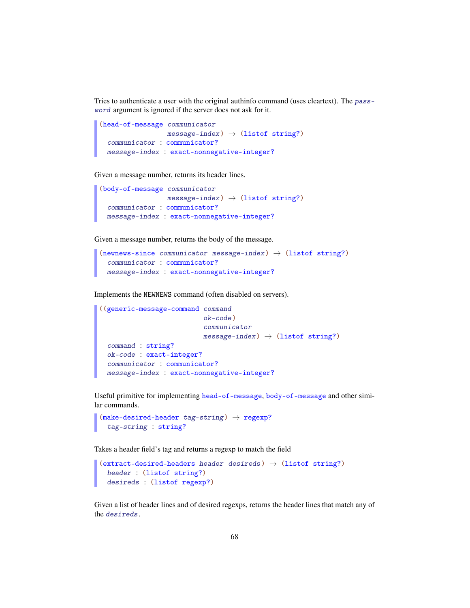Tries to authenticate a user with the original authinfo command (uses cleartext). The password argument is ignored if the server does not ask for it.

```
(head-of-message communicator
                 message-index) \rightarrow (listof string?)communicator : communicator?
 message-index : exact-nonnegative-integer?
```
Given a message number, returns its header lines.

```
(body-of-message communicator
                 message-index) \rightarrow (listof string?)communicator : communicator?
 message-index : exact-nonnegative-integer?
```
Given a message number, returns the body of the message.

```
(newnews-since communicator message-index) \rightarrow (listof string?)
  communicator : communicator?
  message-index : exact-nonnegative-integer?
```
Implements the NEWNEWS command (often disabled on servers).

```
((generic-message-command command
                          ok-code)
                          communicator
                          message-index) \rightarrow (listof string?)command : string?
 ok-code : exact-integer?
 communicator : communicator?
 message-index : exact-nonnegative-integer?
```
Useful primitive for implementing head-of-message, body-of-message and other similar commands.

```
(make-desired-header tag-string) \rightarrow regexp?tag-string : string?
```
Takes a header field's tag and returns a regexp to match the field

```
(extract-desired-headers header desireds) \rightarrow (listof string?)
  header : (listof string?)
  desireds : (listof regexp?)
```
Given a list of header lines and of desired regexps, returns the header lines that match any of the desireds.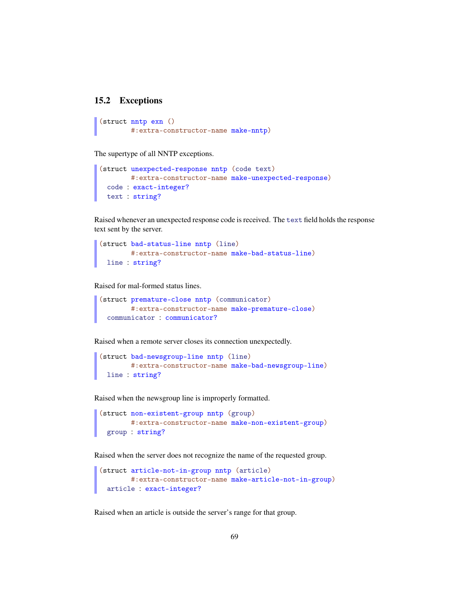#### 15.2 Exceptions

```
(struct nntp exn ()
        #:extra-constructor-name make-nntp)
```
The supertype of all NNTP exceptions.

```
(struct unexpected-response nntp (code text)
       #:extra-constructor-name make-unexpected-response)
 code : exact-integer?
 text : string?
```
Raised whenever an unexpected response code is received. The text field holds the response text sent by the server.

```
(struct bad-status-line nntp (line)
       #:extra-constructor-name make-bad-status-line)
 line : string?
```
Raised for mal-formed status lines.

```
(struct premature-close nntp (communicator)
       #:extra-constructor-name make-premature-close)
 communicator : communicator?
```
Raised when a remote server closes its connection unexpectedly.

```
(struct bad-newsgroup-line nntp (line)
       #:extra-constructor-name make-bad-newsgroup-line)
 line : string?
```
Raised when the newsgroup line is improperly formatted.

```
(struct non-existent-group nntp (group)
       #:extra-constructor-name make-non-existent-group)
 group : string?
```
Raised when the server does not recognize the name of the requested group.

```
(struct article-not-in-group nntp (article)
       #:extra-constructor-name make-article-not-in-group)
 article : exact-integer?
```
Raised when an article is outside the server's range for that group.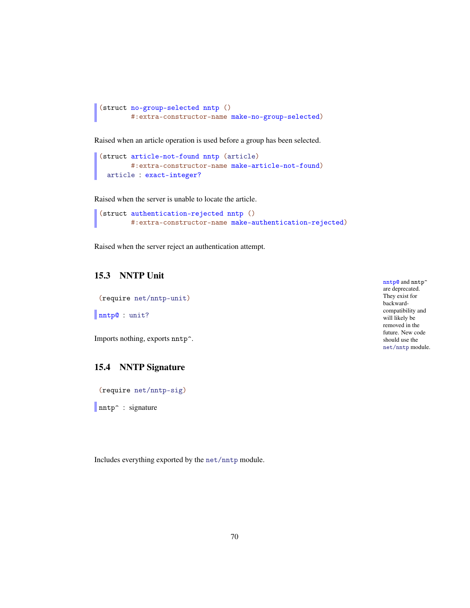```
(struct no-group-selected nntp ()
        #:extra-constructor-name make-no-group-selected)
```
Raised when an article operation is used before a group has been selected.

```
(struct article-not-found nntp (article)
        #:extra-constructor-name make-article-not-found)
 article : exact-integer?
```
Raised when the server is unable to locate the article.

```
(struct authentication-rejected nntp ()
        #:extra-constructor-name make-authentication-rejected)
```
Raised when the server reject an authentication attempt.

## 15.3 NNTP Unit

(require net/nntp-unit)

```
nntp@ : unit?
```
Imports nothing, exports nntp^.

### 15.4 NNTP Signature

(require net/nntp-sig)

nntp<sup>o</sup> : signature

Includes everything exported by the net/nntp module.

nntp@ and nntp^ are deprecated. They exist for backwardcompatibility and will likely be removed in the future. New code should use the net/nntp module.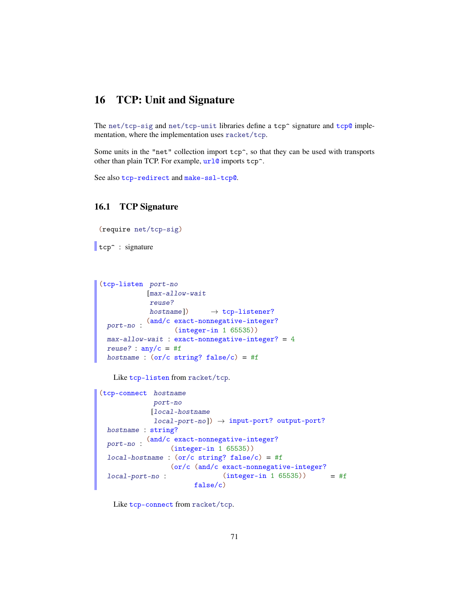# 16 TCP: Unit and Signature

The net/tcp-sig and net/tcp-unit libraries define a tcp $\hat{ }$  signature and tcp@ implementation, where the implementation uses racket/tcp.

Some units in the "net" collection import tcp^, so that they can be used with transports other than plain TCP. For example,  $url@$  imports tcp<sup>^</sup>.

```
See also tcp-redirect and make-ssl-tcp@.
```
### 16.1 TCP Signature

```
(require net/tcp-sig)
```

```
tcp<sup>o</sup> : signature
```

```
(tcp-listen port-no
            [max-allow-wait
            reuse?
            hostname]) \rightarrow tcp-listener?
 port-no :
           (and/c exact-nonnegative-integer?
                 (integer-in 1 65535))
 max-allow-wait : exact-nonnegative-integer? = 4
 reuse? : any/c = #fhostname : (or/c \text{ string? false}/c) = #f
```
Like tcp-listen from racket/tcp.

```
(tcp-connect hostname
             port-no
            [local-hostname
             local-port-no]) \rightarrow input-port? output-port?
 hostname : string?
  port-no :
(and/c exact-nonnegative-integer?
                 (integer-in 1 65535))
 local-hostname : (or/c string? false/c) = #flocal-port-no :
                 (or/c (and/c exact-nonnegative-integer?
                               (integer-in 1 65535))
                       false/c)
                                                      = #f
```
Like tcp-connect from racket/tcp.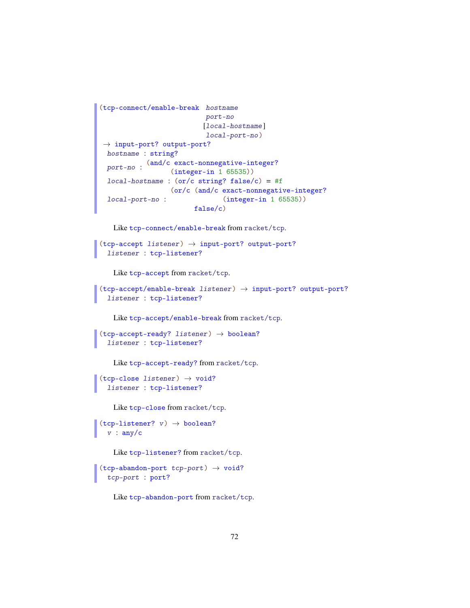```
(tcp-connect/enable-break hostname
                           port-no
                          [local-hostname]
                           local-port-no)
\rightarrow input-port? output-port?
 hostname : string?
  port-no :
(and/c exact-nonnegative-integer?
                 (integer-in 1 65535))
 local-hostname : (or/c string? false/c) = #f
 local-port-no :
                  (or/c (and/c exact-nonnegative-integer?
                                (integer-in 1 65535))
                        false/c)
```
Like tcp-connect/enable-break from racket/tcp.

```
(tcp\text{-}accept\text{ }listener) \rightarrow input-port? output-port?
  listener : tcp-listener?
```
Like tcp-accept from racket/tcp.

```
(tcp-accept/enable-break listener) \rightarrow input-port? output-port?listener : tcp-listener?
```
Like tcp-accept/enable-break from racket/tcp.

```
(tcp-accept-ready? listener) \rightarrow boolean?listener : tcp-listener?
```
Like tcp-accept-ready? from racket/tcp.

```
(tcp-close listener) \rightarrow void?
  listener : tcp-listener?
```
Like tcp-close from racket/tcp.

```
(tcp-listener? v) \rightarrow boolean?v : any/c
```
Like tcp-listener? from racket/tcp.

```
(tcp-abandon-port\ tcp-port) \rightarrow void?tcp-port : port?
```
Like tcp-abandon-port from racket/tcp.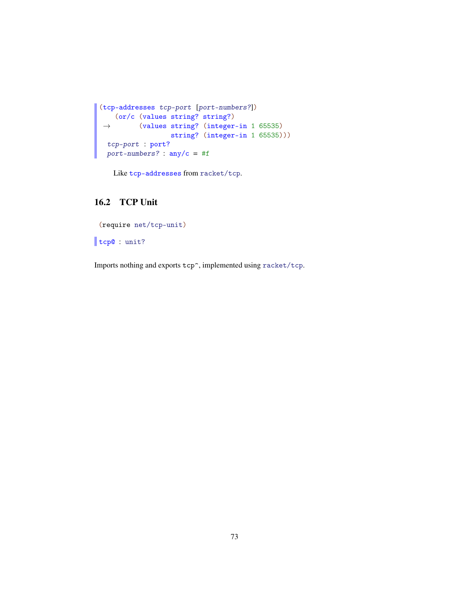```
(tcp-addresses tcp-port [port-numbers?])
 \rightarrow(or/c (values string? string?)
          (values string? (integer-in 1 65535)
                   string? (integer-in 1 65535)))
tcp-port : port?
 port-numbers? : any/c = #f
```
Like tcp-addresses from racket/tcp.

# <span id="page-72-0"></span>16.2 TCP Unit

```
(require net/tcp-unit)
```
tcp@ : unit?

Imports nothing and exports tcp^, implemented using racket/tcp.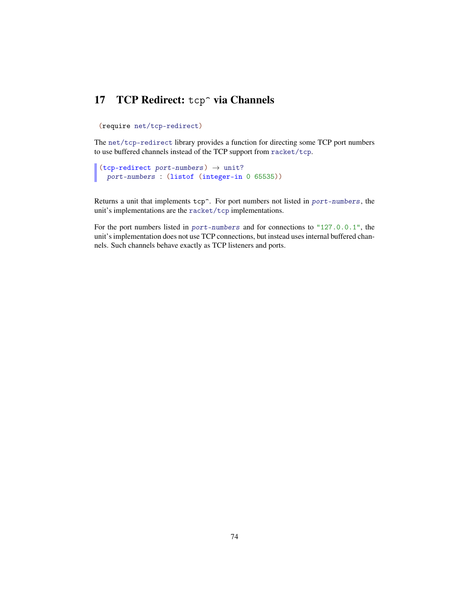# <span id="page-73-0"></span>17 TCP Redirect: tcp<sup>~</sup> via Channels

(require net/tcp-redirect)

The net/tcp-redirect library provides a function for directing some TCP port numbers to use buffered channels instead of the TCP support from racket/tcp.

```
(tcp-redirect port-numbers) \rightarrow unit?
 port-numbers : (listof (integer-in 0 65535))
```
Returns a unit that implements tcp^. For port numbers not listed in port-numbers, the unit's implementations are the racket/tcp implementations.

For the port numbers listed in port-numbers and for connections to "127.0.0.1", the unit's implementation does not use TCP connections, but instead uses internal buffered channels. Such channels behave exactly as TCP listeners and ports.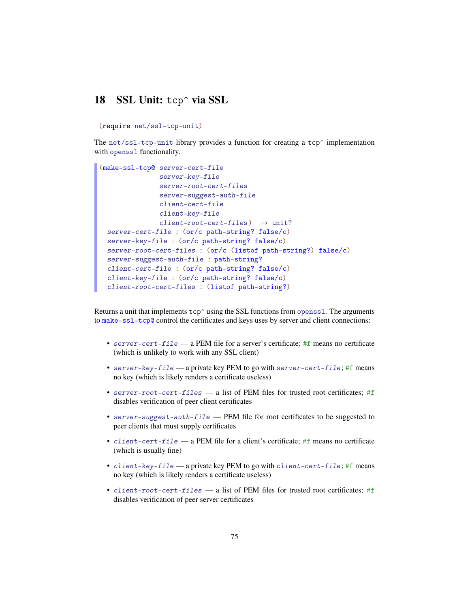# <span id="page-74-0"></span>18 SSL Unit: tcp<sup>o</sup> via SSL

(require net/ssl-tcp-unit)

The net/ssl-tcp-unit library provides a function for creating a tcp $\hat{ }$  implementation with openssl functionality.

```
(make-ssl-tcp@ server-cert-file
               server-key-file
               server-root-cert-files
               server-suggest-auth-file
               client-cert-file
               client-key-file
               client-root-cert-files) \rightarrow unit?
 server-cert-file : (or/c path-string? false/c)
 server-key-file : (or/c path-string? false/c)
 server-root-cert-files : (or/c (listof path-string?) false/c)
 server-suggest-auth-file : path-string?
 client-cert-file : (or/c path-string? false/c)
 client-key-file : (or/c path-string? false/c)
 client-root-cert-files : (listof path-string?)
```
Returns a unit that implements  $\text{top}$  using the SSL functions from openssl. The arguments to make-ssl-tcp@ control the certificates and keys uses by server and client connections:

- server-cert-file a PEM file for a server's certificate; #f means no certificate (which is unlikely to work with any SSL client)
- server-key-file a private key PEM to go with server-cert-file; #f means no key (which is likely renders a certificate useless)
- server-root-cert-files a list of PEM files for trusted root certificates; #f disables verification of peer client certificates
- server-suggest-auth-file PEM file for root certificates to be suggested to peer clients that must supply certificates
- client-cert-file a PEM file for a client's certificate; #f means no certificate (which is usually fine)
- client-key-file a private key PEM to go with client-cert-file; #f means no key (which is likely renders a certificate useless)
- client-root-cert-files a list of PEM files for trusted root certificates; #f disables verification of peer server certificates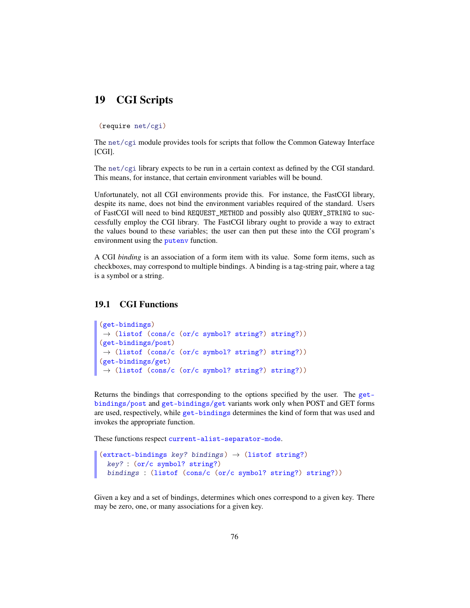# <span id="page-75-0"></span>19 CGI Scripts

(require net/cgi)

The net/cgi module provides tools for scripts that follow the Common Gateway Interface [CGI].

The net/cgi library expects to be run in a certain context as defined by the CGI standard. This means, for instance, that certain environment variables will be bound.

Unfortunately, not all CGI environments provide this. For instance, the FastCGI library, despite its name, does not bind the environment variables required of the standard. Users of FastCGI will need to bind REQUEST\_METHOD and possibly also QUERY\_STRING to successfully employ the CGI library. The FastCGI library ought to provide a way to extract the values bound to these variables; the user can then put these into the CGI program's environment using the putenv function.

A CGI *binding* is an association of a form item with its value. Some form items, such as checkboxes, may correspond to multiple bindings. A binding is a tag-string pair, where a tag is a symbol or a string.

#### <span id="page-75-1"></span>19.1 CGI Functions

```
(get-bindings)
\rightarrow (listof (cons/c (or/c symbol? string?) string?))
(get-bindings/post)
\rightarrow (listof (cons/c (or/c symbol? string?) string?))
(get-bindings/get)
→ (listof (cons/c (or/c symbol? string?) string?))
```
Returns the bindings that corresponding to the options specified by the user. The getbindings/post and get-bindings/get variants work only when POST and GET forms are used, respectively, while get-bindings determines the kind of form that was used and invokes the appropriate function.

These functions respect current-alist-separator-mode.

```
(extract-bindings key? bindings) \rightarrow (listof string?)
  key? : (or/c symbol? string?)
  bindings : (listof (cons/c (or/c symbol? string?) string?))
```
Given a key and a set of bindings, determines which ones correspond to a given key. There may be zero, one, or many associations for a given key.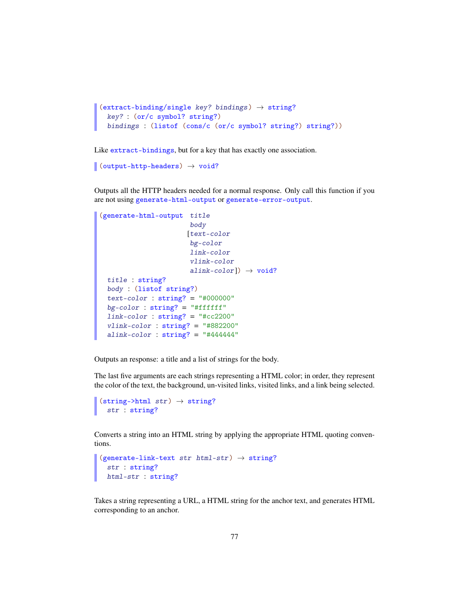```
(\text{extract-binding/single key? bindings}) \rightarrow \text{string?}key? : (or/c symbol? string?)
  bindings : (listof (cons/c (or/c symbol? string?) string?))
```
Like extract-bindings, but for a key that has exactly one association.

```
\sqrt{\frac{1}{\text{output}-\text{http-heads} + void?
```
Outputs all the HTTP headers needed for a normal response. Only call this function if you are not using generate-html-output or generate-error-output.

```
(generate-html-output title
                       body
                      [text-color
                       bg-color
                       link-color
                       vlink-color
                       \text{alink-color}) \rightarrow void?
 title : string?
 body : (listof string?)
 text-color : string? = "#000000"bg-color: string? = "#ffffff"link-color : string? = "#cc2200"
 vlink-color : string? = "#882200"alink-color : string? = "#444444"
```
Outputs an response: a title and a list of strings for the body.

The last five arguments are each strings representing a HTML color; in order, they represent the color of the text, the background, un-visited links, visited links, and a link being selected.

```
\sqrt{\text{string-}html str) \rightarrow \text{string}?
    str : string?
```
Converts a string into an HTML string by applying the appropriate HTML quoting conventions.

```
(generate-link-text str html-str) \rightarrow string?
  str : string?
 html-str : string?
```
Takes a string representing a URL, a HTML string for the anchor text, and generates HTML corresponding to an anchor.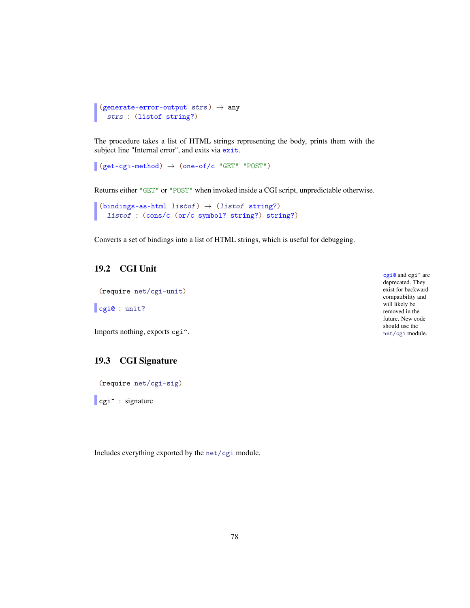```
(generate-error-output strs) \rightarrow any
   strs : (listof string?)
```
The procedure takes a list of HTML strings representing the body, prints them with the subject line "Internal error", and exits via exit.

```
\left[ (get-cgi-method) \rightarrow (one-of/c "GET" "POST")
```
Returns either "GET" or "POST" when invoked inside a CGI script, unpredictable otherwise.

```
(bindings-as-html listof) \rightarrow (listof string?)
  listof : (cons/c (or/c symbol? string?) string?)
```
Converts a set of bindings into a list of HTML strings, which is useful for debugging.

#### <span id="page-77-1"></span>19.2 CGI Unit

(require net/cgi-unit)

cgi@ : unit?

Imports nothing, exports cgi^.

## <span id="page-77-0"></span>19.3 CGI Signature

(require net/cgi-sig)

cgi<sup> $\sim$ </sup> : signature

Includes everything exported by the net/cgi module.

cgi@ and cgi^ are deprecated. They exist for backwardcompatibility and will likely be removed in the future. New code should use the net/cgi module.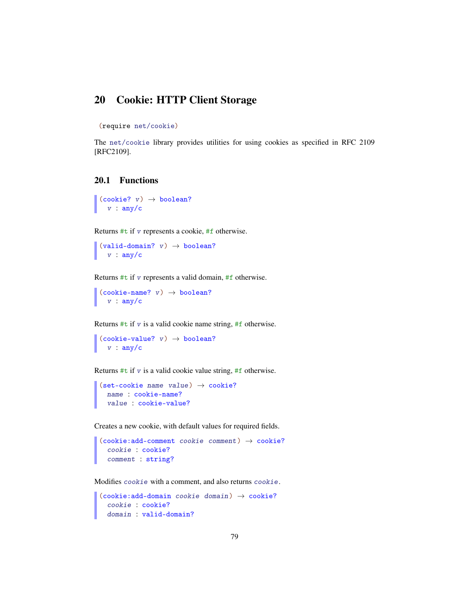# <span id="page-78-1"></span>20 Cookie: HTTP Client Storage

```
(require net/cookie)
```
The net/cookie library provides utilities for using cookies as specified in RFC 2109 [RFC2109].

#### <span id="page-78-0"></span>20.1 Functions

```
\vert (cookie? v) \rightarrow boolean?
 v : any/c
```
Returns  $#t$  if v represents a cookie,  $#f$  otherwise.

 $\sqrt{\text{valid-domain?}}$  v)  $\rightarrow \text{boolean?}$  $v : any/c$ 

Returns  $#t$  if  $v$  represents a valid domain,  $#f$  otherwise.

 $(cookie-name? v) \rightarrow boolean?$ v : any/c

Returns  $#t$  if  $v$  is a valid cookie name string,  $#f$  otherwise.

```
(cookie-value? v) \rightarrow boolean?v : any/c
```
Returns  $#t$  if  $v$  is a valid cookie value string,  $#f$  otherwise.

```
(set-cookie name value) \rightarrow cookie?name : cookie-name?
  value : cookie-value?
```
Creates a new cookie, with default values for required fields.

```
(cookie:add-comment\ cookie\ comment)\ \rightarrow\ cookie?cookie : cookie?
  comment : string?
```
Modifies cookie with a comment, and also returns cookie.

```
(cookie:add-domain cookie domain) \rightarrow cookie?cookie : cookie?
  domain : valid-domain?
```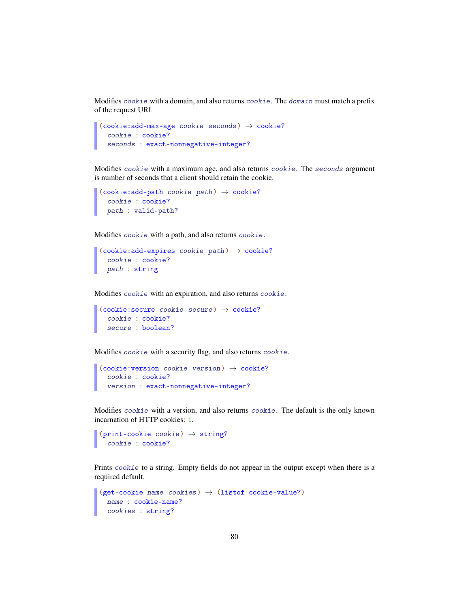Modifies cookie with a domain, and also returns cookie. The domain must match a prefix of the request URI.

```
(cookie:add-max-age cookie secons) \rightarrow cookie?cookie : cookie?
  seconds : exact-nonnegative-integer?
```
Modifies cookie with a maximum age, and also returns cookie. The seconds argument is number of seconds that a client should retain the cookie.

```
(cookie:add-path cookie path) \rightarrow cookie?cookie : cookie?
  path : valid-path?
```
Modifies cookie with a path, and also returns cookie.

```
(cookie:add-expires cookie path) \rightarrow cookie?cookie : cookie?
 path : string
```
Modifies cookie with an expiration, and also returns cookie.

```
(cookie:secure cookie secure) \rightarrow cookie?cookie : cookie?
  secure : boolean?
```
Modifies cookie with a security flag, and also returns cookie.

```
(cookie:version cookie version) \rightarrow cookie?cookie : cookie?
  version : exact-nonnegative-integer?
```
Modifies cookie with a version, and also returns cookie. The default is the only known incarnation of HTTP cookies: 1.

```
(print-cookie cookie) \rightarrow string?cookie : cookie?
```
Prints cookie to a string. Empty fields do not appear in the output except when there is a required default.

```
(get-cookie name cookies) \rightarrow (listof cookie-value?)name : cookie-name?
  cookies : string?
```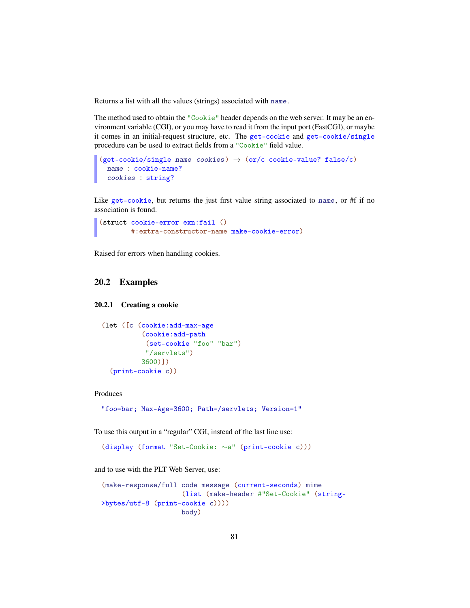Returns a list with all the values (strings) associated with name.

The method used to obtain the "Cookie" header depends on the web server. It may be an environment variable (CGI), or you may have to read it from the input port (FastCGI), or maybe it comes in an initial-request structure, etc. The get-cookie and get-cookie/single procedure can be used to extract fields from a "Cookie" field value.

```
(get-cookie/single name cookies) \rightarrow (or/c cookie-value? false/c)name : cookie-name?
 cookies : string?
```
Like get-cookie, but returns the just first value string associated to name, or #f if no association is found.

```
(struct cookie-error exn:fail ()
        #:extra-constructor-name make-cookie-error)
```
Raised for errors when handling cookies.

#### <span id="page-80-1"></span>20.2 Examples

#### <span id="page-80-0"></span>20.2.1 Creating a cookie

```
(let ([c (cookie:add-max-age
          (cookie:add-path
           (set-cookie "foo" "bar")
           "/servlets")
          3600)])
  (print-cookie c))
```
Produces

"foo=bar; Max-Age=3600; Path=/servlets; Version=1"

To use this output in a "regular" CGI, instead of the last line use:

(display (format "Set-Cookie: ∼a" (print-cookie c)))

and to use with the PLT Web Server, use:

```
(make-response/full code message (current-seconds) mime
                    (list (make-header #"Set-Cookie" (string-
>bytes/utf-8 (print-cookie c))))
                    body)
```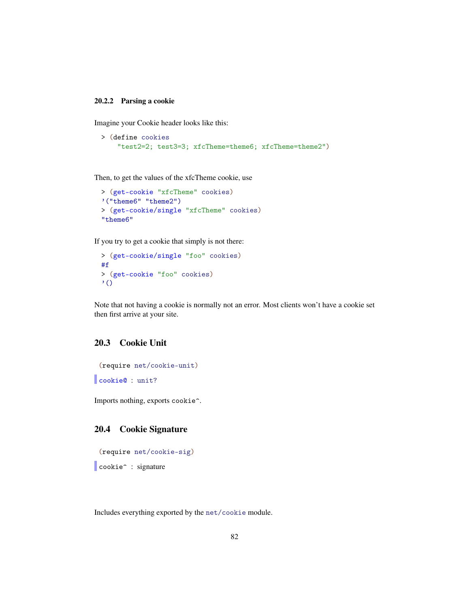#### <span id="page-81-2"></span>20.2.2 Parsing a cookie

Imagine your Cookie header looks like this:

```
> (define cookies
    "test2=2; test3=3; xfcTheme=theme6; xfcTheme=theme2")
```
Then, to get the values of the xfcTheme cookie, use

```
> (get-cookie "xfcTheme" cookies)
'("theme6" "theme2")
> (get-cookie/single "xfcTheme" cookies)
"theme6"
```
If you try to get a cookie that simply is not there:

```
> (get-cookie/single "foo" cookies)
#f
> (get-cookie "foo" cookies)
' ()
```
Note that not having a cookie is normally not an error. Most clients won't have a cookie set then first arrive at your site.

## <span id="page-81-1"></span>20.3 Cookie Unit

(require net/cookie-unit)

cookie@ : unit?

Imports nothing, exports cookie^.

## <span id="page-81-0"></span>20.4 Cookie Signature

```
(require net/cookie-sig)
```
cookie<sup>^</sup> : signature

Includes everything exported by the net/cookie module.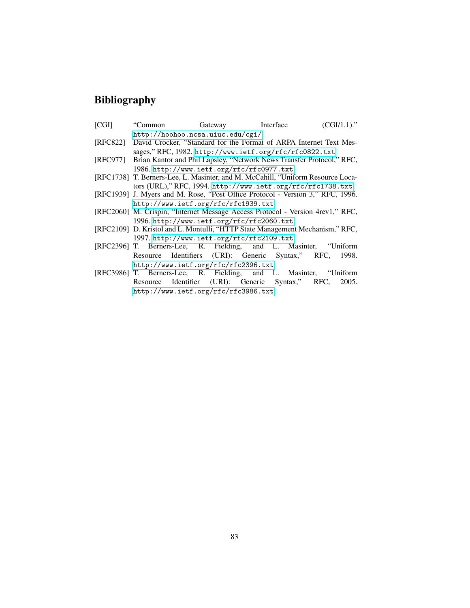# Bibliography

| [CGI]                                     | "Common                                                                         | Gateway Interface                                      |  | $(CGI/1.1)$ ." |  |
|-------------------------------------------|---------------------------------------------------------------------------------|--------------------------------------------------------|--|----------------|--|
|                                           | http://hoohoo.ncsa.uiuc.edu/cgi/                                                |                                                        |  |                |  |
| [RFC822]                                  | David Crocker, "Standard for the Format of ARPA Internet Text Mes-              |                                                        |  |                |  |
|                                           |                                                                                 | sages," RFC, 1982. http://www.ietf.org/rfc/rfc0822.txt |  |                |  |
| [RFC977]                                  | Brian Kantor and Phil Lapsley, "Network News Transfer Protocol," RFC,           |                                                        |  |                |  |
|                                           | 1986. http://www.ietf.org/rfc/rfc0977.txt                                       |                                                        |  |                |  |
|                                           | [RFC1738] T. Berners-Lee, L. Masinter, and M. McCahill, "Uniform Resource Loca- |                                                        |  |                |  |
|                                           | tors (URL)," RFC, 1994. http://www.ietf.org/rfc/rfc1738.txt                     |                                                        |  |                |  |
|                                           | [RFC1939] J. Myers and M. Rose, "Post Office Protocol - Version 3," RFC, 1996.  |                                                        |  |                |  |
|                                           | http://www.ietf.org/rfc/rfc1939.txt                                             |                                                        |  |                |  |
|                                           | [RFC2060] M. Crispin, "Internet Message Access Protocol - Version 4rev1," RFC,  |                                                        |  |                |  |
| 1996. http://www.ietf.org/rfc/rfc2060.txt |                                                                                 |                                                        |  |                |  |
|                                           | [RFC2109] D. Kristol and L. Montulli, "HTTP State Management Mechanism," RFC,   |                                                        |  |                |  |
| 1997. http://www.ietf.org/rfc/rfc2109.txt |                                                                                 |                                                        |  |                |  |
|                                           | [RFC2396] T. Berners-Lee, R. Fielding, and L. Masinter, "Uniform"               |                                                        |  |                |  |
|                                           | Resource Identifiers (URI): Generic Syntax," RFC, 1998.                         |                                                        |  |                |  |

<http://www.ietf.org/rfc/rfc2396.txt> [RFC3986] T. Berners-Lee, R. Fielding, and L. Masinter, "Uniform Resource Identifier (URI): Generic Syntax," RFC, 2005. <http://www.ietf.org/rfc/rfc3986.txt>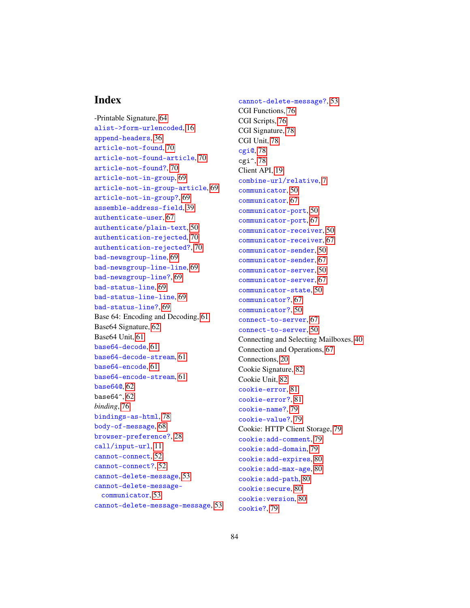## Index

-Printable Signature, [64](#page-63-0) alist->form-urlencoded, [16](#page-13-0) append-headers, [36](#page-34-0) article-not-found, [70](#page-68-0) article-not-found-article, [70](#page-68-0) article-not-found?, [70](#page-68-0) article-not-in-group, [69](#page-68-0) article-not-in-group-article, [69](#page-68-0) article-not-in-group?, [69](#page-68-0) assemble-address-field, [39](#page-34-0) authenticate-user, [67](#page-66-0) authenticate/plain-text, [50](#page-49-0) authentication-rejected, [70](#page-68-0) authentication-rejected?, [70](#page-68-0) bad-newsgroup-line, [69](#page-68-0) bad-newsgroup-line-line, [69](#page-68-0) bad-newsgroup-line?, [69](#page-68-0) bad-status-line, [69](#page-68-0) bad-status-line-line, [69](#page-68-0) bad-status-line?, [69](#page-68-0) Base 64: Encoding and Decoding, [61](#page-60-0) Base64 Signature, [62](#page-61-0) Base64 Unit, [61](#page-60-1) base64-decode, [61](#page-60-2) base64-decode-stream, [61](#page-60-2) base64-encode, [61](#page-60-2) base64-encode-stream, [61](#page-60-2) base64@, [62](#page-60-1) base $64^{\degree}$ ,  $62$ *binding*, [76](#page-75-0) bindings-as-html, [78](#page-75-1) body-of-message, [68](#page-66-0) browser-preference?, [28](#page-26-0) call/input-url, [11](#page-5-0) cannot-connect, [52](#page-51-0) cannot-connect?, [52](#page-51-0) cannot-delete-message, [53](#page-51-0) cannot-delete-messagecommunicator, [53](#page-51-0) cannot-delete-message-message, [53](#page-51-0) cannot-delete-message?, [53](#page-51-0) CGI Functions, [76](#page-75-1) CGI Scripts, [76](#page-75-0) CGI Signature, [78](#page-77-0) CGI Unit, [78](#page-77-1) cgi@, [78](#page-77-1)  $cgi^2$ , [78](#page-77-0) Client API, [19](#page-18-0) combine-url/relative, [7](#page-5-0) communicator, [50](#page-49-0) communicator, [67](#page-66-0) communicator-port, [50](#page-49-0) communicator-port, [67](#page-66-0) communicator-receiver, [50](#page-49-0) communicator-receiver, [67](#page-66-0) communicator-sender, [50](#page-49-0) communicator-sender, [67](#page-66-0) communicator-server, [50](#page-49-0) communicator-server, [67](#page-66-0) communicator-state, [50](#page-49-0) communicator?, [67](#page-66-0) communicator?, [50](#page-49-0) connect-to-server, [67](#page-66-0) connect-to-server, [50](#page-49-0) Connecting and Selecting Mailboxes, [40](#page-39-0) Connection and Operations, [67](#page-66-0) Connections, [20](#page-19-0) Cookie Signature, [82](#page-81-0) Cookie Unit, [82](#page-81-1) cookie-error, [81](#page-78-0) cookie-error?, [81](#page-78-0) cookie-name?, [79](#page-78-0) cookie-value?, [79](#page-78-0) Cookie: HTTP Client Storage, [79](#page-78-1) cookie:add-comment, [79](#page-78-0) cookie:add-domain, [79](#page-78-0) cookie:add-expires, [80](#page-78-0) cookie:add-max-age, [80](#page-78-0) cookie:add-path, [80](#page-78-0) cookie:secure, [80](#page-78-0) cookie:version, [80](#page-78-0)

cookie?, [79](#page-78-0)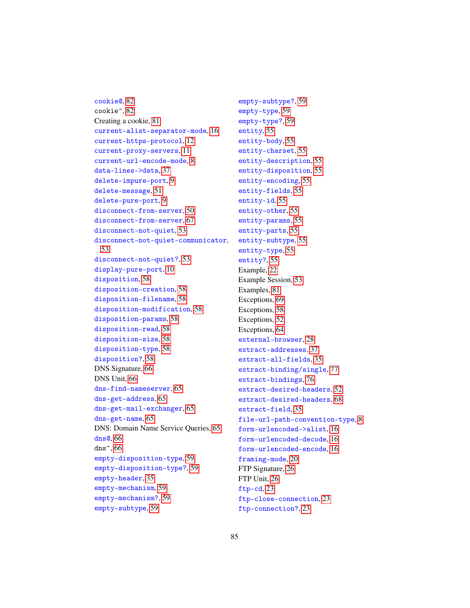```
cookie@, 82
cookie^, 82
Creating a cookie, 81
current-alist-separator-mode, 16
current-https-protocol, 12
current-proxy-servers, 11
current-url-encode-mode, 8
data-lines->data, 37
delete-impure-port, 9
delete-message, 51
delete-pure-port, 9
disconnect-from-server, 50
disconnect-from-server, 67
disconnect-not-quiet, 53
disconnect-not-quiet-communicator,
 53
disconnect-not-quiet?, 53
display-pure-port, 10
disposition, 58
disposition-creation, 58
disposition-filename, 58
disposition-modification, 58
disposition-params, 58
disposition-read, 58
disposition-size, 58
disposition-type, 58
disposition?, 58
DNS Signature, 66
DNS Unit, 66
dns-find-nameserver, 65
dns-get-address, 65
dns-get-mail-exchanger, 65
dns-get-name, 65
DNS: Domain Name Service Queries, 65
dns@, 66
dns^, 66
empty-disposition-type, 59
empty-disposition-type?, 59
empty-header, 35
empty-mechanism, 59
empty-mechanism?, 59
empty-subtype, 59
```
empty-subtype?, [59](#page-57-0) empty-type, [59](#page-57-0) empty-type?, [59](#page-57-0) entity, [55](#page-54-0) entity-body, [55](#page-54-0) entity-charset, [55](#page-54-0) entity-description, [55](#page-54-0) entity-disposition, [55](#page-54-0) entity-encoding, [55](#page-54-0) entity-fields, [55](#page-54-0) entity-id, [55](#page-54-0) entity-other, [55](#page-54-0) entity-params, [55](#page-54-0) entity-parts, [55](#page-54-0) entity-subtype, [55](#page-54-0) entity-type, [55](#page-54-0) entity?, [55](#page-54-0) Example, [22](#page-21-0) Example Session, [53](#page-52-0) Examples, [81](#page-80-1) Exceptions, [69](#page-68-0) Exceptions, [58](#page-57-0) Exceptions, [52](#page-51-0) Exceptions, [64](#page-63-1) external-browser, [28](#page-26-0) extract-addresses, [37](#page-34-0) extract-all-fields, [35](#page-34-0) extract-binding/single, [77](#page-75-1) extract-bindings, [76](#page-75-1) extract-desired-headers, [52](#page-49-0) extract-desired-headers, [68](#page-66-0) extract-field, [35](#page-34-0) file-url-path-convention-type, [8](#page-5-0) form-urlencoded->alist, [16](#page-13-0) form-urlencoded-decode, [16](#page-13-0) form-urlencoded-encode, [16](#page-13-0) framing-mode, [20](#page-19-0) FTP Signature, [26](#page-25-0) FTP Unit, [26](#page-25-1) ftp-cd, [23](#page-22-0) ftp-close-connection, [23](#page-22-0) ftp-connection?, [23](#page-22-0)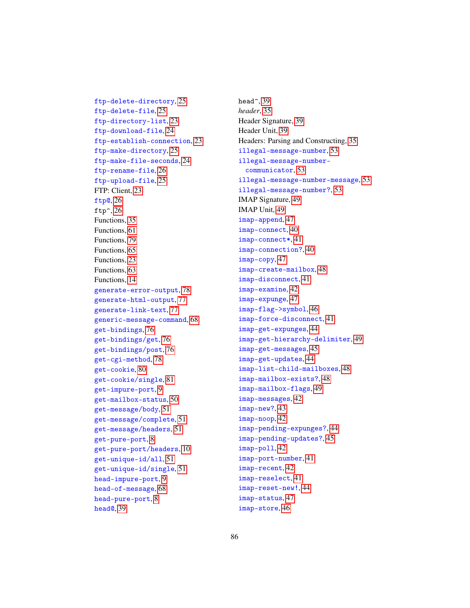ftp-delete-directory, [25](#page-22-0) ftp-delete-file, [25](#page-22-0) ftp-directory-list, [23](#page-22-0) ftp-download-file, [24](#page-22-0) ftp-establish-connection, [23](#page-22-0) ftp-make-directory, [25](#page-22-0) ftp-make-file-seconds, [24](#page-22-0) ftp-rename-file, [26](#page-22-0) ftp-upload-file, [25](#page-22-0) FTP: Client, [23](#page-22-1) ftp@, [26](#page-25-1) ftp $\hat{ }$ , [26](#page-25-0) Functions, [35](#page-34-0) Functions, [61](#page-60-2) Functions, [79](#page-78-0) Functions, [65](#page-64-0) Functions, [23](#page-22-0) Functions, [63](#page-62-0) Functions, [14](#page-13-0) generate-error-output, [78](#page-75-1) generate-html-output, [77](#page-75-1) generate-link-text, [77](#page-75-1) generic-message-command, [68](#page-66-0) get-bindings, [76](#page-75-1) get-bindings/get, [76](#page-75-1) get-bindings/post, [76](#page-75-1) get-cgi-method, [78](#page-75-1) get-cookie, [80](#page-78-0) get-cookie/single, [81](#page-78-0) get-impure-port, [9](#page-5-0) get-mailbox-status, [50](#page-49-0) get-message/body, [51](#page-49-0) get-message/complete, [51](#page-49-0) get-message/headers, [51](#page-49-0) get-pure-port, [8](#page-5-0) get-pure-port/headers, [10](#page-5-0) get-unique-id/all, [51](#page-49-0) get-unique-id/single, [51](#page-49-0) head-impure-port, [9](#page-5-0) head-of-message, [68](#page-66-0) head-pure-port, [8](#page-5-0) head@, [39](#page-38-0)

head^, [39](#page-38-1) *header*, [35](#page-34-1) Header Signature, [39](#page-38-1) Header Unit, [39](#page-38-0) Headers: Parsing and Constructing, [35](#page-34-1) illegal-message-number, [53](#page-51-0) illegal-message-numbercommunicator, [53](#page-51-0) illegal-message-number-message, [53](#page-51-0) illegal-message-number?, [53](#page-51-0) IMAP Signature, [49](#page-48-0) IMAP Unit, [49](#page-48-1) imap-append, [47](#page-46-0) imap-connect, [40](#page-39-0) imap-connect\*, [41](#page-39-0) imap-connection?, [40](#page-39-0) imap-copy, [47](#page-46-0) imap-create-mailbox, [48](#page-46-0) imap-disconnect, [41](#page-39-0) imap-examine, [42](#page-39-0) imap-expunge, [47](#page-44-0) imap-flag->symbol, [46](#page-44-0) imap-force-disconnect, [41](#page-39-0) imap-get-expunges, [44](#page-41-0) imap-get-hierarchy-delimiter, [49](#page-46-0) imap-get-messages, [45](#page-44-0) imap-get-updates, [44](#page-41-0) imap-list-child-mailboxes, [48](#page-46-0) imap-mailbox-exists?, [48](#page-46-0) imap-mailbox-flags, [49](#page-46-0) imap-messages, [42](#page-41-0) imap-new?, [43](#page-41-0) imap-noop, [42](#page-41-0) imap-pending-expunges?, [44](#page-41-0) imap-pending-updates?, [45](#page-41-0) imap-poll, [42](#page-41-0) imap-port-number, [41](#page-39-0) imap-recent, [42](#page-41-0) imap-reselect, [41](#page-39-0) imap-reset-new!, [44](#page-41-0) imap-status, [47](#page-46-0) imap-store, [46](#page-44-0)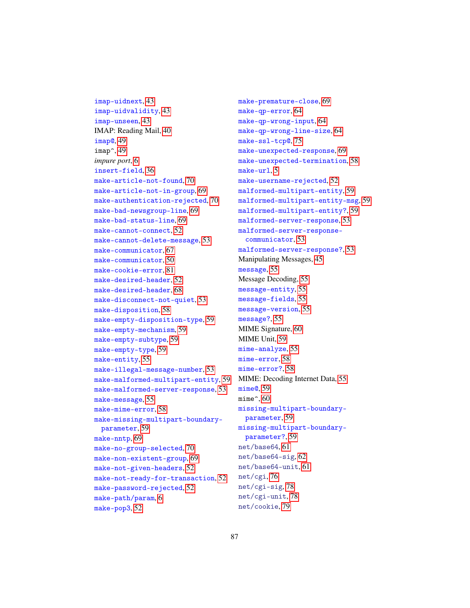imap-uidnext, [43](#page-41-0) imap-uidvalidity, [43](#page-41-0) imap-unseen, [43](#page-41-0) IMAP: Reading Mail, [40](#page-39-1) imap@, [49](#page-48-1) imap<sup>2</sup>, [49](#page-48-0) *impure port*, [6](#page-5-0) insert-field, [36](#page-34-0) make-article-not-found, [70](#page-68-0) make-article-not-in-group, [69](#page-68-0) make-authentication-rejected, [70](#page-68-0) make-bad-newsgroup-line, [69](#page-68-0) make-bad-status-line, [69](#page-68-0) make-cannot-connect, [52](#page-51-0) make-cannot-delete-message, [53](#page-51-0) make-communicator, [67](#page-66-0) make-communicator, [50](#page-49-0) make-cookie-error, [81](#page-78-0) make-desired-header, [52](#page-49-0) make-desired-header, [68](#page-66-0) make-disconnect-not-quiet, [53](#page-51-0) make-disposition, [58](#page-54-0) make-empty-disposition-type, [59](#page-57-0) make-empty-mechanism, [59](#page-57-0) make-empty-subtype, [59](#page-57-0) make-empty-type, [59](#page-57-0) make-entity, [55](#page-54-0) make-illegal-message-number, [53](#page-51-0) make-malformed-multipart-entity, [59](#page-57-0) make-malformed-server-response, [53](#page-51-0) make-message, [55](#page-54-0) make-mime-error, [58](#page-57-0) make-missing-multipart-boundaryparameter, [59](#page-57-0) make-nntp, [69](#page-68-0) make-no-group-selected, [70](#page-68-0) make-non-existent-group, [69](#page-68-0) make-not-given-headers, [52](#page-51-0) make-not-ready-for-transaction, [52](#page-51-0) make-password-rejected, [52](#page-51-0) make-path/param, [6](#page-4-0) make-pop3, [52](#page-51-0)

make-premature-close, [69](#page-68-0) make-qp-error, [64](#page-63-1) make-qp-wrong-input, [64](#page-63-1) make-qp-wrong-line-size, [64](#page-63-1) make-ssl-tcp@, [75](#page-74-0) make-unexpected-response, [69](#page-68-0) make-unexpected-termination, [58](#page-57-0) make-url, [5](#page-4-0) make-username-rejected, [52](#page-51-0) malformed-multipart-entity, [59](#page-57-0) malformed-multipart-entity-msg, [59](#page-57-0) malformed-multipart-entity?, [59](#page-57-0) malformed-server-response, [53](#page-51-0) malformed-server-responsecommunicator, [53](#page-51-0) malformed-server-response?, [53](#page-51-0) Manipulating Messages, [45](#page-44-0) message, [55](#page-54-0) Message Decoding, [55](#page-54-0) message-entity, [55](#page-54-0) message-fields, [55](#page-54-0) message-version, [55](#page-54-0) message?, [55](#page-54-0) MIME Signature, [60](#page-59-0) MIME Unit, [59](#page-58-0) mime-analyze, [55](#page-54-0) mime-error, [58](#page-57-0) mime-error?, [58](#page-57-0) MIME: Decoding Internet Data, [55](#page-54-1) mime@, [59](#page-58-0) mime $\hat{}$ , [60](#page-59-0) missing-multipart-boundaryparameter, [59](#page-57-0) missing-multipart-boundaryparameter?, [59](#page-57-0) net/base64, [61](#page-60-0) net/base64-sig, [62](#page-61-0) net/base64-unit, [61](#page-60-1) net/cgi, [76](#page-75-0) net/cgi-sig, [78](#page-77-0) net/cgi-unit, [78](#page-77-1) net/cookie, [79](#page-78-1)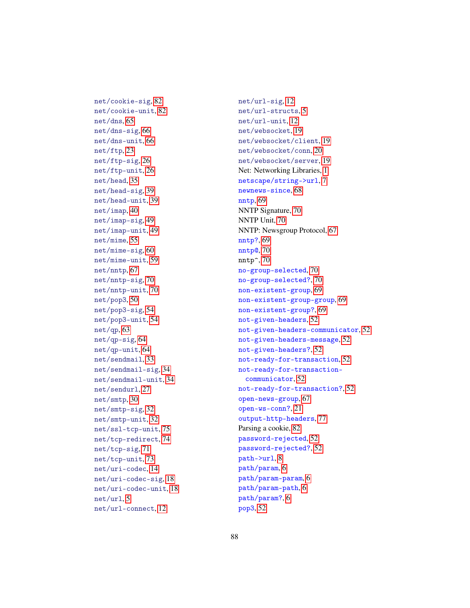net/cookie-sig, [82](#page-81-0) net/cookie-unit, [82](#page-81-1) net/dns, [65](#page-64-1) net/dns-sig, [66](#page-65-0) net/dns-unit, [66](#page-65-1) net/ftp, [23](#page-22-1) net/ftp-sig, [26](#page-25-0) net/ftp-unit, [26](#page-25-1) net/head, [35](#page-34-1) net/head-sig, [39](#page-38-1) net/head-unit, [39](#page-38-0) net/imap, [40](#page-39-1) net/imap-sig, [49](#page-48-0) net/imap-unit, [49](#page-48-1) net/mime, [55](#page-54-1) net/mime-sig, [60](#page-59-0) net/mime-unit, [59](#page-58-0) net/nntp, [67](#page-66-1) net/nntp-sig, [70](#page-69-0) net/nntp-unit, [70](#page-69-1) net/pop3, [50](#page-49-0) net/pop3-sig, [54](#page-53-0) net/pop3-unit, [54](#page-53-1) net/qp, [63](#page-62-1) net/qp-sig, [64](#page-63-0) net/qp-unit, [64](#page-63-2) net/sendmail, [33](#page-32-0) net/sendmail-sig, [34](#page-33-0) net/sendmail-unit, [34](#page-33-1) net/sendurl, [27](#page-26-0) net/smtp, [30](#page-29-0) net/smtp-sig, [32](#page-31-0) net/smtp-unit, [32](#page-31-1) net/ssl-tcp-unit, [75](#page-74-0) net/tcp-redirect, [74](#page-73-0) net/tcp-sig, [71](#page-70-0) net/tcp-unit, [73](#page-72-0) net/uri-codec, [14](#page-13-1) net/uri-codec-sig, [18](#page-17-0) net/uri-codec-unit, [18](#page-17-1) net/url, [5](#page-4-1) net/url-connect, [12](#page-11-0)

net/url-sig, [12](#page-11-1) net/url-structs, [5](#page-4-0) net/url-unit, [12](#page-11-2) net/websocket, [19](#page-18-1) net/websocket/client, [19](#page-18-0) net/websocket/conn, [20](#page-19-0) net/websocket/server, [19](#page-18-2) Net: Networking Libraries, [1](#page-0-0) netscape/string->url, [7](#page-5-0) newnews-since, [68](#page-66-0) nntp, [69](#page-68-0) NNTP Signature, [70](#page-69-0) NNTP Unit, [70](#page-69-1) NNTP: Newsgroup Protocol, [67](#page-66-1) nntp?, [69](#page-68-0) nntp@, [70](#page-69-1) nntp^, [70](#page-69-0) no-group-selected, [70](#page-68-0) no-group-selected?, [70](#page-68-0) non-existent-group, [69](#page-68-0) non-existent-group-group, [69](#page-68-0) non-existent-group?, [69](#page-68-0) not-given-headers, [52](#page-51-0) not-given-headers-communicator, [52](#page-51-0) not-given-headers-message, [52](#page-51-0) not-given-headers?, [52](#page-51-0) not-ready-for-transaction, [52](#page-51-0) not-ready-for-transactioncommunicator, [52](#page-51-0) not-ready-for-transaction?, [52](#page-51-0) open-news-group, [67](#page-66-0) open-ws-conn?, [21](#page-19-0) output-http-headers, [77](#page-75-1) Parsing a cookie, [82](#page-81-2) password-rejected, [52](#page-51-0) password-rejected?, [52](#page-51-0) path->url, [8](#page-5-0) path/param, [6](#page-4-0) path/param-param, [6](#page-4-0) path/param-path, [6](#page-4-0) path/param?, [6](#page-4-0) pop3, [52](#page-51-0)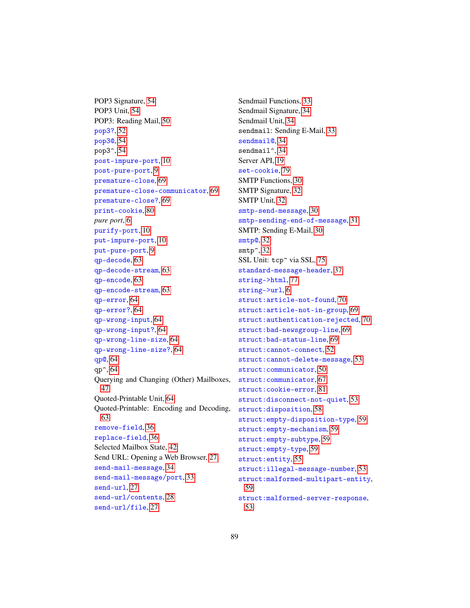POP3 Signature, [54](#page-53-0) POP3 Unit, [54](#page-53-1) POP3: Reading Mail, [50](#page-49-0) pop3?, [52](#page-51-0) pop3@, [54](#page-53-1) pop3^, [54](#page-53-0) post-impure-port, [10](#page-5-0) post-pure-port, [9](#page-5-0) premature-close, [69](#page-68-0) premature-close-communicator, [69](#page-68-0) premature-close?, [69](#page-68-0) print-cookie, [80](#page-78-0) *pure port*, [6](#page-5-0) purify-port, [10](#page-5-0) put-impure-port, [10](#page-5-0) put-pure-port, [9](#page-5-0) qp-decode, [63](#page-62-0) qp-decode-stream, [63](#page-62-0) qp-encode, [63](#page-62-0) qp-encode-stream, [63](#page-62-0) qp-error, [64](#page-63-1) qp-error?, [64](#page-63-1) qp-wrong-input, [64](#page-63-1) qp-wrong-input?, [64](#page-63-1) qp-wrong-line-size, [64](#page-63-1) qp-wrong-line-size?, [64](#page-63-1) qp@, [64](#page-63-2) qp^, [64](#page-63-0) Querying and Changing (Other) Mailboxes, [47](#page-46-0) Quoted-Printable Unit, [64](#page-63-2) Quoted-Printable: Encoding and Decoding, [63](#page-62-1) remove-field, [36](#page-34-0) replace-field, [36](#page-34-0) Selected Mailbox State, [42](#page-41-0) Send URL: Opening a Web Browser, [27](#page-26-0) send-mail-message, [34](#page-32-1) send-mail-message/port, [33](#page-32-1) send-url, [27](#page-26-0) send-url/contents, [28](#page-26-0) send-url/file, [27](#page-26-0)

Sendmail Functions, [33](#page-32-1) Sendmail Signature, [34](#page-33-0) Sendmail Unit, [34](#page-33-1) sendmail: Sending E-Mail, [33](#page-32-0) sendmail@, [34](#page-33-1) sendmail<sup>^</sup>, [34](#page-33-0) Server API, [19](#page-18-2) set-cookie, [79](#page-78-0) SMTP Functions, [30](#page-29-1) SMTP Signature, [32](#page-31-0) SMTP Unit, [32](#page-31-1) smtp-send-message, [30](#page-29-1) smtp-sending-end-of-message, [31](#page-29-1) SMTP: Sending E-Mail, [30](#page-29-0) smtp@, [32](#page-31-1) smtp<sup>o</sup>, [32](#page-31-0) SSL Unit: tcp<sup>o</sup> via SSL, [75](#page-74-0) standard-message-header, [37](#page-34-0) string->html, [77](#page-75-1) string->url, [6](#page-5-0) struct:article-not-found, [70](#page-68-0) struct:article-not-in-group, [69](#page-68-0) struct:authentication-rejected, [70](#page-68-0) struct:bad-newsgroup-line, [69](#page-68-0) struct:bad-status-line, [69](#page-68-0) struct:cannot-connect, [52](#page-51-0) struct:cannot-delete-message, [53](#page-51-0) struct:communicator, [50](#page-49-0) struct:communicator, [67](#page-66-0) struct:cookie-error, [81](#page-78-0) struct:disconnect-not-quiet, [53](#page-51-0) struct:disposition, [58](#page-54-0) struct:empty-disposition-type, [59](#page-57-0) struct:empty-mechanism, [59](#page-57-0) struct:empty-subtype, [59](#page-57-0) struct:empty-type, [59](#page-57-0) struct:entity, [55](#page-54-0) struct:illegal-message-number, [53](#page-51-0) struct:malformed-multipart-entity, [59](#page-57-0) struct:malformed-server-response, [53](#page-51-0)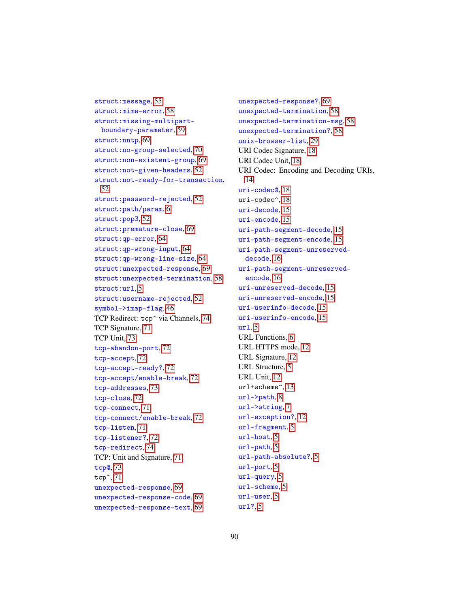struct:message, [55](#page-54-0) struct:mime-error, [58](#page-57-0) struct:missing-multipartboundary-parameter, [59](#page-57-0) struct: nntp, [69](#page-68-0) struct:no-group-selected, [70](#page-68-0) struct:non-existent-group, [69](#page-68-0) struct:not-given-headers, [52](#page-51-0) struct:not-ready-for-transaction, [52](#page-51-0) struct:password-rejected, [52](#page-51-0) struct:path/param, [6](#page-4-0) struct:pop3, [52](#page-51-0) struct:premature-close, [69](#page-68-0) struct:qp-error, [64](#page-63-1) struct:qp-wrong-input, [64](#page-63-1) struct:qp-wrong-line-size, [64](#page-63-1) struct:unexpected-response, [69](#page-68-0) struct:unexpected-termination, [58](#page-57-0) struct:url, [5](#page-4-0) struct:username-rejected, [52](#page-51-0) symbol->imap-flag, [46](#page-44-0) TCP Redirect: tcp<sup>~</sup> via Channels, [74](#page-73-0) TCP Signature, [71](#page-70-0) TCP Unit, [73](#page-72-0) tcp-abandon-port, [72](#page-70-0) tcp-accept, [72](#page-70-0) tcp-accept-ready?, [72](#page-70-0) tcp-accept/enable-break, [72](#page-70-0) tcp-addresses, [73](#page-70-0) tcp-close, [72](#page-70-0) tcp-connect, [71](#page-70-0) tcp-connect/enable-break, [72](#page-70-0) tcp-listen, [71](#page-70-0) tcp-listener?, [72](#page-70-0) tcp-redirect, [74](#page-73-0) TCP: Unit and Signature, [71](#page-70-1) tcp@, [73](#page-72-0) tcp^, [71](#page-70-0) unexpected-response, [69](#page-68-0) unexpected-response-code, [69](#page-68-0) unexpected-response-text, [69](#page-68-0)

unexpected-response?, [69](#page-68-0) unexpected-termination, [58](#page-57-0) unexpected-termination-msg, [58](#page-57-0) unexpected-termination?, [58](#page-57-0) unix-browser-list, [29](#page-26-0) URI Codec Signature, [18](#page-17-0) URI Codec Unit, [18](#page-17-1) URI Codec: Encoding and Decoding URIs, [14](#page-13-1) uri-codec@, [18](#page-17-1) uri-codec^, [18](#page-17-0) uri-decode, [15](#page-13-0) uri-encode, [15](#page-13-0) uri-path-segment-decode, [15](#page-13-0) uri-path-segment-encode, [15](#page-13-0) uri-path-segment-unreserveddecode, [16](#page-13-0) uri-path-segment-unreservedencode, [16](#page-13-0) uri-unreserved-decode, [15](#page-13-0) uri-unreserved-encode, [15](#page-13-0) uri-userinfo-decode, [15](#page-13-0) uri-userinfo-encode, [15](#page-13-0)  $url. 5$  $url. 5$ URL Functions, [6](#page-5-0) URL HTTPS mode, [12](#page-11-0) URL Signature, [12](#page-11-1) URL Structure, [5](#page-4-0) URL Unit, [12](#page-11-2) url+scheme^, [13](#page-11-1) url->path, [8](#page-5-0) url->string, [7](#page-5-0) url-exception?, [12](#page-5-0) url-fragment, [5](#page-4-0) url-host, [5](#page-4-0) url-path, [5](#page-4-0) url-path-absolute?, [5](#page-4-0) url-port, [5](#page-4-0) url-query, [5](#page-4-0) url-scheme, [5](#page-4-0) url-user, [5](#page-4-0) url?, [5](#page-4-0)